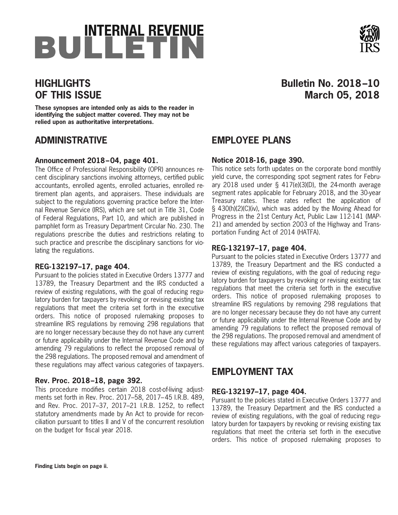# BULLETIN



## **HIGHLIGHTS OF THIS ISSUE**

**These synopses are intended only as aids to the reader in identifying the subject matter covered. They may not be relied upon as authoritative interpretations.**

## **ADMINISTRATIVE**

#### **Announcement 2018–04, page 401.**

The Office of Professional Responsibility (OPR) announces recent disciplinary sanctions involving attorneys, certified public accountants, enrolled agents, enrolled actuaries, enrolled retirement plan agents, and appraisers. These individuals are subject to the regulations governing practice before the Internal Revenue Service (IRS), which are set out in Title 31, Code of Federal Regulations, Part 10, and which are published in pamphlet form as Treasury Department Circular No. 230. The regulations prescribe the duties and restrictions relating to such practice and prescribe the disciplinary sanctions for violating the regulations.

#### **REG-132197–17, page 404.**

Pursuant to the policies stated in Executive Orders 13777 and 13789, the Treasury Department and the IRS conducted a review of existing regulations, with the goal of reducing regulatory burden for taxpayers by revoking or revising existing tax regulations that meet the criteria set forth in the executive orders. This notice of proposed rulemaking proposes to streamline IRS regulations by removing 298 regulations that are no longer necessary because they do not have any current or future applicability under the Internal Revenue Code and by amending 79 regulations to reflect the proposed removal of the 298 regulations. The proposed removal and amendment of these regulations may affect various categories of taxpayers.

## **Rev. Proc. 2018–18, page 392.**

This procedure modifies certain 2018 cost-of-living adjustments set forth in Rev. Proc. 2017–58, 2017– 45 I.R.B. 489, and Rev. Proc. 2017–37, 2017–21 I.R.B. 1252, to reflect statutory amendments made by An Act to provide for reconciliation pursuant to titles II and V of the concurrent resolution on the budget for fiscal year 2018.

## **Bulletin No. 2018–10 March 05, 2018**

## **EMPLOYEE PLANS**

## **Notice 2018-16, page 390.**

This notice sets forth updates on the corporate bond monthly yield curve, the corresponding spot segment rates for February 2018 used under § 417(e)(3)(D), the 24-month average segment rates applicable for February 2018, and the 30-year Treasury rates. These rates reflect the application of § 430(h)(2)(C)(iv), which was added by the Moving Ahead for Progress in the 21st Century Act, Public Law 112-141 (MAP-21) and amended by section 2003 of the Highway and Transportation Funding Act of 2014 (HATFA).

## **REG-132197–17, page 404.**

Pursuant to the policies stated in Executive Orders 13777 and 13789, the Treasury Department and the IRS conducted a review of existing regulations, with the goal of reducing regulatory burden for taxpayers by revoking or revising existing tax regulations that meet the criteria set forth in the executive orders. This notice of proposed rulemaking proposes to streamline IRS regulations by removing 298 regulations that are no longer necessary because they do not have any current or future applicability under the Internal Revenue Code and by amending 79 regulations to reflect the proposed removal of the 298 regulations. The proposed removal and amendment of these regulations may affect various categories of taxpayers.

## **EMPLOYMENT TAX**

## **REG-132197–17, page 404.**

Pursuant to the policies stated in Executive Orders 13777 and 13789, the Treasury Department and the IRS conducted a review of existing regulations, with the goal of reducing regulatory burden for taxpayers by revoking or revising existing tax regulations that meet the criteria set forth in the executive orders. This notice of proposed rulemaking proposes to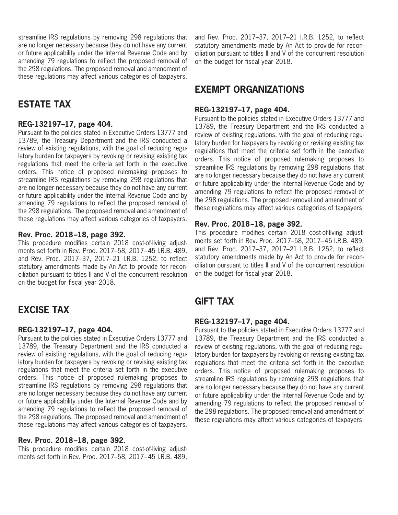streamline IRS regulations by removing 298 regulations that are no longer necessary because they do not have any current or future applicability under the Internal Revenue Code and by amending 79 regulations to reflect the proposed removal of the 298 regulations. The proposed removal and amendment of these regulations may affect various categories of taxpayers.

## **ESTATE TAX**

#### **REG-132197–17, page 404.**

Pursuant to the policies stated in Executive Orders 13777 and 13789, the Treasury Department and the IRS conducted a review of existing regulations, with the goal of reducing regulatory burden for taxpayers by revoking or revising existing tax regulations that meet the criteria set forth in the executive orders. This notice of proposed rulemaking proposes to streamline IRS regulations by removing 298 regulations that are no longer necessary because they do not have any current or future applicability under the Internal Revenue Code and by amending 79 regulations to reflect the proposed removal of the 298 regulations. The proposed removal and amendment of these regulations may affect various categories of taxpayers.

#### **Rev. Proc. 2018–18, page 392.**

This procedure modifies certain 2018 cost-of-living adjustments set forth in Rev. Proc. 2017–58, 2017– 45 I.R.B. 489, and Rev. Proc. 2017–37, 2017–21 I.R.B. 1252, to reflect statutory amendments made by An Act to provide for reconciliation pursuant to titles II and V of the concurrent resolution on the budget for fiscal year 2018.

## **EXCISE TAX**

#### **REG-132197–17, page 404.**

Pursuant to the policies stated in Executive Orders 13777 and 13789, the Treasury Department and the IRS conducted a review of existing regulations, with the goal of reducing regulatory burden for taxpayers by revoking or revising existing tax regulations that meet the criteria set forth in the executive orders. This notice of proposed rulemaking proposes to streamline IRS regulations by removing 298 regulations that are no longer necessary because they do not have any current or future applicability under the Internal Revenue Code and by amending 79 regulations to reflect the proposed removal of the 298 regulations. The proposed removal and amendment of these regulations may affect various categories of taxpayers.

#### **Rev. Proc. 2018–18, page 392.**

This procedure modifies certain 2018 cost-of-living adjustments set forth in Rev. Proc. 2017–58, 2017– 45 I.R.B. 489, and Rev. Proc. 2017–37, 2017–21 I.R.B. 1252, to reflect statutory amendments made by An Act to provide for reconciliation pursuant to titles II and V of the concurrent resolution on the budget for fiscal year 2018.

## **EXEMPT ORGANIZATIONS**

#### **REG-132197–17, page 404.**

Pursuant to the policies stated in Executive Orders 13777 and 13789, the Treasury Department and the IRS conducted a review of existing regulations, with the goal of reducing regulatory burden for taxpayers by revoking or revising existing tax regulations that meet the criteria set forth in the executive orders. This notice of proposed rulemaking proposes to streamline IRS regulations by removing 298 regulations that are no longer necessary because they do not have any current or future applicability under the Internal Revenue Code and by amending 79 regulations to reflect the proposed removal of the 298 regulations. The proposed removal and amendment of these regulations may affect various categories of taxpayers.

#### **Rev. Proc. 2018–18, page 392.**

This procedure modifies certain 2018 cost-of-living adjustments set forth in Rev. Proc. 2017–58, 2017– 45 I.R.B. 489, and Rev. Proc. 2017–37, 2017–21 I.R.B. 1252, to reflect statutory amendments made by An Act to provide for reconciliation pursuant to titles II and V of the concurrent resolution on the budget for fiscal year 2018.

## **GIFT TAX**

#### **REG-132197–17, page 404.**

Pursuant to the policies stated in Executive Orders 13777 and 13789, the Treasury Department and the IRS conducted a review of existing regulations, with the goal of reducing regulatory burden for taxpayers by revoking or revising existing tax regulations that meet the criteria set forth in the executive orders. This notice of proposed rulemaking proposes to streamline IRS regulations by removing 298 regulations that are no longer necessary because they do not have any current or future applicability under the Internal Revenue Code and by amending 79 regulations to reflect the proposed removal of the 298 regulations. The proposed removal and amendment of these regulations may affect various categories of taxpayers.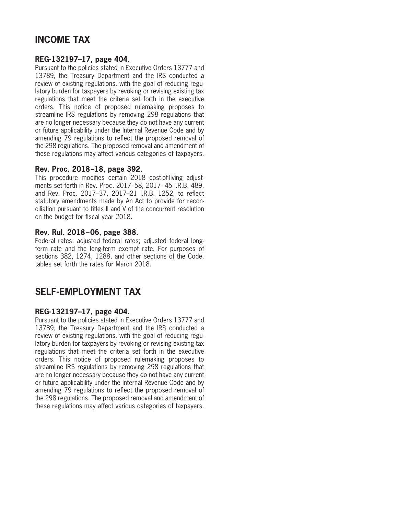## **INCOME TAX**

#### **REG-132197–17, page 404.**

Pursuant to the policies stated in Executive Orders 13777 and 13789, the Treasury Department and the IRS conducted a review of existing regulations, with the goal of reducing regulatory burden for taxpayers by revoking or revising existing tax regulations that meet the criteria set forth in the executive orders. This notice of proposed rulemaking proposes to streamline IRS regulations by removing 298 regulations that are no longer necessary because they do not have any current or future applicability under the Internal Revenue Code and by amending 79 regulations to reflect the proposed removal of the 298 regulations. The proposed removal and amendment of these regulations may affect various categories of taxpayers.

#### **Rev. Proc. 2018–18, page 392.**

This procedure modifies certain 2018 cost-of-living adjustments set forth in Rev. Proc. 2017–58, 2017– 45 I.R.B. 489, and Rev. Proc. 2017–37, 2017–21 I.R.B. 1252, to reflect statutory amendments made by An Act to provide for reconciliation pursuant to titles II and V of the concurrent resolution on the budget for fiscal year 2018.

#### **Rev. Rul. 2018–06, page 388.**

Federal rates; adjusted federal rates; adjusted federal longterm rate and the long-term exempt rate. For purposes of sections 382, 1274, 1288, and other sections of the Code, tables set forth the rates for March 2018.

## **SELF-EMPLOYMENT TAX**

#### **REG-132197–17, page 404.**

Pursuant to the policies stated in Executive Orders 13777 and 13789, the Treasury Department and the IRS conducted a review of existing regulations, with the goal of reducing regulatory burden for taxpayers by revoking or revising existing tax regulations that meet the criteria set forth in the executive orders. This notice of proposed rulemaking proposes to streamline IRS regulations by removing 298 regulations that are no longer necessary because they do not have any current or future applicability under the Internal Revenue Code and by amending 79 regulations to reflect the proposed removal of the 298 regulations. The proposed removal and amendment of these regulations may affect various categories of taxpayers.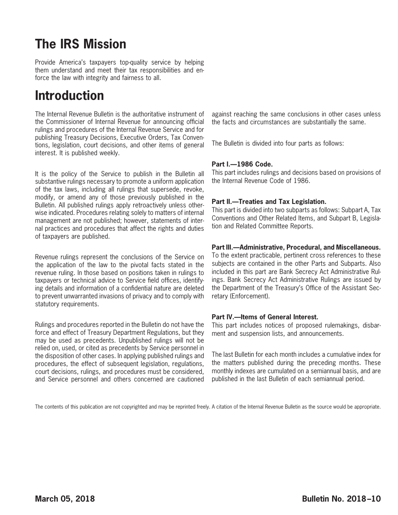# **The IRS Mission**

Provide America's taxpayers top-quality service by helping them understand and meet their tax responsibilities and enforce the law with integrity and fairness to all.

# **Introduction**

The Internal Revenue Bulletin is the authoritative instrument of the Commissioner of Internal Revenue for announcing official rulings and procedures of the Internal Revenue Service and for publishing Treasury Decisions, Executive Orders, Tax Conventions, legislation, court decisions, and other items of general interest. It is published weekly.

It is the policy of the Service to publish in the Bulletin all substantive rulings necessary to promote a uniform application of the tax laws, including all rulings that supersede, revoke, modify, or amend any of those previously published in the Bulletin. All published rulings apply retroactively unless otherwise indicated. Procedures relating solely to matters of internal management are not published; however, statements of internal practices and procedures that affect the rights and duties of taxpayers are published.

Revenue rulings represent the conclusions of the Service on the application of the law to the pivotal facts stated in the revenue ruling. In those based on positions taken in rulings to taxpayers or technical advice to Service field offices, identifying details and information of a confidential nature are deleted to prevent unwarranted invasions of privacy and to comply with statutory requirements.

Rulings and procedures reported in the Bulletin do not have the force and effect of Treasury Department Regulations, but they may be used as precedents. Unpublished rulings will not be relied on, used, or cited as precedents by Service personnel in the disposition of other cases. In applying published rulings and procedures, the effect of subsequent legislation, regulations, court decisions, rulings, and procedures must be considered, and Service personnel and others concerned are cautioned

against reaching the same conclusions in other cases unless the facts and circumstances are substantially the same.

The Bulletin is divided into four parts as follows:

#### **Part I.—1986 Code.**

This part includes rulings and decisions based on provisions of the Internal Revenue Code of 1986.

#### **Part II.—Treaties and Tax Legislation.**

This part is divided into two subparts as follows: Subpart A, Tax Conventions and Other Related Items, and Subpart B, Legislation and Related Committee Reports.

#### **Part III.—Administrative, Procedural, and Miscellaneous.**

To the extent practicable, pertinent cross references to these subjects are contained in the other Parts and Subparts. Also included in this part are Bank Secrecy Act Administrative Rulings. Bank Secrecy Act Administrative Rulings are issued by the Department of the Treasury's Office of the Assistant Secretary (Enforcement).

#### **Part IV.—Items of General Interest.**

This part includes notices of proposed rulemakings, disbarment and suspension lists, and announcements.

The last Bulletin for each month includes a cumulative index for the matters published during the preceding months. These monthly indexes are cumulated on a semiannual basis, and are published in the last Bulletin of each semiannual period.

The contents of this publication are not copyrighted and may be reprinted freely. A citation of the Internal Revenue Bulletin as the source would be appropriate.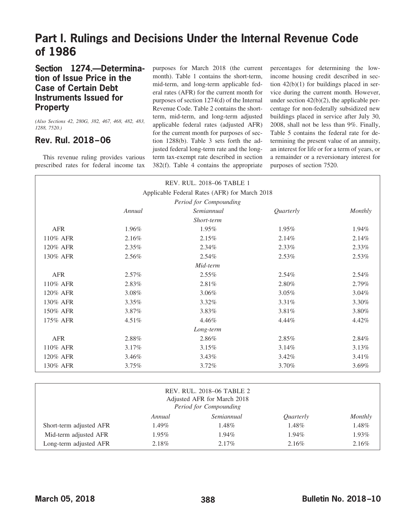# **Part I. Rulings and Decisions Under the Internal Revenue Code of 1986**

## **Section 1274.—Determination of Issue Price in the Case of Certain Debt Instruments Issued for Property**

*(Also Sections 42, 280G, 382, 467, 468, 482, 483, 1288, 7520.)*

## <span id="page-4-0"></span>**Rev. Rul. 2018–06**

This revenue ruling provides various prescribed rates for federal income tax purposes for March 2018 (the current month). Table 1 contains the short-term, mid-term, and long-term applicable federal rates (AFR) for the current month for purposes of section 1274(d) of the Internal Revenue Code. Table 2 contains the shortterm, mid-term, and long-term adjusted applicable federal rates (adjusted AFR) for the current month for purposes of section 1288(b). Table 3 sets forth the adjusted federal long-term rate and the longterm tax-exempt rate described in section 382(f). Table 4 contains the appropriate

percentages for determining the lowincome housing credit described in section 42(b)(1) for buildings placed in service during the current month. However, under section 42(b)(2), the applicable percentage for non-federally subsidized new buildings placed in service after July 30, 2008, shall not be less than 9%. Finally, Table 5 contains the federal rate for determining the present value of an annuity, an interest for life or for a term of years, or a remainder or a reversionary interest for purposes of section 7520.

|            |          | Applicable Federal Rates (AFR) for March 2018 |           |          |
|------------|----------|-----------------------------------------------|-----------|----------|
|            |          | Period for Compounding                        |           |          |
|            | Annual   | Semiannual                                    | Quarterly | Monthly  |
|            |          | Short-term                                    |           |          |
| <b>AFR</b> | 1.96%    | 1.95%                                         | 1.95%     | 1.94%    |
| 110% AFR   | 2.16%    | 2.15%                                         | 2.14%     | 2.14%    |
| 120% AFR   | $2.35\%$ | $2.34\%$                                      | 2.33%     | 2.33%    |
| 130% AFR   | 2.56%    | $2.54\%$                                      | 2.53%     | 2.53%    |
|            |          | Mid-term                                      |           |          |
| <b>AFR</b> | $2.57\%$ | $2.55\%$                                      | $2.54\%$  | 2.54%    |
| 110% AFR   | 2.83%    | 2.81%                                         | 2.80%     | 2.79%    |
| 120% AFR   | 3.08%    | $3.06\%$                                      | $3.05\%$  | $3.04\%$ |
| 130% AFR   | $3.35\%$ | $3.32\%$                                      | 3.31%     | 3.30%    |
| 150% AFR   | 3.87%    | 3.83%                                         | 3.81%     | 3.80%    |
| 175% AFR   | $4.51\%$ | 4.46%                                         | 4.44%     | 4.42%    |
|            |          | Long-term                                     |           |          |
| <b>AFR</b> | 2.88%    | 2.86%                                         | 2.85%     | 2.84%    |
| 110% AFR   | 3.17%    | 3.15%                                         | 3.14%     | 3.13%    |
| 120% AFR   | 3.46%    | $3.43\%$                                      | 3.42%     | 3.41%    |
| 130% AFR   | 3.75%    | $3.72\%$                                      | 3.70%     | 3.69%    |

| REV. RUL. 2018-06 TABLE 2<br>Adjusted AFR for March 2018<br>Period for Compounding |          |            |           |         |
|------------------------------------------------------------------------------------|----------|------------|-----------|---------|
|                                                                                    | Annual   | Semiannual | Quarterly | Monthly |
| Short-term adjusted AFR                                                            | $1.49\%$ | 1.48%      | 1.48%     | 1.48%   |
| Mid-term adjusted AFR                                                              | $1.95\%$ | $1.94\%$   | $1.94\%$  | 1.93%   |
| Long-term adjusted AFR                                                             | 2.18%    | $2.17\%$   | 2.16%     | 2.16%   |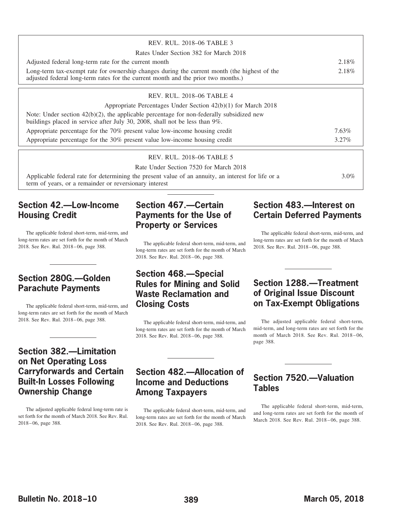| REV. RUL. 2018–06 TABLE 3                                                                                                                                                         |       |
|-----------------------------------------------------------------------------------------------------------------------------------------------------------------------------------|-------|
| Rates Under Section 382 for March 2018                                                                                                                                            |       |
| Adjusted federal long-term rate for the current month                                                                                                                             | 2.18% |
| Long-term tax-exempt rate for ownership changes during the current month (the highest of the<br>adjusted federal long-term rates for the current month and the prior two months.) | 2.18% |
| REV. RUL. 2018-06 TABLE 4                                                                                                                                                         |       |
| Appropriate Percentages Under Section $42(b)(1)$ for March 2018                                                                                                                   |       |
| Note: Under section $42(b)(2)$ , the applicable percentage for non-federally subsidized new<br>buildings placed in service after July 30, 2008, shall not be less than 9%.        |       |
| Appropriate percentage for the 70% present value low-income housing credit                                                                                                        | 7.63% |
| Appropriate percentage for the 30% present value low-income housing credit                                                                                                        |       |

#### REV. RUL. 2018–06 TABLE 5

Rate Under Section 7520 for March 2018

Applicable federal rate for determining the present value of an annuity, an interest for life or a term of years, or a remainder or reversionary interest 3.0%

## **Section 42.—Low-Income Housing Credit**

The applicable federal short-term, mid-term, and long-term rates are set forth for the month of March 2018. See Rev. Rul. 2018–06, page 388.

## **Section 280G.—Golden Parachute Payments**

The applicable federal short-term, mid-term, and long-term rates are set forth for the month of March 2018. See Rev. Rul. 2018–06, page 388.

## **Section 382.—Limitation on Net Operating Loss Carryforwards and Certain Built-In Losses Following Ownership Change**

The adjusted applicable federal long-term rate is set forth for the month of March 2018. See Rev. Rul. 2018–06, page 388.

## **Section 467.—Certain Payments for the Use of Property or Services**

The applicable federal short-term, mid-term, and long-term rates are set forth for the month of March 2018. See Rev. Rul. 2018–06, page 388.

## **Section 468.—Special Rules for Mining and Solid Waste Reclamation and Closing Costs**

The applicable federal short-term, mid-term, and long-term rates are set forth for the month of March 2018. See Rev. Rul. 2018–06, page 388.

## **Section 482.—Allocation of Income and Deductions Among Taxpayers**

The applicable federal short-term, mid-term, and long-term rates are set forth for the month of March 2018. See Rev. Rul. 2018–06, page 388.

## **Section 483.—Interest on Certain Deferred Payments**

The applicable federal short-term, mid-term, and long-term rates are set forth for the month of March 2018. See Rev. Rul. 2018–06, page 388.

## **Section 1288.—Treatment of Original Issue Discount on Tax-Exempt Obligations**

The adjusted applicable federal short-term, mid-term, and long-term rates are set forth for the month of March 2018. See Rev. Rul. 2018–06, page 388.

## **Section 7520.—Valuation Tables**

The applicable federal short-term, mid-term, and long-term rates are set forth for the month of March 2018. See Rev. Rul. 2018–06, page 388.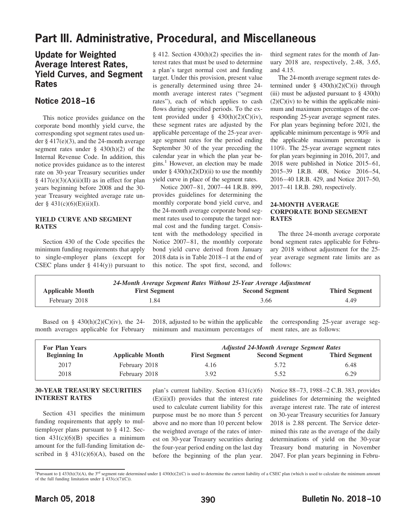## **Part III. Administrative, Procedural, and Miscellaneous**

## **Update for Weighted Average Interest Rates, Yield Curves, and Segment Rates**

## <span id="page-6-0"></span>**Notice 2018–16**

This notice provides guidance on the corporate bond monthly yield curve, the corresponding spot segment rates used under § 417(e)(3), and the 24-month average segment rates under  $\S$  430(h)(2) of the Internal Revenue Code. In addition, this notice provides guidance as to the interest rate on 30-year Treasury securities under  $§$  417(e)(3)(A)(ii)(II) as in effect for plan years beginning before 2008 and the 30 year Treasury weighted average rate under § 431(c)(6)(E)(ii)(I).

#### **YIELD CURVE AND SEGMENT RATES**

Section 430 of the Code specifies the minimum funding requirements that apply to single-employer plans (except for CSEC plans under  $\S$  414(y)) pursuant to § 412. Section 430(h)(2) specifies the interest rates that must be used to determine a plan's target normal cost and funding target. Under this provision, present value is generally determined using three 24 month average interest rates ("segment rates"), each of which applies to cash flows during specified periods. To the extent provided under  $\S$  430(h)(2)(C)(iv), these segment rates are adjusted by the applicable percentage of the 25-year average segment rates for the period ending September 30 of the year preceding the calendar year in which the plan year be $gins.<sup>1</sup>$  However, an election may be made under  $\S$  430(h)(2)(D)(ii) to use the monthly yield curve in place of the segment rates.

Notice 2007–81, 2007–44 I.R.B. 899, provides guidelines for determining the monthly corporate bond yield curve, and the 24-month average corporate bond segment rates used to compute the target normal cost and the funding target. Consistent with the methodology specified in Notice 2007–81, the monthly corporate bond yield curve derived from January 2018 data is in Table 2018–1 at the end of this notice. The spot first, second, and

third segment rates for the month of January 2018 are, respectively, 2.48, 3.65, and 4.15.

The 24-month average segment rates determined under  $\S$  430(h)(2)(C)(i) through (iii) must be adjusted pursuant to  $\S$  430(h)  $(2)(C)(iv)$  to be within the applicable minimum and maximum percentages of the corresponding 25-year average segment rates. For plan years beginning before 2021, the applicable minimum percentage is 90% and the applicable maximum percentage is 110%. The 25-year average segment rates for plan years beginning in 2016, 2017, and 2018 were published in Notice 2015–61, 2015–39 I.R.B. 408, Notice 2016–54, 2016–40 I.R.B. 429, and Notice 2017–50, 2017–41 I.R.B. 280, respectively.

#### **24-MONTH AVERAGE CORPORATE BOND SEGMENT RATES**

The three 24-month average corporate bond segment rates applicable for February 2018 without adjustment for the 25 year average segment rate limits are as follows:

| <b>Applicable Month</b> | <b>First Segment</b> | <b>Second Segment</b> | <b>Third Segment</b> |
|-------------------------|----------------------|-----------------------|----------------------|
| February 2018           | 1.84                 | 3.66                  | 4.49                 |

Based on §  $430(h)(2)(C)(iv)$ , the 24month averages applicable for February 2018, adjusted to be within the applicable minimum and maximum percentages of the corresponding 25-year average segment rates, are as follows:

| <b>For Plan Years</b> |                         |                      | <b>Adjusted 24-Month Average Segment Rates</b> |                      |
|-----------------------|-------------------------|----------------------|------------------------------------------------|----------------------|
| <b>Beginning In</b>   | <b>Applicable Month</b> | <b>First Segment</b> | <b>Second Segment</b>                          | <b>Third Segment</b> |
| 2017                  | February 2018           | 4.16                 | 5.72                                           | 6.48                 |
| 2018                  | February 2018           | 3.92                 | 5.52                                           | 6.29                 |

#### **30-YEAR TREASURY SECURITIES INTEREST RATES**

Section 431 specifies the minimum funding requirements that apply to multiemployer plans pursuant to § 412. Section 431(c)(6)(B) specifies a minimum amount for the full-funding limitation described in §  $431(c)(6)(A)$ , based on the plan's current liability. Section 431(c)(6)  $(E)(ii)(I)$  provides that the interest rate used to calculate current liability for this purpose must be no more than 5 percent above and no more than 10 percent below the weighted average of the rates of interest on 30-year Treasury securities during the four-year period ending on the last day before the beginning of the plan year.

Notice 88–73, 1988–2 C.B. 383, provides guidelines for determining the weighted average interest rate. The rate of interest on 30-year Treasury securities for January 2018 is 2.88 percent. The Service determined this rate as the average of the daily determinations of yield on the 30-year Treasury bond maturing in November 2047. For plan years beginning in Febru-

<sup>&</sup>lt;sup>1</sup>Pursuant to § 433(h)(3)(A), the 3<sup>rd</sup> segment rate determined under § 430(h)(2)(C) is used to determine the current liability of a CSEC plan (which is used to calculate the minimum amount of the full funding limitation under  $\S$  433(c)(7)(C)).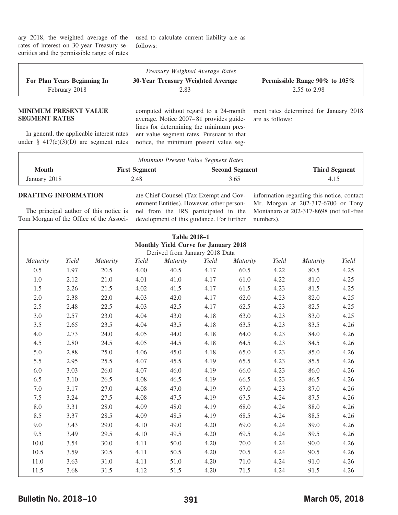ary 2018, the weighted average of the rates of interest on 30-year Treasury securities and the permissible range of rates used to calculate current liability are as follows:

|                                                                                                                                                         |                      | Treasury Weighted Average Rates                                                                                                                                                                                    |                                                           |                      |  |
|---------------------------------------------------------------------------------------------------------------------------------------------------------|----------------------|--------------------------------------------------------------------------------------------------------------------------------------------------------------------------------------------------------------------|-----------------------------------------------------------|----------------------|--|
| For Plan Years Beginning In                                                                                                                             |                      | 30-Year Treasury Weighted Average                                                                                                                                                                                  | Permissible Range 90% to 105%                             |                      |  |
| February 2018                                                                                                                                           |                      | 2.83                                                                                                                                                                                                               | 2.55 to 2.98                                              |                      |  |
| <b>MINIMUM PRESENT VALUE</b><br><b>SEGMENT RATES</b><br>In general, the applicable interest rates<br>under $\frac{8}{9}$ 417(e)(3)(D) are segment rates |                      | computed without regard to a 24-month<br>average. Notice 2007–81 provides guide-<br>lines for determining the minimum pres-<br>ent value segment rates. Pursuant to that<br>notice, the minimum present value seg- | ment rates determined for January 2018<br>are as follows: |                      |  |
|                                                                                                                                                         |                      | Minimum Present Value Segment Rates                                                                                                                                                                                |                                                           |                      |  |
| <b>Month</b>                                                                                                                                            | <b>First Segment</b> | <b>Second Segment</b>                                                                                                                                                                                              |                                                           | <b>Third Segment</b> |  |
| January 2018                                                                                                                                            | 2.48                 | 3.65                                                                                                                                                                                                               |                                                           | 4.15                 |  |
| <b>DRAFTING INFORMATION</b>                                                                                                                             |                      | ate Chief Counsel (Tax Exempt and Gov- information regarding this notice, contact                                                                                                                                  |                                                           |                      |  |

The principal author of this notice is Tom Morgan of the Office of the Associate Chief Counsel (Tax Exempt and Government Entities). However, other personnel from the IRS participated in the development of this guidance. For further

information regarding this notice, contact Mr. Morgan at 202-317-6700 or Tony Montanaro at 202-317-8698 (not toll-free numbers).

| <b>Table 2018-1</b><br><b>Monthly Yield Curve for January 2018</b> |       |          |       |                                |       |          |       |          |       |
|--------------------------------------------------------------------|-------|----------|-------|--------------------------------|-------|----------|-------|----------|-------|
|                                                                    |       |          |       | Derived from January 2018 Data |       |          |       |          |       |
| <i>Maturity</i>                                                    | Yield | Maturity | Yield | <b>Maturity</b>                | Yield | Maturity | Yield | Maturity | Yield |
| 0.5                                                                | 1.97  | 20.5     | 4.00  | 40.5                           | 4.17  | 60.5     | 4.22  | 80.5     | 4.25  |
| 1.0                                                                | 2.12  | 21.0     | 4.01  | 41.0                           | 4.17  | 61.0     | 4.22  | 81.0     | 4.25  |
| 1.5                                                                | 2.26  | 21.5     | 4.02  | 41.5                           | 4.17  | 61.5     | 4.23  | 81.5     | 4.25  |
| 2.0                                                                | 2.38  | 22.0     | 4.03  | 42.0                           | 4.17  | 62.0     | 4.23  | 82.0     | 4.25  |
| 2.5                                                                | 2.48  | 22.5     | 4.03  | 42.5                           | 4.17  | 62.5     | 4.23  | 82.5     | 4.25  |
| 3.0                                                                | 2.57  | 23.0     | 4.04  | 43.0                           | 4.18  | 63.0     | 4.23  | 83.0     | 4.25  |
| 3.5                                                                | 2.65  | 23.5     | 4.04  | 43.5                           | 4.18  | 63.5     | 4.23  | 83.5     | 4.26  |
| 4.0                                                                | 2.73  | 24.0     | 4.05  | 44.0                           | 4.18  | 64.0     | 4.23  | 84.0     | 4.26  |
| 4.5                                                                | 2.80  | 24.5     | 4.05  | 44.5                           | 4.18  | 64.5     | 4.23  | 84.5     | 4.26  |
| 5.0                                                                | 2.88  | 25.0     | 4.06  | 45.0                           | 4.18  | 65.0     | 4.23  | 85.0     | 4.26  |
| 5.5                                                                | 2.95  | 25.5     | 4.07  | 45.5                           | 4.19  | 65.5     | 4.23  | 85.5     | 4.26  |
| 6.0                                                                | 3.03  | 26.0     | 4.07  | 46.0                           | 4.19  | 66.0     | 4.23  | 86.0     | 4.26  |
| 6.5                                                                | 3.10  | 26.5     | 4.08  | 46.5                           | 4.19  | 66.5     | 4.23  | 86.5     | 4.26  |
| 7.0                                                                | 3.17  | 27.0     | 4.08  | 47.0                           | 4.19  | 67.0     | 4.23  | 87.0     | 4.26  |
| 7.5                                                                | 3.24  | 27.5     | 4.08  | 47.5                           | 4.19  | 67.5     | 4.24  | 87.5     | 4.26  |
| 8.0                                                                | 3.31  | 28.0     | 4.09  | 48.0                           | 4.19  | 68.0     | 4.24  | 88.0     | 4.26  |
| 8.5                                                                | 3.37  | 28.5     | 4.09  | 48.5                           | 4.19  | 68.5     | 4.24  | 88.5     | 4.26  |
| 9.0                                                                | 3.43  | 29.0     | 4.10  | 49.0                           | 4.20  | 69.0     | 4.24  | 89.0     | 4.26  |
| 9.5                                                                | 3.49  | 29.5     | 4.10  | 49.5                           | 4.20  | 69.5     | 4.24  | 89.5     | 4.26  |
| 10.0                                                               | 3.54  | 30.0     | 4.11  | 50.0                           | 4.20  | 70.0     | 4.24  | 90.0     | 4.26  |
| 10.5                                                               | 3.59  | 30.5     | 4.11  | 50.5                           | 4.20  | 70.5     | 4.24  | 90.5     | 4.26  |
| 11.0                                                               | 3.63  | 31.0     | 4.11  | 51.0                           | 4.20  | 71.0     | 4.24  | 91.0     | 4.26  |
| 11.5                                                               | 3.68  | 31.5     | 4.12  | 51.5                           | 4.20  | 71.5     | 4.24  | 91.5     | 4.26  |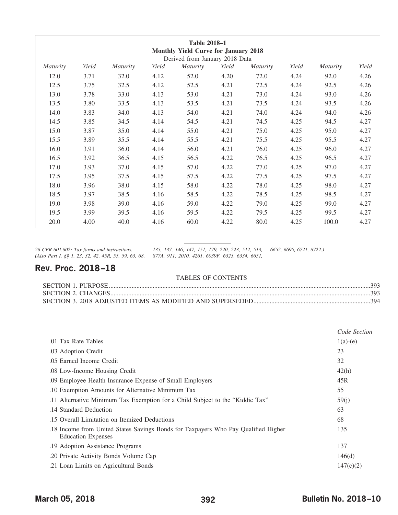| Table 2018-1<br><b>Monthly Yield Curve for January 2018</b><br>Derived from January 2018 Data |       |                 |       |          |       |          |       |                 |       |
|-----------------------------------------------------------------------------------------------|-------|-----------------|-------|----------|-------|----------|-------|-----------------|-------|
| <i>Maturity</i>                                                                               | Yield | <i>Maturity</i> | Yield | Maturity | Yield | Maturity | Yield | <i>Maturity</i> | Yield |
| 12.0                                                                                          | 3.71  | 32.0            | 4.12  | 52.0     | 4.20  | 72.0     | 4.24  | 92.0            | 4.26  |
| 12.5                                                                                          | 3.75  | 32.5            | 4.12  | 52.5     | 4.21  | 72.5     | 4.24  | 92.5            | 4.26  |
| 13.0                                                                                          | 3.78  | 33.0            | 4.13  | 53.0     | 4.21  | 73.0     | 4.24  | 93.0            | 4.26  |
| 13.5                                                                                          | 3.80  | 33.5            | 4.13  | 53.5     | 4.21  | 73.5     | 4.24  | 93.5            | 4.26  |
| 14.0                                                                                          | 3.83  | 34.0            | 4.13  | 54.0     | 4.21  | 74.0     | 4.24  | 94.0            | 4.26  |
| 14.5                                                                                          | 3.85  | 34.5            | 4.14  | 54.5     | 4.21  | 74.5     | 4.25  | 94.5            | 4.27  |
| 15.0                                                                                          | 3.87  | 35.0            | 4.14  | 55.0     | 4.21  | 75.0     | 4.25  | 95.0            | 4.27  |
| 15.5                                                                                          | 3.89  | 35.5            | 4.14  | 55.5     | 4.21  | 75.5     | 4.25  | 95.5            | 4.27  |
| 16.0                                                                                          | 3.91  | 36.0            | 4.14  | 56.0     | 4.21  | 76.0     | 4.25  | 96.0            | 4.27  |
| 16.5                                                                                          | 3.92  | 36.5            | 4.15  | 56.5     | 4.22  | 76.5     | 4.25  | 96.5            | 4.27  |
| 17.0                                                                                          | 3.93  | 37.0            | 4.15  | 57.0     | 4.22  | 77.0     | 4.25  | 97.0            | 4.27  |
| 17.5                                                                                          | 3.95  | 37.5            | 4.15  | 57.5     | 4.22  | 77.5     | 4.25  | 97.5            | 4.27  |
| 18.0                                                                                          | 3.96  | 38.0            | 4.15  | 58.0     | 4.22  | 78.0     | 4.25  | 98.0            | 4.27  |
| 18.5                                                                                          | 3.97  | 38.5            | 4.16  | 58.5     | 4.22  | 78.5     | 4.25  | 98.5            | 4.27  |
| 19.0                                                                                          | 3.98  | 39.0            | 4.16  | 59.0     | 4.22  | 79.0     | 4.25  | 99.0            | 4.27  |
| 19.5                                                                                          | 3.99  | 39.5            | 4.16  | 59.5     | 4.22  | 79.5     | 4.25  | 99.5            | 4.27  |
| 20.0                                                                                          | 4.00  | 40.0            | 4.16  | 60.0     | 4.22  | 80.0     | 4.25  | 100.0           | 4.27  |

*26 CFR 601.602: Tax forms and instructions. 135, 137, 146, 147, 151, 179, 220, 223, 512, 513, 6652, 6695, 6721, 6722.) (Also Part I, §§ 1, 23, 32, 42, 45R, 55, 59, 63, 68, 877A, 911, 2010, 4261, 6039F, 6323, 6334, 6651,*

## <span id="page-8-0"></span>**Rev. Proc. 2018–18**

#### TABLES OF CONTENTS

|                                                                                                                 | Code Section |
|-----------------------------------------------------------------------------------------------------------------|--------------|
| .01 Tax Rate Tables                                                                                             | $1(a)-(e)$   |
| .03 Adoption Credit                                                                                             | 23           |
| .05 Earned Income Credit                                                                                        | 32           |
| .08 Low-Income Housing Credit                                                                                   | 42(h)        |
| .09 Employee Health Insurance Expense of Small Employers                                                        | 45R          |
| .10 Exemption Amounts for Alternative Minimum Tax                                                               | 55           |
| .11 Alternative Minimum Tax Exemption for a Child Subject to the "Kiddie Tax"                                   | 59(j)        |
| .14 Standard Deduction                                                                                          | 63           |
| .15 Overall Limitation on Itemized Deductions                                                                   | 68           |
| 18. Income from United States Savings Bonds for Taxpayers Who Pay Qualified Higher<br><b>Education Expenses</b> | 135          |
| .19 Adoption Assistance Programs                                                                                | 137          |
| .20 Private Activity Bonds Volume Cap                                                                           | 146(d)       |
| .21 Loan Limits on Agricultural Bonds                                                                           | 147(c)(2)    |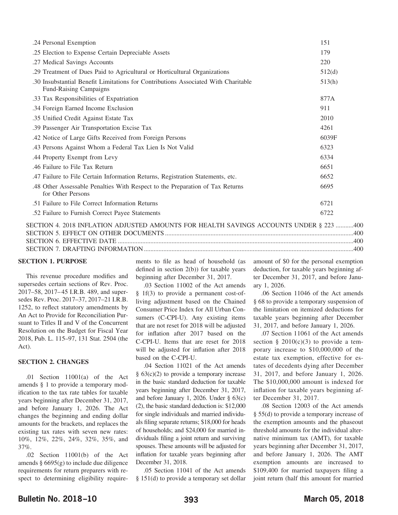| .24 Personal Exemption                                                                                              | 151    |
|---------------------------------------------------------------------------------------------------------------------|--------|
| .25 Election to Expense Certain Depreciable Assets                                                                  | 179    |
| .27 Medical Savings Accounts                                                                                        | 220    |
| .29 Treatment of Dues Paid to Agricultural or Horticultural Organizations                                           | 512(d) |
| .30 Insubstantial Benefit Limitations for Contributions Associated With Charitable<br><b>Fund-Raising Campaigns</b> | 513(h) |
| .33 Tax Responsibilities of Expatriation                                                                            | 877A   |
| .34 Foreign Earned Income Exclusion                                                                                 | 911    |
| .35 Unified Credit Against Estate Tax                                                                               | 2010   |
| .39 Passenger Air Transportation Excise Tax                                                                         | 4261   |
| .42 Notice of Large Gifts Received from Foreign Persons                                                             | 6039F  |
| .43 Persons Against Whom a Federal Tax Lien Is Not Valid                                                            | 6323   |
| .44 Property Exempt from Levy                                                                                       | 6334   |
| .46 Failure to File Tax Return                                                                                      | 6651   |
| .47 Failure to File Certain Information Returns, Registration Statements, etc.                                      | 6652   |
| .48 Other Assessable Penalties With Respect to the Preparation of Tax Returns<br>for Other Persons                  | 6695   |
| .51 Failure to File Correct Information Returns                                                                     | 6721   |
| .52 Failure to Furnish Correct Payee Statements                                                                     | 6722   |
| SECTION 4. 2018 INFLATION ADJUSTED AMOUNTS FOR HEALTH SAVINGS ACCOUNTS UNDER § 223 400                              |        |
|                                                                                                                     |        |

SECTION 7. DRAFTING INFORMATION ................................................................................................................................[.400](#page-16-3)

#### <span id="page-9-0"></span>**SECTION 1. PURPOSE**

This revenue procedure modifies and supersedes certain sections of Rev. Proc. 2017–58, 2017–45 I.R.B. 489, and supersedes Rev. Proc. 2017–37, 2017–21 I.R.B. 1252, to reflect statutory amendments by An Act to Provide for Reconciliation Pursuant to Titles II and V of the Concurrent Resolution on the Budget for Fiscal Year 2018, Pub. L. 115–97, 131 Stat. 2504 (the Act).

#### <span id="page-9-1"></span>**SECTION 2. CHANGES**

.01 Section 11001(a) of the Act amends § 1 to provide a temporary modification to the tax rate tables for taxable years beginning after December 31, 2017, and before January 1, 2026. The Act changes the beginning and ending dollar amounts for the brackets, and replaces the existing tax rates with seven new rates: 10%, 12%, 22%, 24%, 32%, 35%, and 37%.

.02 Section 11001(b) of the Act amends  $\S 6695(g)$  to include due diligence requirements for return preparers with respect to determining eligibility require-

ments to file as head of household (as defined in section 2(b)) for taxable years beginning after December 31, 2017.

.03 Section 11002 of the Act amends § 1f(3) to provide a permanent cost-ofliving adjustment based on the Chained Consumer Price Index for All Urban Consumers (C-CPI-U). Any existing items that are not reset for 2018 will be adjusted for inflation after 2017 based on the C-CPI-U. Items that are reset for 2018 will be adjusted for inflation after 2018 based on the C-CPI-U.

.04 Section 11021 of the Act amends  $§ 63(c)(2)$  to provide a temporary increase in the basic standard deduction for taxable years beginning after December 31, 2017, and before January 1, 2026. Under § 63(c) (2), the basic standard deduction is: \$12,000 for single individuals and married individuals filing separate returns; \$18,000 for heads of households; and \$24,000 for married individuals filing a joint return and surviving spouses. These amounts will be adjusted for inflation for taxable years beginning after December 31, 2018.

.05 Section 11041 of the Act amends § 151(d) to provide a temporary set dollar

amount of \$0 for the personal exemption deduction, for taxable years beginning after December 31, 2017, and before January 1, 2026.

.06 Section 11046 of the Act amends § 68 to provide a temporary suspension of the limitation on itemized deductions for taxable years beginning after December 31, 2017, and before January 1, 2026.

.07 Section 11061 of the Act amends section § 2010(c)(3) to provide a temporary increase to \$10,000,000 of the estate tax exemption, effective for estates of decedents dying after December 31, 2017, and before January 1, 2026. The \$10,000,000 amount is indexed for inflation for taxable years beginning after December 31, 2017.

.08 Section 12003 of the Act amends § 55(d) to provide a temporary increase of the exemption amounts and the phaseout threshold amounts for the individual alternative minimum tax (AMT), for taxable years beginning after December 31, 2017, and before January 1, 2026. The AMT exemption amounts are increased to \$109,400 for married taxpayers filing a joint return (half this amount for married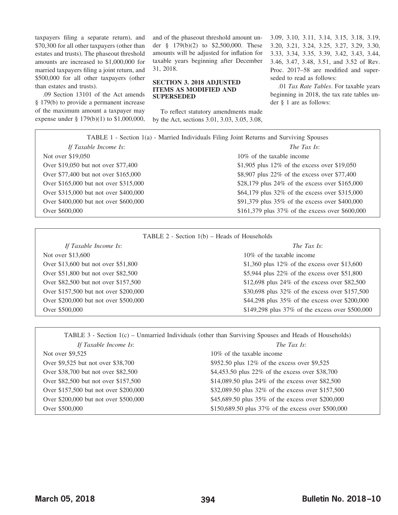taxpayers filing a separate return), and \$70,300 for all other taxpayers (other than estates and trusts). The phaseout threshold amounts are increased to \$1,000,000 for married taxpayers filing a joint return, and \$500,000 for all other taxpayers (other than estates and trusts).

.09 Section 13101 of the Act amends § 179(b) to provide a permanent increase of the maximum amount a taxpayer may expense under § 179(b)(1) to \$1,000,000, and of the phaseout threshold amount under § 179(b)(2) to \$2,500,000. These amounts will be adjusted for inflation for taxable years beginning after December 31, 2018.

#### <span id="page-10-0"></span>**SECTION 3. 2018 ADJUSTED ITEMS AS MODIFIED AND SUPERSEDED**

To reflect statutory amendments made by the Act, sections 3.01, 3.03, 3.05, 3.08,

3.09, 3.10, 3.11, 3.14, 3.15, 3.18, 3.19, 3.20, 3.21, 3.24, 3.25, 3.27, 3.29, 3.30, 3.33, 3.34, 3.35, 3.39, 3.42, 3.43, 3.44, 3.46, 3.47, 3.48, 3.51, and 3.52 of Rev. Proc. 2017–58 are modified and superseded to read as follows:

.01 *Tax Rate Tables*. For taxable years beginning in 2018, the tax rate tables under § 1 are as follows:

TABLE 1 - Section 1(a) - Married Individuals Filing Joint Returns and Surviving Spouses *If Taxable Income Is*: *The Tax Is*: Not over \$19,050 10% of the taxable income Over \$19,050 but not over \$77,400 \$1,905 plus 12% of the excess over \$19,050 Over \$77,400 but not over \$165,000 \$8,907 plus 22% of the excess over \$77,400 Over \$165,000 but not over \$315,000 \$28,179 plus 24% of the excess over \$165,000 Over \$315,000 but not over \$400,000 \$64,179 plus 32% of the excess over \$315,000 Over \$400,000 but not over \$600,000 \$91,379 plus 35% of the excess over \$400,000 Over \$600,000 \$161,379 plus 37% of the excess over \$600,000

|  |  |  |  | TABLE $2$ - Section $1(b)$ – Heads of Households |
|--|--|--|--|--------------------------------------------------|
|--|--|--|--|--------------------------------------------------|

*If Taxable Income Is*: *The Tax Is*: Not over \$13,600 10% of the taxable income

Over \$13,600 but not over \$51,800 \$1,360 \$1,360 plus 12% of the excess over \$13,600 Over \$51,800 but not over \$82,500 \$5,944 plus 22% of the excess over \$51,800 Over \$82,500 but not over \$157,500 \$12,698 plus 24% of the excess over \$82,500 Over \$157,500 but not over \$200,000 \$30,698 plus 32% of the excess over \$157,500 Over \$200,000 but not over \$500,000 \$44,298 plus 35% of the excess over \$200,000 Over \$500,000 \$149,298 plus 37% of the excess over \$500,000

| TABLE 3 - Section 1(c) – Unmarried Individuals (other than Surviving Spouses and Heads of Households) |                                                    |
|-------------------------------------------------------------------------------------------------------|----------------------------------------------------|
| If Taxable Income Is:                                                                                 | The Tax Is:                                        |
| Not over \$9,525                                                                                      | 10\% of the taxable income                         |
| Over \$9,525 but not over \$38,700                                                                    | \$952.50 plus $12\%$ of the excess over \$9,525    |
| Over \$38,700 but not over \$82,500                                                                   | \$4,453.50 plus 22% of the excess over \$38,700    |
| Over \$82,500 but not over \$157,500                                                                  | \$14,089.50 plus 24% of the excess over \$82,500   |
| Over \$157,500 but not over \$200,000                                                                 | \$32,089.50 plus 32% of the excess over \$157,500  |
| Over \$200,000 but not over \$500,000                                                                 | \$45,689.50 plus 35% of the excess over \$200,000  |
| Over \$500,000                                                                                        | \$150,689.50 plus 37% of the excess over \$500,000 |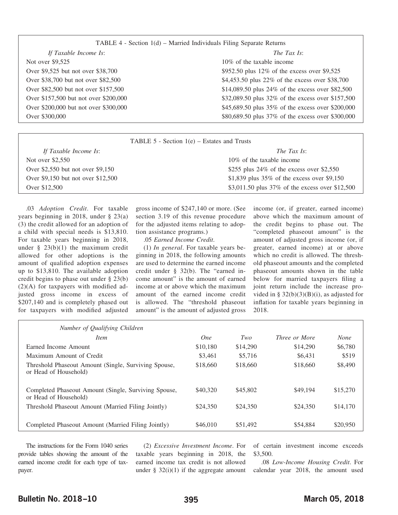| TABLE 4 - Section $1(d)$ – Married Individuals Filing Separate Returns |  |  |  |  |  |
|------------------------------------------------------------------------|--|--|--|--|--|
|------------------------------------------------------------------------|--|--|--|--|--|

| If Taxable Income Is:                 | The Tax Is:                                       |
|---------------------------------------|---------------------------------------------------|
| Not over \$9,525                      | 10% of the taxable income                         |
| Over \$9,525 but not over \$38,700    | \$952.50 plus 12% of the excess over \$9,525      |
| Over \$38,700 but not over \$82,500   | \$4,453.50 plus 22% of the excess over \$38,700   |
| Over \$82,500 but not over \$157,500  | \$14,089.50 plus 24% of the excess over \$82,500  |
| Over \$157,500 but not over \$200,000 | \$32,089.50 plus 32% of the excess over \$157,500 |
| Over \$200,000 but not over \$300,000 | \$45,689.50 plus 35% of the excess over \$200,000 |
| Over \$300,000                        | \$80,689.50 plus 37% of the excess over \$300,000 |
|                                       |                                                   |

| TABLE 5 - Section $1(e)$ – Estates and Trusts |                                                    |  |  |
|-----------------------------------------------|----------------------------------------------------|--|--|
| If Taxable Income Is:                         | <i>The Tax Is:</i>                                 |  |  |
| Not over \$2,550                              | 10\% of the taxable income                         |  |  |
| Over \$2,550 but not over \$9,150             | \$255 plus $24\%$ of the excess over \$2,550       |  |  |
| Over \$9,150 but not over \$12,500            | \$1,839 plus $35\%$ of the excess over \$9,150     |  |  |
| Over \$12,500                                 | \$3,011.50 plus $37\%$ of the excess over \$12,500 |  |  |

.03 *Adoption Credit*. For taxable years beginning in 2018, under § 23(a) (3) the credit allowed for an adoption of a child with special needs is \$13,810. For taxable years beginning in 2018, under  $\S$  23(b)(1) the maximum credit allowed for other adoptions is the amount of qualified adoption expenses up to \$13,810. The available adoption credit begins to phase out under § 23(b) (2)(A) for taxpayers with modified adjusted gross income in excess of \$207,140 and is completely phased out for taxpayers with modified adjusted

gross income of \$247,140 or more. (See section 3.19 of this revenue procedure for the adjusted items relating to adoption assistance programs.)

.05 *Earned Income Credit*.

(1) *In general*. For taxable years beginning in 2018, the following amounts are used to determine the earned income credit under § 32(b). The "earned income amount" is the amount of earned income at or above which the maximum amount of the earned income credit is allowed. The "threshold phaseout amount" is the amount of adjusted gross income (or, if greater, earned income) above which the maximum amount of the credit begins to phase out. The "completed phaseout amount" is the amount of adjusted gross income (or, if greater, earned income) at or above which no credit is allowed. The threshold phaseout amounts and the completed phaseout amounts shown in the table below for married taxpayers filing a joint return include the increase provided in §  $32(b)(3)(B)(i)$ , as adjusted for inflation for taxable years beginning in 2018.

| Number of Qualifying Children                                                 |            |          |                      |             |
|-------------------------------------------------------------------------------|------------|----------|----------------------|-------------|
| <i>Item</i>                                                                   | <i>One</i> | Two      | <i>Three or More</i> | <b>None</b> |
| Earned Income Amount                                                          | \$10,180   | \$14,290 | \$14,290             | \$6,780     |
| Maximum Amount of Credit                                                      | \$3,461    | \$5,716  | \$6,431              | \$519       |
| Threshold Phaseout Amount (Single, Surviving Spouse,<br>or Head of Household) | \$18,660   | \$18,660 | \$18,660             | \$8,490     |
| Completed Phaseout Amount (Single, Surviving Spouse,<br>or Head of Household) | \$40,320   | \$45,802 | \$49,194             | \$15,270    |
| Threshold Phaseout Amount (Married Filing Jointly)                            | \$24,350   | \$24,350 | \$24,350             | \$14,170    |
| Completed Phaseout Amount (Married Filing Jointly)                            | \$46,010   | \$51,492 | \$54,884             | \$20,950    |

The instructions for the Form 1040 series provide tables showing the amount of the earned income credit for each type of taxpayer.

(2) *Excessive Investment Income*. For taxable years beginning in 2018, the earned income tax credit is not allowed under  $\S$  32(i)(1) if the aggregate amount of certain investment income exceeds \$3,500.

.08 *Low-Income Housing Credit*. For calendar year 2018, the amount used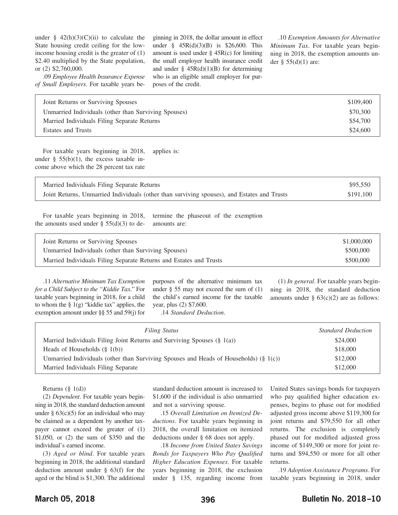under  $\frac{1}{2}$  42(h)(3)(C)(ii) to calculate the State housing credit ceiling for the lowincome housing credit is the greater of (1) \$2.40 multiplied by the State population, or (2) \$2,760,000.

.09 *Employee Health Insurance Expense of Small Employers*. For taxable years beginning in 2018, the dollar amount in effect under § 45R(d)(3)(B) is \$26,600. This amount is used under  $\S$  45R(c) for limiting the small employer health insurance credit and under  $\S$  45R(d)(1)(B) for determining who is an eligible small employer for purposes of the credit.

.10 *Exemption Amounts for Alternative Minimum Tax*. For taxable years beginning in 2018, the exemption amounts under  $§$  55(d)(1) are:

| Joint Returns or Surviving Spouses                   | \$109,400 |
|------------------------------------------------------|-----------|
| Unmarried Individuals (other than Surviving Spouses) | \$70,300  |
| Married Individuals Filing Separate Returns          | \$54,700  |
| <b>Estates and Trusts</b>                            | \$24,600  |

For taxable years beginning in 2018, under  $\S$  55(b)(1), the excess taxable income above which the 28 percent tax rate applies is:

| Married Individuals Filing Separate Returns                                                 | \$95,550  |
|---------------------------------------------------------------------------------------------|-----------|
| Joint Returns, Unmarried Individuals (other than surviving spouses), and Estates and Trusts | \$191.100 |

For taxable years beginning in 2018, the amounts used under  $\S$  55(d)(3) to determine the phaseout of the exemption amounts are:

| Joint Returns or Surviving Spouses                                 | \$1,000,000 |
|--------------------------------------------------------------------|-------------|
| Unmarried Individuals (other than Surviving Spouses)               | \$500,000   |
| Married Individuals Filing Separate Returns and Estates and Trusts | \$500,000   |

.11 *Alternative Minimum Tax Exemption for a Child Subject to the "Kiddie Tax*." For taxable years beginning in 2018, for a child to whom the  $\S$  1(g) "kiddie tax" applies, the exemption amount under §§ 55 and 59(j) for purposes of the alternative minimum tax under  $\S$  55 may not exceed the sum of  $(1)$ the child's earned income for the taxable year, plus (2) \$7,600. .14 *Standard Deduction*.

(1) *In general*. For taxable years beginning in 2018, the standard deduction amounts under  $\S$  63(c)(2) are as follows:

| <b>Filing Status</b>                                                                  | <b>Standard Deduction</b> |
|---------------------------------------------------------------------------------------|---------------------------|
| Married Individuals Filing Joint Returns and Surviving Spouses $(\S 1(a))$            | \$24,000                  |
| Heads of Households $(\S 1(b))$                                                       | \$18,000                  |
| Unmarried Individuals (other than Surviving Spouses and Heads of Households) (§ 1(c)) | \$12,000                  |
| Married Individuals Filing Separate                                                   | \$12,000                  |

Returns  $(\S 1(d))$ 

(2) *Dependent*. For taxable years beginning in 2018, the standard deduction amount under  $\S$  63(c)(5) for an individual who may be claimed as a dependent by another taxpayer cannot exceed the greater of (1) \$1,050, or (2) the sum of \$350 and the individual's earned income.

(3) *Aged or blind*. For taxable years beginning in 2018, the additional standard deduction amount under § 63(f) for the aged or the blind is \$1,300. The additional

standard deduction amount is increased to \$1,600 if the individual is also unmarried and not a surviving spouse.

.15 *Overall Limitation on Itemized Deductions*. For taxable years beginning in 2018, the overall limitation on itemized deductions under § 68 does not apply.

.18 *Income from United States Savings Bonds for Taxpayers Who Pay Qualified Higher Education Expenses*. For taxable years beginning in 2018, the exclusion under § 135, regarding income from

United States savings bonds for taxpayers who pay qualified higher education expenses, begins to phase out for modified adjusted gross income above \$119,300 for joint returns and \$79,550 for all other returns. The exclusion is completely phased out for modified adjusted gross income of \$149,300 or more for joint returns and \$94,550 or more for all other returns.

.19 *Adoption Assistance Programs*. For taxable years beginning in 2018, under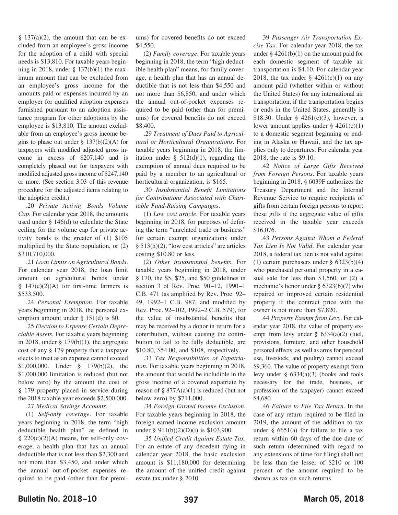$§$  137(a)(2), the amount that can be excluded from an employee's gross income for the adoption of a child with special needs is \$13,810. For taxable years beginning in 2018, under  $\S$  137(b)(1) the maximum amount that can be excluded from an employee's gross income for the amounts paid or expenses incurred by an employer for qualified adoption expenses furnished pursuant to an adoption assistance program for other adoptions by the employee is \$13,810. The amount excludable from an employee's gross income begins to phase out under  $\S$  137(b)(2)(A) for taxpayers with modified adjusted gross income in excess of \$207,140 and is completely phased out for taxpayers with modified adjusted gross income of \$247,140 or more. (See section 3.03 of this revenue procedure for the adjusted items relating to the adoption credit.)

.20 *Private Activity Bonds Volume Cap*. For calendar year 2018, the amounts used under § 146(d) to calculate the State ceiling for the volume cap for private activity bonds is the greater of (1) \$105 multiplied by the State population, or (2) \$310,710,000.

.21 *Loan Limits on Agricultural Bonds*. For calendar year 2018, the loan limit amount on agricultural bonds under  $§$  147(c)(2)(A) for first-time farmers is \$533,500.

.24 *Personal Exemption*. For taxable years beginning in 2018, the personal exemption amount under § 151(d) is \$0.

.25 *Election to Expense Certain Depreciable Assets*. For taxable years beginning in 2018, under  $\S$  179(b)(1), the aggregate cost of any § 179 property that a taxpayer elects to treat as an expense cannot exceed \$1,000,000. Under § 179(b)(2), the \$1,000,000 limitation is reduced (but not below zero) by the amount the cost of § 179 property placed in service during the 2018 taxable year exceeds \$2,500,000.

.27 *Medical Savings Accounts*.

(1) *Self-only coverage*. For taxable years beginning in 2018, the term "high deductible health plan" as defined in  $§$  220(c)(2)(A) means, for self-only coverage, a health plan that has an annual deductible that is not less than \$2,300 and not more than \$3,450, and under which the annual out-of-pocket expenses required to be paid (other than for premiums) for covered benefits do not exceed \$4,550.

(2) *Family coverage*. For taxable years beginning in 2018, the term "high deductible health plan" means, for family coverage, a health plan that has an annual deductible that is not less than \$4,550 and not more than \$6,850, and under which the annual out-of-pocket expenses required to be paid (other than for premiums) for covered benefits do not exceed \$8,400.

.29 *Treatment of Dues Paid to Agricultural or Horticultural Organizations*. For taxable years beginning in 2018, the limitation under  $\S$  512(d)(1), regarding the exemption of annual dues required to be paid by a member to an agricultural or horticultural organization, is \$165.

.30 *Insubstantial Benefit Limitations for Contributions Associated with Charitable Fund-Raising Campaigns*.

(1) *Low cost article*. For taxable years beginning in 2018, for purposes of defining the term "unrelated trade or business" for certain exempt organizations under § 513(h)(2), "low cost articles" are articles costing \$10.80 or less.

(2) *Other insubstantial benefits*. For taxable years beginning in 2018, under § 170, the \$5, \$25, and \$50 guidelines in section 3 of Rev. Proc. 90–12, 1990–1 C.B. 471 (as amplified by Rev. Proc. 92– 49, 1992–1 C.B. 987, and modified by Rev. Proc. 92–102, 1992–2 C.B. 579), for the value of insubstantial benefits that may be received by a donor in return for a contribution, without causing the contribution to fail to be fully deductible, are \$10.80, \$54.00, and \$108, respectively.

.33 *Tax Responsibilities of Expatriation*. For taxable years beginning in 2018, the amount that would be includible in the gross income of a covered expatriate by reason of  $\S 877A(a)(1)$  is reduced (but not below zero) by \$711,000.

.34 *Foreign Earned Income Exclusion*. For taxable years beginning in 2018, the foreign earned income exclusion amount under § 911(b)(2)(D)(i) is \$103,900.

.35 *Unified Credit Against Estate Tax*. For an estate of any decedent dying in calendar year 2018, the basic exclusion amount is \$11,180,000 for determining the amount of the unified credit against estate tax under § 2010.

.39 *Passenger Air Transportation Excise Tax*. For calendar year 2018, the tax under  $§$  4261(b)(1) on the amount paid for each domestic segment of taxable air transportation is \$4.10. For calendar year 2018, the tax under  $\S$  4261(c)(1) on any amount paid (whether within or without the United States) for any international air transportation, if the transportation begins or ends in the United States, generally is \$18.30. Under § 4261(c)(3), however, a lower amount applies under  $\S$  4261(c)(1) to a domestic segment beginning or ending in Alaska or Hawaii, and the tax applies only to departures. For calendar year 2018, the rate is \$9.10.

.42 *Notice of Large Gifts Received from Foreign Persons*. For taxable years beginning in 2018, § 6039F authorizes the Treasury Department and the Internal Revenue Service to require recipients of gifts from certain foreign persons to report these gifts if the aggregate value of gifts received in the taxable year exceeds \$16,076.

.43 *Persons Against Whom a Federal Tax Lien Is Not Valid*. For calendar year 2018, a federal tax lien is not valid against (1) certain purchasers under § 6323(b)(4) who purchased personal property in a casual sale for less than \$1,560, or (2) a mechanic's lienor under § 6323(b)(7) who repaired or improved certain residential property if the contract price with the owner is not more than \$7,820.

.44 *Property Exempt from Levy*. For calendar year 2018, the value of property exempt from levy under § 6334(a)(2) (fuel, provisions, furniture, and other household personal effects, as well as arms for personal use, livestock, and poultry) cannot exceed \$9,360. The value of property exempt from levy under  $\S$  6334(a)(3) (books and tools necessary for the trade, business, or profession of the taxpayer) cannot exceed \$4,680.

.46 *Failure to File Tax Return*. In the case of any return required to be filed in 2019, the amount of the addition to tax under  $§$  6651(a) for failure to file a tax return within 60 days of the due date of such return (determined with regard to any extensions of time for filing) shall not be less than the lesser of \$210 or 100 percent of the amount required to be shown as tax on such returns.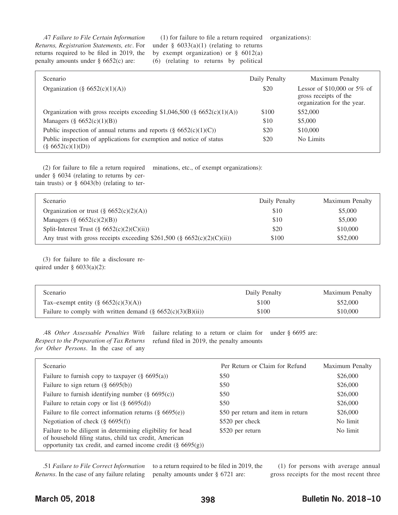.47 *Failure to File Certain Information Returns, Registration Statements, etc*. For returns required to be filed in 2019, the penalty amounts under § 6652(c) are:

(1) for failure to file a return required under  $§$  6033(a)(1) (relating to returns by exempt organization) or  $\S$  6012(a) (6) (relating to returns by political

organizations):

| Scenario                                                                                     | Daily Penalty | Maximum Penalty                                                                     |
|----------------------------------------------------------------------------------------------|---------------|-------------------------------------------------------------------------------------|
| Organization (§ $6652(c)(1)(A))$                                                             | \$20          | Lessor of $$10,000$ or 5% of<br>gross receipts of the<br>organization for the year. |
| Organization with gross receipts exceeding \$1,046,500 ( $\S$ 6652(c)(1)(A))                 | \$100         | \$52,000                                                                            |
| Managers $(\S 6652(c)(1)(B))$                                                                | \$10          | \$5,000                                                                             |
| Public inspection of annual returns and reports $(\S 6652(c)(1)(C))$                         | \$20          | \$10,000                                                                            |
| Public inspection of applications for exemption and notice of status<br>$(\$ 6652(c)(1)(D))$ | \$20          | No Limits                                                                           |

(2) for failure to file a return required under § 6034 (relating to returns by certain trusts) or  $\S$  6043(b) (relating to terminations, etc., of exempt organizations):

| Scenario                                                                | Daily Penalty | Maximum Penalty |
|-------------------------------------------------------------------------|---------------|-----------------|
| Organization or trust $(\S 6652(c)(2)(A))$                              | \$10          | \$5,000         |
| Managers $(\S 6652(c)(2)(B))$                                           | \$10          | \$5,000         |
| Split-Interest Trust $(\S 6652(c)(2)(C(ii))$                            | \$20          | \$10,000        |
| Any trust with gross receipts exceeding \$261,500 (§ 6652(c)(2)(C)(ii)) | \$100         | \$52,000        |

(3) for failure to file a disclosure required under  $\S$  6033(a)(2):

| Scenario                                                       | Daily Penalty | <b>Maximum Penalty</b> |
|----------------------------------------------------------------|---------------|------------------------|
| Tax-exempt entity $(\S 6652(c)(3)(A))$                         | \$100         | \$52,000               |
| Failure to comply with written demand $(\S 6652(c)(3)(B)(ii))$ | \$100         | \$10,000               |

.48 *Other Assessable Penalties With Respect to the Preparation of Tax Returns for Other Persons*. In the case of any failure relating to a return or claim for refund filed in 2019, the penalty amounts under § 6695 are:

| Scenario                                                                                                                                                                                | Per Return or Claim for Refund     | Maximum Penalty |
|-----------------------------------------------------------------------------------------------------------------------------------------------------------------------------------------|------------------------------------|-----------------|
| Failure to furnish copy to taxpayer $(\S 6695(a))$                                                                                                                                      | \$50                               | \$26,000        |
| Failure to sign return $(\S 6695(b))$                                                                                                                                                   | \$50                               | \$26,000        |
| Failure to furnish identifying number $(\S 6695(c))$                                                                                                                                    | \$50                               | \$26,000        |
| Failure to retain copy or list $(\S 6695(d))$                                                                                                                                           | \$50                               | \$26,000        |
| Failure to file correct information returns $(\S 6695(e))$                                                                                                                              | \$50 per return and item in return | \$26,000        |
| Negotiation of check $(\S 6695(f))$                                                                                                                                                     | \$520 per check                    | No limit        |
| Failure to be diligent in determining eligibility for head<br>of household filing status, child tax credit, American<br>opportunity tax credit, and earned income credit $(\S 6695(g))$ | \$520 per return                   | No limit        |

.51 *Failure to File Correct Information Returns*. In the case of any failure relating

to a return required to be filed in 2019, the penalty amounts under § 6721 are:

(1) for persons with average annual gross receipts for the most recent three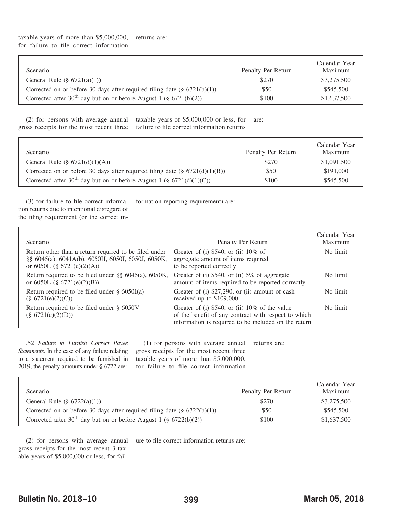| Scenario                                                                         | Penalty Per Return | Calendar Year<br>Maximum |
|----------------------------------------------------------------------------------|--------------------|--------------------------|
| General Rule $(\S 6721(a)(1))$                                                   | \$270              | \$3,275,500              |
| Corrected on or before 30 days after required filing date $(\S 6721(b)(1))$      | \$50               | \$545,500                |
| Corrected after 30 <sup>th</sup> day but on or before August 1 (§ $6721(b)(2)$ ) | \$100              | \$1,637,500              |

(2) for persons with average annual taxable years of \$5,000,000 or less, for are: gross receipts for the most recent three failure to file correct information returns

| <i>Scenario</i>                                                                  | Penalty Per Return | Calendar Year<br>Maximum |
|----------------------------------------------------------------------------------|--------------------|--------------------------|
| General Rule $(\S 6721(d)(1)(A))$                                                | \$270              | \$1,091,500              |
| Corrected on or before 30 days after required filing date $(\S$ 6721(d)(1)(B))   | \$50               | \$191,000                |
| Corrected after 30 <sup>th</sup> day but on or before August 1 (§ 6721(d)(1)(C)) | \$100              | \$545,500                |

(3) for failure to file correct information returns due to intentional disregard of formation reporting requirement) are:

the filing requirement (or the correct in-

| Scenario                                                                                                                                 | Penalty Per Return                                                                                                                                             | Calendar Year<br>Maximum |
|------------------------------------------------------------------------------------------------------------------------------------------|----------------------------------------------------------------------------------------------------------------------------------------------------------------|--------------------------|
| Return other than a return required to be filed under<br>§§ 6045(a), 6041A(b), 6050H, 6050I, 6050J, 6050K,<br>or 6050L (§ 6721(e)(2)(A)) | Greater of (i) $$540$ , or (ii) $10\%$ of<br>aggregate amount of items required<br>to be reported correctly                                                    | No limit                 |
| Return required to be filed under $\S$ § 6045(a), 6050K,<br>or 6050L $(\S$ 6721(e)(2)(B))                                                | Greater of (i) $$540$ , or (ii) $5\%$ of aggregate<br>amount of items required to be reported correctly                                                        | No limit                 |
| Return required to be filed under $\S$ 6050I(a)<br>$(\$ 6721(e)(2)(C))$                                                                  | Greater of (i) \$27,290, or (ii) amount of cash<br>received up to $$109,000$                                                                                   | No limit                 |
| Return required to be filed under $\S$ 6050V<br>$(\S 6721(e)(2)(D))$                                                                     | Greater of (i) \$540, or (ii) 10% of the value<br>of the benefit of any contract with respect to which<br>information is required to be included on the return | No limit                 |

.52 *Failure to Furnish Correct Payee Statements*. In the case of any failure relating to a statement required to be furnished in 2019, the penalty amounts under § 6722 are:

(1) for persons with average annual gross receipts for the most recent three taxable years of more than \$5,000,000, for failure to file correct information returns are:

| Scenario                                                                         | Penalty Per Return | Calendar Year<br>Maximum |
|----------------------------------------------------------------------------------|--------------------|--------------------------|
| General Rule $(\S 6722(a)(1))$                                                   | \$270              | \$3,275,500              |
| Corrected on or before 30 days after required filing date $(\S 6722(b)(1))$      | \$50               | \$545,500                |
| Corrected after 30 <sup>th</sup> day but on or before August 1 (§ $6722(b)(2)$ ) | \$100              | \$1,637,500              |

(2) for persons with average annual gross receipts for the most recent 3 taxable years of \$5,000,000 or less, for failure to file correct information returns are: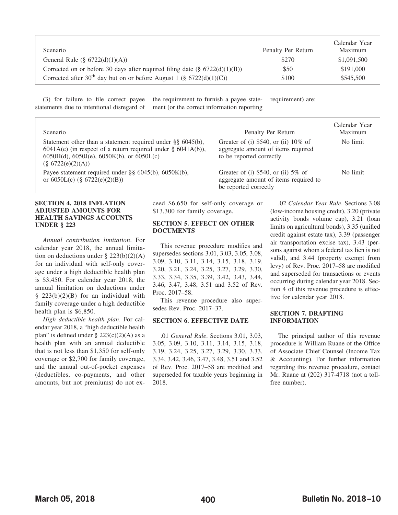| <i>Scenario</i>                                                                     | Penalty Per Return | Calendar Year<br>Maximum |
|-------------------------------------------------------------------------------------|--------------------|--------------------------|
| General Rule $(\S 6722(d)(1)(A))$                                                   | \$270              | \$1,091,500              |
| Corrected on or before 30 days after required filing date $(\S$ 6722(d)(1)(B))      | \$50               | \$191,000                |
| Corrected after 30 <sup>th</sup> day but on or before August 1 (§ $6722(d)(1)(C)$ ) | \$100              | \$545,500                |

(3) for failure to file correct payee statements due to intentional disregard of the requirement to furnish a payee statement (or the correct information reporting requirement) are:

| <b>Scenario</b>                                                                                                                                                                                                    | Penalty Per Return                                                                                          | Calendar Year<br>Maximum |
|--------------------------------------------------------------------------------------------------------------------------------------------------------------------------------------------------------------------|-------------------------------------------------------------------------------------------------------------|--------------------------|
| Statement other than a statement required under $\S\S 6045(b)$ ,<br>$6041A(e)$ (in respect of a return required under § 6041A(b)),<br>$6050H(d)$ , $6050J(e)$ , $6050K(b)$ , or $6050L(c)$<br>$(\$ 6722(e)(2)(A))$ | Greater of (i) $$540$ , or (ii) $10\%$ of<br>aggregate amount of items required<br>to be reported correctly | No limit                 |
| Payee statement required under $\S$ § 6045(b), 6050K(b),<br>or $6050L(c)$ (§ $6722(e)(2)(B)$ )                                                                                                                     | Greater of (i) $$540$ , or (ii) $5\%$ of<br>aggregate amount of items required to<br>be reported correctly  | No limit                 |

#### <span id="page-16-0"></span>**SECTION 4. 2018 INFLATION ADJUSTED AMOUNTS FOR HEALTH SAVINGS ACCOUNTS UNDER § 223**

*Annual contribution limitation*. For calendar year 2018, the annual limitation on deductions under  $\S$  223(b)(2)(A) for an individual with self-only coverage under a high deductible health plan is \$3,450. For calendar year 2018, the annual limitation on deductions under §  $223(b)(2)(B)$  for an individual with family coverage under a high deductible health plan is \$6,850.

*High deductible health plan*. For calendar year 2018, a "high deductible health plan" is defined under  $\S 223(c)(2)(A)$  as a health plan with an annual deductible that is not less than \$1,350 for self-only coverage or \$2,700 for family coverage, and the annual out-of-pocket expenses (deductibles, co-payments, and other amounts, but not premiums) do not exceed \$6,650 for self-only coverage or \$13,300 for family coverage.

#### <span id="page-16-1"></span>**SECTION 5. EFFECT ON OTHER DOCUMENTS**

This revenue procedure modifies and supersedes sections 3.01, 3.03, 3.05, 3.08, 3.09, 3.10, 3.11, 3.14, 3.15, 3.18, 3.19, 3.20, 3.21, 3.24, 3.25, 3.27, 3.29, 3.30, 3.33, 3.34, 3.35, 3.39, 3.42, 3.43, 3.44, 3.46, 3.47, 3.48, 3.51 and 3.52 of Rev. Proc. 2017–58.

This revenue procedure also supersedes Rev. Proc. 2017–37.

#### <span id="page-16-2"></span>**SECTION 6. EFFECTIVE DATE**

.01 *General Rule*. Sections 3.01, 3.03, 3.05, 3.09, 3.10, 3.11, 3.14, 3.15, 3.18, 3.19, 3.24, 3.25, 3.27, 3.29, 3.30, 3.33, 3.34, 3.42, 3.46, 3.47, 3.48, 3.51 and 3.52 of Rev. Proc. 2017–58 are modified and superseded for taxable years beginning in 2018.

.02 *Calendar Year Rule*. Sections 3.08 (low-income housing credit), 3.20 (private activity bonds volume cap), 3.21 (loan limits on agricultural bonds), 3.35 (unified credit against estate tax), 3.39 (passenger air transportation excise tax), 3.43 (persons against whom a federal tax lien is not valid), and 3.44 (property exempt from levy) of Rev. Proc. 2017–58 are modified and superseded for transactions or events occurring during calendar year 2018. Section 4 of this revenue procedure is effective for calendar year 2018.

#### <span id="page-16-3"></span>**SECTION 7. DRAFTING INFORMATION**

The principal author of this revenue procedure is William Ruane of the Office of Associate Chief Counsel (Income Tax & Accounting). For further information regarding this revenue procedure, contact Mr. Ruane at (202) 317-4718 (not a tollfree number).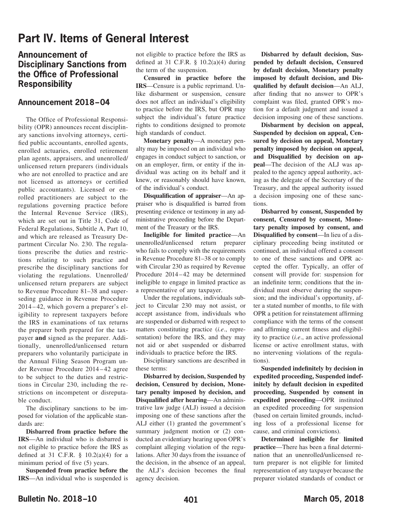# **Part IV. Items of General Interest**

## **Announcement of Disciplinary Sanctions from the Office of Professional Responsibility**

### <span id="page-17-0"></span>**Announcement 2018–04**

The Office of Professional Responsibility (OPR) announces recent disciplinary sanctions involving attorneys, certified public accountants, enrolled agents, enrolled actuaries, enrolled retirement plan agents, appraisers, and unenrolled/ unlicensed return preparers (individuals who are not enrolled to practice and are not licensed as attorneys or certified public accountants). Licensed or enrolled practitioners are subject to the regulations governing practice before the Internal Revenue Service (IRS), which are set out in Title 31, Code of Federal Regulations, Subtitle A, Part 10, and which are released as Treasury Department Circular No. 230. The regulations prescribe the duties and restrictions relating to such practice and prescribe the disciplinary sanctions for violating the regulations. Unenrolled/ unlicensed return preparers are subject to Revenue Procedure 81–38 and superseding guidance in Revenue Procedure 2014–42, which govern a preparer's eligibility to represent taxpayers before the IRS in examinations of tax returns the preparer both prepared for the taxpayer **and** signed as the preparer. Additionally, unenrolled/unlicensed return preparers who voluntarily participate in the Annual Filing Season Program under Revenue Procedure 2014–42 agree to be subject to the duties and restrictions in Circular 230, including the restrictions on incompetent or disreputable conduct.

The disciplinary sanctions to be imposed for violation of the applicable standards are:

**Disbarred from practice before the IRS**—An individual who is disbarred is not eligible to practice before the IRS as defined at 31 C.F.R.  $\S$  10.2(a)(4) for a minimum period of five (5) years.

**Suspended from practice before the IRS**—An individual who is suspended is not eligible to practice before the IRS as defined at 31 C.F.R.  $\S$  10.2(a)(4) during the term of the suspension.

**Censured in practice before the IRS**—Censure is a public reprimand. Unlike disbarment or suspension, censure does not affect an individual's eligibility to practice before the IRS, but OPR may subject the individual's future practice rights to conditions designed to promote high standards of conduct.

**Monetary penalty**—A monetary penalty may be imposed on an individual who engages in conduct subject to sanction, or on an employer, firm, or entity if the individual was acting on its behalf and it knew, or reasonably should have known, of the individual's conduct.

**Disqualification of appraiser**—An appraiser who is disqualified is barred from presenting evidence or testimony in any administrative proceeding before the Department of the Treasury or the IRS.

**Ineligible for limited practice**—An unenrolled/unlicensed return preparer who fails to comply with the requirements in Revenue Procedure 81–38 or to comply with Circular 230 as required by Revenue Procedure 2014–42 may be determined ineligible to engage in limited practice as a representative of any taxpayer.

Under the regulations, individuals subject to Circular 230 may not assist, or accept assistance from, individuals who are suspended or disbarred with respect to matters constituting practice (*i.e*., representation) before the IRS, and they may not aid or abet suspended or disbarred individuals to practice before the IRS.

Disciplinary sanctions are described in these terms:

**Disbarred by decision, Suspended by decision, Censured by decision, Monetary penalty imposed by decision, and Disqualified after hearing**—An administrative law judge (ALJ) issued a decision imposing one of these sanctions after the ALJ either (1) granted the government's summary judgment motion or  $(2)$  conducted an evidentiary hearing upon OPR's complaint alleging violation of the regulations. After 30 days from the issuance of the decision, in the absence of an appeal, the ALJ's decision becomes the final agency decision.

**Disbarred by default decision, Suspended by default decision, Censured by default decision, Monetary penalty imposed by default decision, and Disqualified by default decision**—An ALJ, after finding that no answer to OPR's complaint was filed, granted OPR's motion for a default judgment and issued a decision imposing one of these sanctions.

**Disbarment by decision on appeal, Suspended by decision on appeal, Censured by decision on appeal, Monetary penalty imposed by decision on appeal, and Disqualified by decision on appeal**—The decision of the ALJ was appealed to the agency appeal authority, acting as the delegate of the Secretary of the Treasury, and the appeal authority issued a decision imposing one of these sanctions.

**Disbarred by consent, Suspended by consent, Censured by consent, Monetary penalty imposed by consent, and Disqualified by consent**—In lieu of a disciplinary proceeding being instituted or continued, an individual offered a consent to one of these sanctions and OPR accepted the offer. Typically, an offer of consent will provide for: suspension for an indefinite term; conditions that the individual must observe during the suspension; and the individual's opportunity, after a stated number of months, to file with OPR a petition for reinstatement affirming compliance with the terms of the consent and affirming current fitness and eligibility to practice (*i.e*., an active professional license or active enrollment status, with no intervening violations of the regulations).

**Suspended indefinitely by decision in expedited proceeding, Suspended indefinitely by default decision in expedited proceeding, Suspended by consent in expedited proceeding**—OPR instituted an expedited proceeding for suspension (based on certain limited grounds, including loss of a professional license for cause, and criminal convictions).

**Determined ineligible for limited practice**—There has been a final determination that an unenrolled/unlicensed return preparer is not eligible for limited representation of any taxpayer because the preparer violated standards of conduct or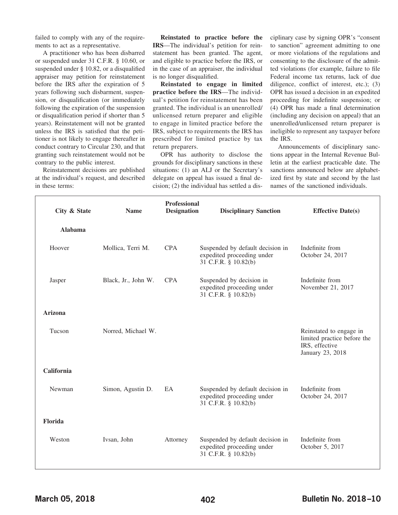failed to comply with any of the requirements to act as a representative.

A practitioner who has been disbarred or suspended under 31 C.F.R. § 10.60, or suspended under § 10.82, or a disqualified appraiser may petition for reinstatement before the IRS after the expiration of 5 years following such disbarment, suspension, or disqualification (or immediately following the expiration of the suspension or disqualification period if shorter than 5 years). Reinstatement will not be granted unless the IRS is satisfied that the petitioner is not likely to engage thereafter in conduct contrary to Circular 230, and that granting such reinstatement would not be contrary to the public interest.

Reinstatement decisions are published at the individual's request, and described in these terms:

**Reinstated to practice before the IRS**—The individual's petition for reinstatement has been granted. The agent, and eligible to practice before the IRS, or in the case of an appraiser, the individual is no longer disqualified.

**Reinstated to engage in limited practice before the IRS**—The individual's petition for reinstatement has been granted. The individual is an unenrolled/ unlicensed return preparer and eligible to engage in limited practice before the IRS, subject to requirements the IRS has prescribed for limited practice by tax return preparers.

OPR has authority to disclose the grounds for disciplinary sanctions in these situations: (1) an ALJ or the Secretary's delegate on appeal has issued a final decision; (2) the individual has settled a disciplinary case by signing OPR's "consent to sanction" agreement admitting to one or more violations of the regulations and consenting to the disclosure of the admitted violations (for example, failure to file Federal income tax returns, lack of due diligence, conflict of interest, etc.); (3) OPR has issued a decision in an expedited proceeding for indefinite suspension; or (4) OPR has made a final determination (including any decision on appeal) that an unenrolled/unlicensed return preparer is ineligible to represent any taxpayer before the IRS.

Announcements of disciplinary sanctions appear in the Internal Revenue Bulletin at the earliest practicable date. The sanctions announced below are alphabetized first by state and second by the last names of the sanctioned individuals.

| City & State   | <b>Name</b>         | <b>Professional</b><br><b>Designation</b> | <b>Disciplinary Sanction</b>                                                           | <b>Effective Date(s)</b>                                                                     |
|----------------|---------------------|-------------------------------------------|----------------------------------------------------------------------------------------|----------------------------------------------------------------------------------------------|
| <b>Alabama</b> |                     |                                           |                                                                                        |                                                                                              |
| Hoover         | Mollica, Terri M.   | <b>CPA</b>                                | Suspended by default decision in<br>expedited proceeding under<br>31 C.F.R. § 10.82(b) | Indefinite from<br>October 24, 2017                                                          |
| Jasper         | Black, Jr., John W. | <b>CPA</b>                                | Suspended by decision in<br>expedited proceeding under<br>31 C.F.R. § 10.82(b)         | Indefinite from<br>November 21, 2017                                                         |
| <b>Arizona</b> |                     |                                           |                                                                                        |                                                                                              |
| Tucson         | Norred, Michael W.  |                                           |                                                                                        | Reinstated to engage in<br>limited practice before the<br>IRS, effective<br>January 23, 2018 |
| California     |                     |                                           |                                                                                        |                                                                                              |
| Newman         | Simon, Agustin D.   | EA                                        | Suspended by default decision in<br>expedited proceeding under<br>31 C.F.R. § 10.82(b) | Indefinite from<br>October 24, 2017                                                          |
| Florida        |                     |                                           |                                                                                        |                                                                                              |
| Weston         | Ivsan, John         | Attorney                                  | Suspended by default decision in<br>expedited proceeding under<br>31 C.F.R. § 10.82(b) | Indefinite from<br>October 5, 2017                                                           |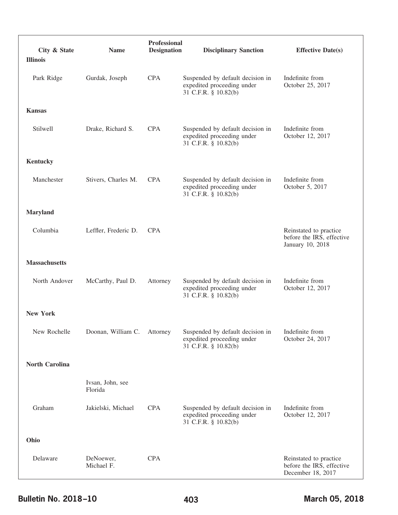| City & State          | <b>Name</b>                 | <b>Professional</b><br><b>Designation</b> | <b>Disciplinary Sanction</b>                                                           | <b>Effective Date(s)</b>                                                 |
|-----------------------|-----------------------------|-------------------------------------------|----------------------------------------------------------------------------------------|--------------------------------------------------------------------------|
| <b>Illinois</b>       |                             |                                           |                                                                                        |                                                                          |
| Park Ridge            | Gurdak, Joseph              | <b>CPA</b>                                | Suspended by default decision in<br>expedited proceeding under<br>31 C.F.R. § 10.82(b) | Indefinite from<br>October 25, 2017                                      |
| <b>Kansas</b>         |                             |                                           |                                                                                        |                                                                          |
| Stilwell              | Drake, Richard S.           | <b>CPA</b>                                | Suspended by default decision in<br>expedited proceeding under<br>31 C.F.R. § 10.82(b) | Indefinite from<br>October 12, 2017                                      |
| Kentucky              |                             |                                           |                                                                                        |                                                                          |
| Manchester            | Stivers, Charles M.         | <b>CPA</b>                                | Suspended by default decision in<br>expedited proceeding under<br>31 C.F.R. § 10.82(b) | Indefinite from<br>October 5, 2017                                       |
| <b>Maryland</b>       |                             |                                           |                                                                                        |                                                                          |
| Columbia              | Leffler, Frederic D.        | <b>CPA</b>                                |                                                                                        | Reinstated to practice<br>before the IRS, effective<br>January 10, 2018  |
| <b>Massachusetts</b>  |                             |                                           |                                                                                        |                                                                          |
| North Andover         | McCarthy, Paul D.           | Attorney                                  | Suspended by default decision in<br>expedited proceeding under<br>31 C.F.R. § 10.82(b) | Indefinite from<br>October 12, 2017                                      |
| <b>New York</b>       |                             |                                           |                                                                                        |                                                                          |
| New Rochelle          | Doonan, William C.          | Attorney                                  | Suspended by default decision in<br>expedited proceeding under<br>31 C.F.R. § 10.82(b) | Indefinite from<br>October 24, 2017                                      |
| <b>North Carolina</b> |                             |                                           |                                                                                        |                                                                          |
|                       | Ivsan, John, see<br>Florida |                                           |                                                                                        |                                                                          |
| Graham                | Jakielski, Michael          | <b>CPA</b>                                | Suspended by default decision in<br>expedited proceeding under<br>31 C.F.R. § 10.82(b) | Indefinite from<br>October 12, 2017                                      |
| Ohio                  |                             |                                           |                                                                                        |                                                                          |
| Delaware              | DeNoewer,<br>Michael F.     | <b>CPA</b>                                |                                                                                        | Reinstated to practice<br>before the IRS, effective<br>December 18, 2017 |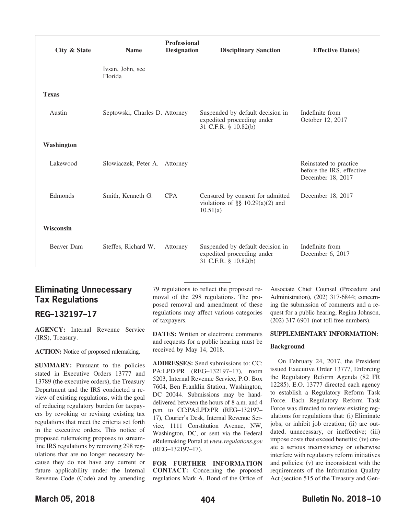| City & State | <b>Name</b>                    | <b>Professional</b><br><b>Designation</b> | <b>Disciplinary Sanction</b>                                                           | <b>Effective Date(s)</b>                                                 |
|--------------|--------------------------------|-------------------------------------------|----------------------------------------------------------------------------------------|--------------------------------------------------------------------------|
|              | Ivsan, John, see<br>Florida    |                                           |                                                                                        |                                                                          |
| <b>Texas</b> |                                |                                           |                                                                                        |                                                                          |
| Austin       | Septowski, Charles D. Attorney |                                           | Suspended by default decision in<br>expedited proceeding under<br>31 C.F.R. § 10.82(b) | Indefinite from<br>October 12, 2017                                      |
| Washington   |                                |                                           |                                                                                        |                                                                          |
| Lakewood     | Slowiaczek, Peter A. Attorney  |                                           |                                                                                        | Reinstated to practice<br>before the IRS, effective<br>December 18, 2017 |
| Edmonds      | Smith, Kenneth G.              | <b>CPA</b>                                | Censured by consent for admitted<br>violations of §§ $10.29(a)(2)$ and<br>10.51(a)     | December 18, 2017                                                        |
| Wisconsin    |                                |                                           |                                                                                        |                                                                          |
| Beaver Dam   | Steffes, Richard W.            | Attorney                                  | Suspended by default decision in<br>expedited proceeding under<br>31 C.F.R. § 10.82(b) | Indefinite from<br>December 6, 2017                                      |

## **Eliminating Unnecessary Tax Regulations**

## <span id="page-20-0"></span>**REG–132197–17**

**AGENCY:** Internal Revenue Service (IRS), Treasury.

**ACTION:** Notice of proposed rulemaking.

**SUMMARY:** Pursuant to the policies stated in Executive Orders 13777 and 13789 (the executive orders), the Treasury Department and the IRS conducted a review of existing regulations, with the goal of reducing regulatory burden for taxpayers by revoking or revising existing tax regulations that meet the criteria set forth in the executive orders. This notice of proposed rulemaking proposes to streamline IRS regulations by removing 298 regulations that are no longer necessary because they do not have any current or future applicability under the Internal Revenue Code (Code) and by amending 79 regulations to reflect the proposed removal of the 298 regulations. The proposed removal and amendment of these regulations may affect various categories of taxpayers.

**DATES:** Written or electronic comments and requests for a public hearing must be received by May 14, 2018.

**ADDRESSES:** Send submissions to: CC: PA:LPD:PR (REG–132197–17), room 5203, Internal Revenue Service, P.O. Box 7604, Ben Franklin Station, Washington, DC 20044. Submissions may be handdelivered between the hours of 8 a.m. and 4 p.m. to CC:PA:LPD:PR (REG–132197– 17), Courier's Desk, Internal Revenue Service, 1111 Constitution Avenue, NW, Washington, DC, or sent via the Federal eRulemaking Portal at *www.regulations.gov* (REG–132197–17).

**FOR FURTHER INFORMATION CONTACT:** Concerning the proposed regulations Mark A. Bond of the Office of

Associate Chief Counsel (Procedure and Administration), (202) 317-6844; concerning the submission of comments and a request for a public hearing, Regina Johnson, (202) 317-6901 (not toll-free numbers).

#### **SUPPLEMENTARY INFORMATION:**

#### **Background**

On February 24, 2017, the President issued Executive Order 13777, Enforcing the Regulatory Reform Agenda (82 FR 12285). E.O. 13777 directed each agency to establish a Regulatory Reform Task Force. Each Regulatory Reform Task Force was directed to review existing regulations for regulations that: (i) Eliminate jobs, or inhibit job creation; (ii) are outdated, unnecessary, or ineffective; (iii) impose costs that exceed benefits; (iv) create a serious inconsistency or otherwise interfere with regulatory reform initiatives and policies; (v) are inconsistent with the requirements of the Information Quality Act (section 515 of the Treasury and Gen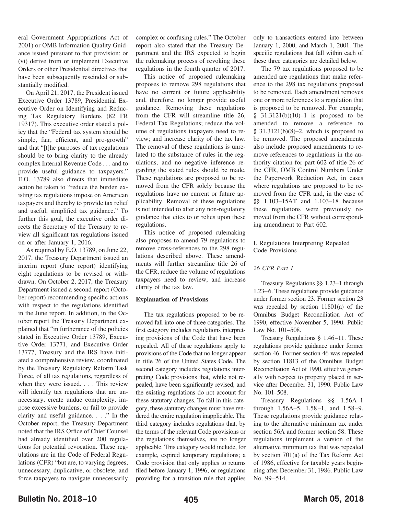eral Government Appropriations Act of 2001) or OMB Information Quality Guidance issued pursuant to that provision; or (vi) derive from or implement Executive Orders or other Presidential directives that have been subsequently rescinded or substantially modified.

On April 21, 2017, the President issued Executive Order 13789, Presidential Executive Order on Identifying and Reducing Tax Regulatory Burdens (82 FR 19317). This executive order stated a policy that the "Federal tax system should be simple, fair, efficient, and pro-growth" and that "[t]he purposes of tax regulations should be to bring clarity to the already complex Internal Revenue Code . . . and to provide useful guidance to taxpayers." E.O. 13789 also directs that immediate action be taken to "reduce the burden existing tax regulations impose on American taxpayers and thereby to provide tax relief and useful, simplified tax guidance." To further this goal, the executive order directs the Secretary of the Treasury to review all significant tax regulations issued on or after January 1, 2016.

As required by E.O. 13789, on June 22, 2017, the Treasury Department issued an interim report (June report) identifying eight regulations to be revised or withdrawn. On October 2, 2017, the Treasury Department issued a second report (October report) recommending specific actions with respect to the regulations identified in the June report. In addition, in the October report the Treasury Department explained that "in furtherance of the policies stated in Executive Order 13789, Executive Order 13771, and Executive Order 13777, Treasury and the IRS have initiated a comprehensive review, coordinated by the Treasury Regulatory Reform Task Force, of all tax regulations, regardless of when they were issued.... This review will identify tax regulations that are unnecessary, create undue complexity, impose excessive burdens, or fail to provide clarity and useful guidance. . . ." In the October report, the Treasury Department noted that the IRS Office of Chief Counsel had already identified over 200 regulations for potential revocation. These regulations are in the Code of Federal Regulations (CFR) "but are, to varying degrees, unnecessary, duplicative, or obsolete, and force taxpayers to navigate unnecessarily

complex or confusing rules." The October report also stated that the Treasury Department and the IRS expected to begin the rulemaking process of revoking these regulations in the fourth quarter of 2017.

This notice of proposed rulemaking proposes to remove 298 regulations that have no current or future applicability and, therefore, no longer provide useful guidance. Removing these regulations from the CFR will streamline title 26, Federal Tax Regulations; reduce the volume of regulations taxpayers need to review; and increase clarity of the tax law. The removal of these regulations is unrelated to the substance of rules in the regulations, and no negative inference regarding the stated rules should be made. These regulations are proposed to be removed from the CFR solely because the regulations have no current or future applicability. Removal of these regulations is not intended to alter any non-regulatory guidance that cites to or relies upon these regulations.

This notice of proposed rulemaking also proposes to amend 79 regulations to remove cross-references to the 298 regulations described above. These amendments will further streamline title 26 of the CFR, reduce the volume of regulations taxpayers need to review, and increase clarity of the tax law.

#### **Explanation of Provisions**

The tax regulations proposed to be removed fall into one of three categories. The first category includes regulations interpreting provisions of the Code that have been repealed. All of these regulations apply to provisions of the Code that no longer appear in title 26 of the United States Code. The second category includes regulations interpreting Code provisions that, while not repealed, have been significantly revised, and the existing regulations do not account for these statutory changes. To fall in this category, these statutory changes must have rendered the entire regulation inapplicable. The third category includes regulations that, by the terms of the relevant Code provisions or the regulations themselves, are no longer applicable. This category would include, for example, expired temporary regulations; a Code provision that only applies to returns filed before January 1, 1996; or regulations providing for a transition rule that applies

only to transactions entered into between January 1, 2000, and March 1, 2001. The specific regulations that fall within each of these three categories are detailed below.

The 79 tax regulations proposed to be amended are regulations that make reference to the 298 tax regulations proposed to be removed. Each amendment removes one or more references to a regulation that is proposed to be removed. For example,  $§$  31.3121(b)(10)-1 is proposed to be amended to remove a reference to  $§$  31.3121(b)(8)-2, which is proposed to be removed. The proposed amendments also include proposed amendments to remove references to regulations in the authority citation for part 602 of title 26 of the CFR, OMB Control Numbers Under the Paperwork Reduction Act, in cases where regulations are proposed to be removed from the CFR and, in the case of §§ 1.103–15AT and 1.103–18 because these regulations were previously removed from the CFR without corresponding amendment to Part 602.

I. Regulations Interpreting Repealed Code Provisions

#### *26 CFR Part 1*

Treasury Regulations §§ 1.23–1 through 1.23–6. These regulations provide guidance under former section 23. Former section 23 was repealed by section 11801(a) of the Omnibus Budget Reconciliation Act of 1990, effective November 5, 1990. Public Law No. 101–508.

Treasury Regulations § 1.46–11. These regulations provide guidance under former section 46. Former section 46 was repealed by section 11813 of the Omnibus Budget Reconciliation Act of 1990, effective generally with respect to property placed in service after December 31, 1990. Public Law No. 101–508.

Treasury Regulations §§ 1.56A–1 through 1.56A–5, 1.58–1, and 1.58–9. These regulations provide guidance relating to the alternative minimum tax under section 56A and former section 58. These regulations implement a version of the alternative minimum tax that was repealed by section 701(a) of the Tax Reform Act of 1986, effective for taxable years beginning after December 31, 1986. Public Law No. 99–514.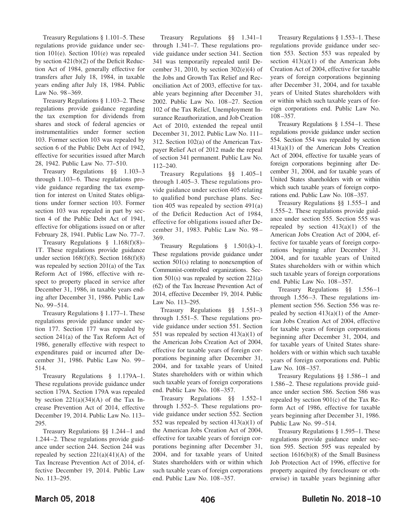Treasury Regulations § 1.101–5. These regulations provide guidance under section 101(e). Section 101(e) was repealed by section 421(b)(2) of the Deficit Reduction Act of 1984, generally effective for transfers after July 18, 1984, in taxable years ending after July 18, 1984. Public Law No. 98–369.

Treasury Regulations § 1.103–2. These regulations provide guidance regarding the tax exemption for dividends from shares and stock of federal agencies or instrumentalities under former section 103. Former section 103 was repealed by section 6 of the Public Debt Act of 1942, effective for securities issued after March 28, 1942. Public Law No. 77–510.

Treasury Regulations §§ 1.103–3 through 1.103–6. These regulations provide guidance regarding the tax exemption for interest on United States obligations under former section 103. Former section 103 was repealed in part by section 4 of the Public Debt Act of 1941, effective for obligations issued on or after February 28, 1941. Public Law No. 77–7.

Treasury Regulations § 1.168(f)(8)– 1T. These regulations provide guidance under section  $168(f)(8)$ . Section  $168(f)(8)$ was repealed by section 201(a) of the Tax Reform Act of 1986, effective with respect to property placed in service after December 31, 1986, in taxable years ending after December 31, 1986. Public Law No. 99–514.

Treasury Regulations § 1.177–1. These regulations provide guidance under section 177. Section 177 was repealed by section 241(a) of the Tax Reform Act of 1986, generally effective with respect to expenditures paid or incurred after December 31, 1986. Public Law No. 99– 514.

Treasury Regulations § 1.179A–1. These regulations provide guidance under section 179A. Section 179A was repealed by section  $221(a)(34)(A)$  of the Tax Increase Prevention Act of 2014, effective December 19, 2014. Public Law No. 113– 295.

Treasury Regulations §§ 1.244–1 and 1.244–2. These regulations provide guidance under section 244. Section 244 was repealed by section  $221(a)(41)(A)$  of the Tax Increase Prevention Act of 2014, effective December 19, 2014. Public Law No. 113–295.

Treasury Regulations §§ 1.341–1 through 1.341–7. These regulations provide guidance under section 341. Section 341 was temporarily repealed until December 31, 2010, by section  $302(e)(4)$  of the Jobs and Growth Tax Relief and Reconciliation Act of 2003, effective for taxable years beginning after December 31, 2002. Public Law No. 108–27. Section 102 of the Tax Relief, Unemployment Insurance Reauthorization, and Job Creation Act of 2010, extended the repeal until December 31, 2012. Public Law No. 111– 312. Section 102(a) of the American Taxpayer Relief Act of 2012 made the repeal of section 341 permanent. Public Law No. 112–240.

Treasury Regulations §§ 1.405–1 through 1.405–3. These regulations provide guidance under section 405 relating to qualified bond purchase plans. Section 405 was repealed by section 491(a) of the Deficit Reduction Act of 1984, effective for obligations issued after December 31, 1983. Public Law No. 98– 369.

Treasury Regulations § 1.501(k)–1. These regulations provide guidance under section 501(s) relating to nonexemption of Communist-controlled organizations. Section 501(s) was repealed by section 221(a) (62) of the Tax Increase Prevention Act of 2014, effective December 19, 2014. Public Law No. 113–295.

Treasury Regulations §§ 1.551–3 through 1.551–5. These regulations provide guidance under section 551. Section 551 was repealed by section  $413(a)(1)$  of the American Jobs Creation Act of 2004, effective for taxable years of foreign corporations beginning after December 31, 2004, and for taxable years of United States shareholders with or within which such taxable years of foreign corporations end. Public Law No. 108–357.

Treasury Regulations §§ 1.552–1 through 1.552–5. These regulations provide guidance under section 552. Section 552 was repealed by section  $413(a)(1)$  of the American Jobs Creation Act of 2004, effective for taxable years of foreign corporations beginning after December 31, 2004, and for taxable years of United States shareholders with or within which such taxable years of foreign corporations end. Public Law No. 108–357.

Treasury Regulations § 1.553–1. These regulations provide guidance under section 553. Section 553 was repealed by section  $413(a)(1)$  of the American Jobs Creation Act of 2004, effective for taxable years of foreign corporations beginning after December 31, 2004, and for taxable years of United States shareholders with or within which such taxable years of foreign corporations end. Public Law No. 108–357.

Treasury Regulations § 1.554–1. These regulations provide guidance under section 554. Section 554 was repealed by section 413(a)(1) of the American Jobs Creation Act of 2004, effective for taxable years of foreign corporations beginning after December 31, 2004, and for taxable years of United States shareholders with or within which such taxable years of foreign corporations end. Public Law No. 108–357.

Treasury Regulations §§ 1.555–1 and 1.555–2. These regulations provide guidance under section 555. Section 555 was repealed by section  $413(a)(1)$  of the American Jobs Creation Act of 2004, effective for taxable years of foreign corporations beginning after December 31, 2004, and for taxable years of United States shareholders with or within which such taxable years of foreign corporations end. Public Law No. 108–357.

Treasury Regulations §§ 1.556–1 through 1.556–3. These regulations implement section 556. Section 556 was repealed by section  $413(a)(1)$  of the American Jobs Creation Act of 2004, effective for taxable years of foreign corporations beginning after December 31, 2004, and for taxable years of United States shareholders with or within which such taxable years of foreign corporations end. Public Law No. 108–357.

Treasury Regulations §§ 1.586–1 and 1.586–2. These regulations provide guidance under section 586. Section 586 was repealed by section 901(c) of the Tax Reform Act of 1986, effective for taxable years beginning after December 31, 1986. Public Law No. 99–514.

Treasury Regulations § 1.595–1. These regulations provide guidance under section 595. Section 595 was repealed by section 1616(b)(8) of the Small Business Job Protection Act of 1996, effective for property acquired (by foreclosure or otherwise) in taxable years beginning after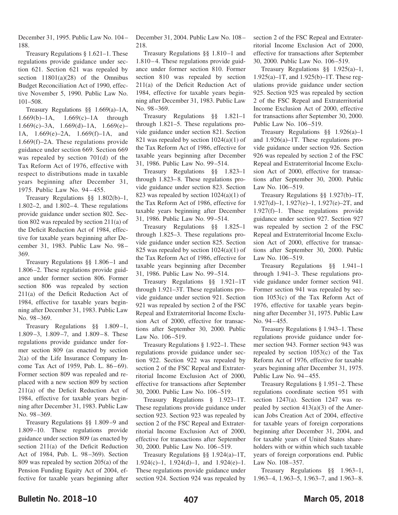December 31, 1995. Public Law No. 104– 188.

Treasury Regulations § 1.621–1. These regulations provide guidance under section 621. Section 621 was repealed by section 11801(a)(28) of the Omnibus Budget Reconciliation Act of 1990, effective November 5, 1990. Public Law No. 101–508.

Treasury Regulations §§ 1.669(a)–1A, 1.669(b)–1A, 1.669(c)–1A through 1.669 $(c)$ –3A, 1.669 $(d)$ –1A, 1.669 $(e)$ – 1A, 1.669(e)–2A, 1.669(f)–1A, and 1.669(f)–2A. These regulations provide guidance under section 669. Section 669 was repealed by section 701(d) of the Tax Reform Act of 1976, effective with respect to distributions made in taxable years beginning after December 31, 1975. Public Law No. 94–455.

Treasury Regulations §§ 1.802(b)–1, 1.802–2, and 1.802–4. These regulations provide guidance under section 802. Section 802 was repealed by section 211(a) of the Deficit Reduction Act of 1984, effective for taxable years beginning after December 31, 1983. Public Law No. 98– 369.

Treasury Regulations §§ 1.806–1 and 1.806–2. These regulations provide guidance under former section 806. Former section 806 was repealed by section 211(a) of the Deficit Reduction Act of 1984, effective for taxable years beginning after December 31, 1983. Public Law No. 98–369.

Treasury Regulations §§ 1.809–1, 1.809–3, 1.809–7, and 1.809–8. These regulations provide guidance under former section 809 (as enacted by section 2(a) of the Life Insurance Company Income Tax Act of 1959, Pub. L. 86–69). Former section 809 was repealed and replaced with a new section 809 by section 211(a) of the Deficit Reduction Act of 1984, effective for taxable years beginning after December 31, 1983. Public Law No. 98–369.

Treasury Regulations §§ 1.809–9 and 1.809–10. These regulations provide guidance under section 809 (as enacted by section 211(a) of the Deficit Reduction Act of 1984, Pub. L. 98–369). Section 809 was repealed by section 205(a) of the Pension Funding Equity Act of 2004, effective for taxable years beginning after December 31, 2004. Public Law No. 108– 218.

Treasury Regulations §§ 1.810–1 and 1.810–4. These regulations provide guidance under former section 810. Former section 810 was repealed by section 211(a) of the Deficit Reduction Act of 1984, effective for taxable years beginning after December 31, 1983. Public Law No. 98–369.

Treasury Regulations §§ 1.821–1 through 1.821–5. These regulations provide guidance under section 821. Section 821 was repealed by section  $1024(a)(1)$  of the Tax Reform Act of 1986, effective for taxable years beginning after December 31, 1986. Public Law No. 99–514.

Treasury Regulations §§ 1.823–1 through 1.823–8. These regulations provide guidance under section 823. Section 823 was repealed by section  $1024(a)(1)$  of the Tax Reform Act of 1986, effective for taxable years beginning after December 31, 1986. Public Law No. 99–514.

Treasury Regulations §§ 1.825–1 through 1.825–3. These regulations provide guidance under section 825. Section 825 was repealed by section  $1024(a)(1)$  of the Tax Reform Act of 1986, effective for taxable years beginning after December 31, 1986. Public Law No. 99–514.

Treasury Regulations §§ 1.921–1T through 1.921–3T. These regulations provide guidance under section 921. Section 921 was repealed by section 2 of the FSC Repeal and Extraterritorial Income Exclusion Act of 2000, effective for transactions after September 30, 2000. Public Law No. 106–519.

Treasury Regulations § 1.922–1. These regulations provide guidance under section 922. Section 922 was repealed by section 2 of the FSC Repeal and Extraterritorial Income Exclusion Act of 2000, effective for transactions after September 30, 2000. Public Law No. 106–519.

Treasury Regulations § 1.923–1T. These regulations provide guidance under section 923. Section 923 was repealed by section 2 of the FSC Repeal and Extraterritorial Income Exclusion Act of 2000, effective for transactions after September 30, 2000. Public Law No. 106–519.

Treasury Regulations §§ 1.924(a)–1T, 1.924(c)–1, 1.924(d)–1, and 1.924(e)–1. These regulations provide guidance under section 924. Section 924 was repealed by section 2 of the FSC Repeal and Extraterritorial Income Exclusion Act of 2000, effective for transactions after September 30, 2000. Public Law No. 106–519.

Treasury Regulations §§ 1.925(a)–1, 1.925(a)–1T, and 1.925(b)–1T. These regulations provide guidance under section 925. Section 925 was repealed by section 2 of the FSC Repeal and Extraterritorial Income Exclusion Act of 2000, effective for transactions after September 30, 2000. Public Law No. 106–519.

Treasury Regulations §§ 1.926(a)–1 and 1.926(a)–1T. These regulations provide guidance under section 926. Section 926 was repealed by section 2 of the FSC Repeal and Extraterritorial Income Exclusion Act of 2000, effective for transactions after September 30, 2000. Public Law No. 106–519.

Treasury Regulations §§ 1.927(b)–1T, 1.927(d)–1, 1.927(e)–1, 1.927(e)–2T, and 1.927(f)–1. These regulations provide guidance under section 927. Section 927 was repealed by section 2 of the FSC Repeal and Extraterritorial Income Exclusion Act of 2000, effective for transactions after September 30, 2000. Public Law No. 106–519.

Treasury Regulations §§ 1.941–1 through 1.941–3. These regulations provide guidance under former section 941. Former section 941 was repealed by section 1053(c) of the Tax Reform Act of 1976, effective for taxable years beginning after December 31, 1975. Public Law No. 94–455.

Treasury Regulations § 1.943–1. These regulations provide guidance under former section 943. Former section 943 was repealed by section 1053(c) of the Tax Reform Act of 1976, effective for taxable years beginning after December 31, 1975. Public Law No. 94–455.

Treasury Regulations § 1.951–2. These regulations coordinate section 951 with section 1247(a). Section 1247 was repealed by section  $413(a)(3)$  of the American Jobs Creation Act of 2004, effective for taxable years of foreign corporations beginning after December 31, 2004, and for taxable years of United States shareholders with or within which such taxable years of foreign corporations end. Public Law No. 108–357.

Treasury Regulations §§ 1.963–1, 1.963–4, 1.963–5, 1.963–7, and 1.963–8.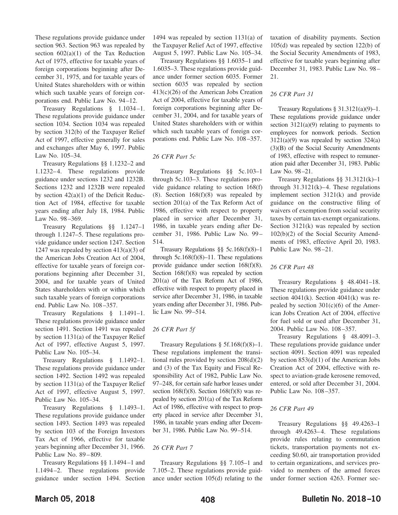These regulations provide guidance under section 963. Section 963 was repealed by section  $602(a)(1)$  of the Tax Reduction Act of 1975, effective for taxable years of foreign corporations beginning after December 31, 1975, and for taxable years of United States shareholders with or within which such taxable years of foreign corporations end. Public Law No. 94–12.

Treasury Regulations § 1.1034–1. These regulations provide guidance under section 1034. Section 1034 was repealed by section 312(b) of the Taxpayer Relief Act of 1997, effective generally for sales and exchanges after May 6, 1997. Public Law No. 105–34.

Treasury Regulations §§ 1.1232–2 and 1.1232–4. These regulations provide guidance under sections 1232 and 1232B. Sections 1232 and 1232B were repealed by section  $42(a)(1)$  of the Deficit Reduction Act of 1984, effective for taxable years ending after July 18, 1984. Public Law No. 98–369.

Treasury Regulations §§ 1.1247–1 through 1.1247–5. These regulations provide guidance under section 1247. Section 1247 was repealed by section  $413(a)(3)$  of the American Jobs Creation Act of 2004, effective for taxable years of foreign corporations beginning after December 31, 2004, and for taxable years of United States shareholders with or within which such taxable years of foreign corporations end. Public Law No. 108–357.

Treasury Regulations § 1.1491–1. These regulations provide guidance under section 1491. Section 1491 was repealed by section 1131(a) of the Taxpayer Relief Act of 1997, effective August 5, 1997. Public Law No. 105–34.

Treasury Regulations § 1.1492–1. These regulations provide guidance under section 1492. Section 1492 was repealed by section 1131(a) of the Taxpayer Relief Act of 1997, effective August 5, 1997. Public Law No. 105–34.

Treasury Regulations § 1.1493–1. These regulations provide guidance under section 1493. Section 1493 was repealed by section 103 of the Foreign Investors Tax Act of 1966, effective for taxable years beginning after December 31, 1966. Public Law No. 89–809.

Treasury Regulations §§ 1.1494–1 and 1.1494–2. These regulations provide guidance under section 1494. Section

1494 was repealed by section 1131(a) of the Taxpayer Relief Act of 1997, effective August 5, 1997. Public Law No. 105–34.

Treasury Regulations §§ 1.6035–1 and 1.6035–3. These regulations provide guidance under former section 6035. Former section 6035 was repealed by section 413(c)(26) of the American Jobs Creation Act of 2004, effective for taxable years of foreign corporations beginning after December 31, 2004, and for taxable years of United States shareholders with or within which such taxable years of foreign corporations end. Public Law No. 108–357.

#### *26 CFR Part 5c*

Treasury Regulations §§ 5c.103–1 through 5c.103–3. These regulations provide guidance relating to section 168(f) (8). Section  $168(f)(8)$  was repealed by section 201(a) of the Tax Reform Act of 1986, effective with respect to property placed in service after December 31, 1986, in taxable years ending after December 31, 1986. Public Law No. 99– 514.

Treasury Regulations §§ 5c.168(f)(8)–1 through  $5c.168(f)(8)-11$ . These regulations provide guidance under section 168(f)(8). Section 168(f)(8) was repealed by section 201(a) of the Tax Reform Act of 1986, effective with respect to property placed in service after December 31, 1986, in taxable years ending after December 31, 1986. Public Law No. 99–514.

#### *26 CFR Part 5f*

Treasury Regulations  $\S$  5f.168(f)(8)–1. These regulations implement the transitional rules provided by section  $208(d)(2)$ and (3) of the Tax Equity and Fiscal Responsibility Act of 1982, Public Law No. 97–248, for certain safe harbor leases under section  $168(f)(8)$ . Section  $168(f)(8)$  was repealed by section 201(a) of the Tax Reform Act of 1986, effective with respect to property placed in service after December 31, 1986, in taxable years ending after December 31, 1986. Public Law No. 99–514.

#### *26 CFR Part 7*

Treasury Regulations §§ 7.105–1 and 7.105–2. These regulations provide guidance under section 105(d) relating to the taxation of disability payments. Section 105(d) was repealed by section 122(b) of the Social Security Amendments of 1983, effective for taxable years beginning after December 31, 1983. Public Law No. 98– 21.

#### *26 CFR Part 31*

Treasury Regulations § 31.3121(a)(9)–1. These regulations provide guidance under section  $3121(a)(9)$  relating to payments to employees for nonwork periods. Section  $3121(a)(9)$  was repealed by section  $324(a)$ (3)(B) of the Social Security Amendments of 1983, effective with respect to remuneration paid after December 31, 1983. Public Law No. 98–21.

Treasury Regulations §§ 31.3121(k)–1 through  $31.3121(k) - 4$ . These regulations implement section 3121(k) and provide guidance on the constructive filing of waivers of exemption from social security taxes by certain tax-exempt organizations. Section 3121(k) was repealed by section 102(b)(2) of the Social Security Amendments of 1983, effective April 20, 1983. Public Law No. 98–21.

#### *26 CFR Part 48*

Treasury Regulations § 48.4041–18. These regulations provide guidance under section  $4041(k)$ . Section  $4041(k)$  was repealed by section  $301(c)(6)$  of the American Jobs Creation Act of 2004, effective for fuel sold or used after December 31, 2004. Public Law No. 108–357.

Treasury Regulations § 48.4091–3. These regulations provide guidance under section 4091. Section 4091 was repealed by section 853(d)(1) of the American Jobs Creation Act of 2004, effective with respect to aviation-grade kerosene removed, entered, or sold after December 31, 2004. Public Law No. 108–357.

#### *26 CFR Part 49*

Treasury Regulations §§ 49.4263–1 through 49.4263–4. These regulations provide rules relating to commutation tickets, transportation payments not exceeding \$0.60, air transportation provided to certain organizations, and services provided to members of the armed forces under former section 4263. Former sec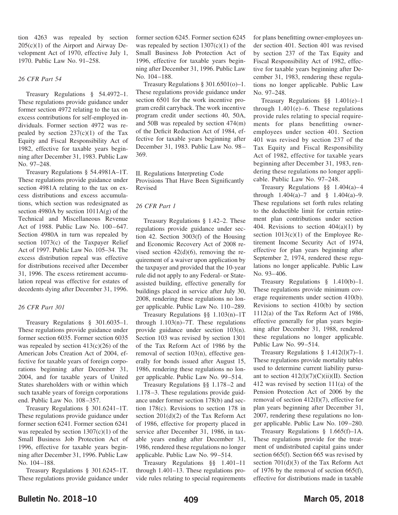tion 4263 was repealed by section  $205(c)(1)$  of the Airport and Airway Development Act of 1970, effective July 1, 1970. Public Law No. 91–258.

#### *26 CFR Part 54*

Treasury Regulations § 54.4972–1. These regulations provide guidance under former section 4972 relating to the tax on excess contributions for self-employed individuals. Former section 4972 was repealed by section  $237(c)(1)$  of the Tax Equity and Fiscal Responsibility Act of 1982, effective for taxable years beginning after December 31, 1983. Public Law No. 97–248.

Treasury Regulations § 54.4981A–1T. These regulations provide guidance under section 4981A relating to the tax on excess distributions and excess accumulations, which section was redesignated as section 4980A by section  $1011A(g)$  of the Technical and Miscellaneous Revenue Act of 1988. Public Law No. 100–647. Section 4980A in turn was repealed by section 1073(c) of the Taxpayer Relief Act of 1997. Public Law No. 105–34. The excess distribution repeal was effective for distributions received after December 31, 1996. The excess retirement accumulation repeal was effective for estates of decedents dying after December 31, 1996.

#### *26 CFR Part 301*

Treasury Regulations § 301.6035–1. These regulations provide guidance under former section 6035. Former section 6035 was repealed by section  $413(c)(26)$  of the American Jobs Creation Act of 2004, effective for taxable years of foreign corporations beginning after December 31, 2004, and for taxable years of United States shareholders with or within which such taxable years of foreign corporations end. Public Law No. 108–357.

Treasury Regulations § 301.6241–1T. These regulations provide guidance under former section 6241. Former section 6241 was repealed by section  $1307(c)(1)$  of the Small Business Job Protection Act of 1996, effective for taxable years beginning after December 31, 1996. Public Law No. 104–188.

Treasury Regulations § 301.6245–1T. These regulations provide guidance under

former section 6245. Former section 6245 was repealed by section  $1307(c)(1)$  of the Small Business Job Protection Act of 1996, effective for taxable years beginning after December 31, 1996. Public Law No. 104–188.

Treasury Regulations § 301.6501(o)–1. These regulations provide guidance under section 6501 for the work incentive program credit carryback. The work incentive program credit under sections 40, 50A, and 50B was repealed by section 474(m) of the Deficit Reduction Act of 1984, effective for taxable years beginning after December 31, 1983. Public Law No. 98– 369.

II. Regulations Interpreting Code Provisions That Have Been Significantly Revised

#### *26 CFR Part 1*

Treasury Regulations § 1.42–2. These regulations provide guidance under section 42. Section 3003(f) of the Housing and Economic Recovery Act of 2008 revised section  $42(d)(6)$ , removing the requirement of a waiver upon application by the taxpayer and provided that the 10-year rule did not apply to any Federal- or Stateassisted building, effective generally for buildings placed in service after July 30, 2008, rendering these regulations no longer applicable. Public Law No. 110–289.

Treasury Regulations §§ 1.103(n)–1T through  $1.103(n)$ –7T. These regulations provide guidance under section 103(n). Section 103 was revised by section 1301 of the Tax Reform Act of 1986 by the removal of section 103(n), effective generally for bonds issued after August 15, 1986, rendering these regulations no longer applicable. Public Law No. 99–514.

Treasury Regulations §§ 1.178–2 and 1.178–3. These regulations provide guidance under former section 178(b) and section 178(c). Revisions to section 178 in section 201(d)(2) of the Tax Reform Act of 1986, effective for property placed in service after December 31, 1986, in taxable years ending after December 31, 1986, rendered these regulations no longer applicable. Public Law No. 99–514.

Treasury Regulations §§ 1.401–11 through 1.401–13. These regulations provide rules relating to special requirements for plans benefitting owner-employees under section 401. Section 401 was revised by section 237 of the Tax Equity and Fiscal Responsibility Act of 1982, effective for taxable years beginning after December 31, 1983, rendering these regulations no longer applicable. Public Law No. 97–248.

Treasury Regulations §§ 1.401(e)–1 through  $1.401(e)-6$ . These regulations provide rules relating to special requirements for plans benefitting owneremployees under section 401. Section 401 was revised by section 237 of the Tax Equity and Fiscal Responsibility Act of 1982, effective for taxable years beginning after December 31, 1983, rendering these regulations no longer applicable. Public Law No. 97–248.

Treasury Regulations §§ 1.404(a)–4 through  $1.404(a) - 7$  and §  $1.404(a) - 9$ . These regulations set forth rules relating to the deductible limit for certain retirement plan contributions under section 404. Revisions to section  $404(a)(1)$  by section  $1013(c)(1)$  of the Employee Retirement Income Security Act of 1974, effective for plan years beginning after September 2, 1974, rendered these regulations no longer applicable. Public Law No. 93–406.

Treasury Regulations § 1.410(b)–1. These regulations provide minimum coverage requirements under section 410(b). Revisions to section 410(b) by section 1112(a) of the Tax Reform Act of 1986, effective generally for plan years beginning after December 31, 1988, rendered these regulations no longer applicable. Public Law No. 99–514.

Treasury Regulations  $§$  1.412(1)(7)-1. These regulations provide mortality tables used to determine current liability pursuant to section  $412(1)(7)(C)(ii)(II)$ . Section 412 was revised by section 111(a) of the Pension Protection Act of 2006 by the removal of section 412(I)(7), effective for plan years beginning after December 31, 2007, rendering these regulations no longer applicable. Public Law No. 109–280.

Treasury Regulations § 1.665(f)–1A. These regulations provide for the treatment of undistributed capital gains under section 665(f). Section 665 was revised by section 701(d)(3) of the Tax Reform Act of 1976 by the removal of section 665(f), effective for distributions made in taxable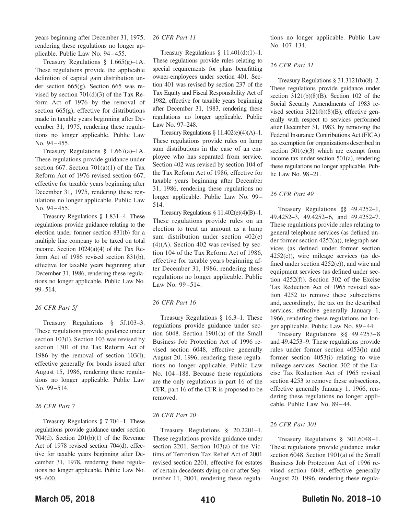years beginning after December 31, 1975, rendering these regulations no longer applicable. Public Law No. 94–455.

Treasury Regulations  $§$  1.665(g)-1A. These regulations provide the applicable definition of capital gain distribution under section 665(g). Section 665 was revised by section  $701(d)(3)$  of the Tax Reform Act of 1976 by the removal of section  $665(g)$ , effective for distributions made in taxable years beginning after December 31, 1975, rendering these regulations no longer applicable. Public Law No. 94–455.

Treasury Regulations § 1.667(a)–1A. These regulations provide guidance under section 667. Section 701(a)(1) of the Tax Reform Act of 1976 revised section 667, effective for taxable years beginning after December 31, 1975, rendering these regulations no longer applicable. Public Law No. 94–455.

Treasury Regulations § 1.831–4. These regulations provide guidance relating to the election under former section 831(b) for a multiple line company to be taxed on total income. Section 1024(a)(4) of the Tax Reform Act of 1986 revised section 831(b), effective for taxable years beginning after December 31, 1986, rendering these regulations no longer applicable. Public Law No. 99–514.

#### *26 CFR Part 5f*

Treasury Regulations § 5f.103–3. These regulations provide guidance under section 103(l). Section 103 was revised by section 1301 of the Tax Reform Act of 1986 by the removal of section 103(l), effective generally for bonds issued after August 15, 1986, rendering these regulations no longer applicable. Public Law No. 99–514.

#### *26 CFR Part 7*

Treasury Regulations § 7.704–1. These regulations provide guidance under section 704(d). Section 201(b)(1) of the Revenue Act of 1978 revised section 704(d), effective for taxable years beginning after December 31, 1978, rendering these regulations no longer applicable. Public Law No. 95–600.

#### *26 CFR Part 11*

Treasury Regulations  $§$  11.401(d)(1)-1. These regulations provide rules relating to special requirements for plans benefitting owner-employees under section 401. Section 401 was revised by section 237 of the Tax Equity and Fiscal Responsibility Act of 1982, effective for taxable years beginning after December 31, 1983, rendering these regulations no longer applicable. Public Law No. 97–248.

Treasury Regulations  $\S 11.402(e)(4)(A) - 1.$ These regulations provide rules on lump sum distributions in the case of an employee who has separated from service. Section 402 was revised by section 104 of the Tax Reform Act of 1986, effective for taxable years beginning after December 31, 1986, rendering these regulations no longer applicable. Public Law No. 99– 514.

Treasury Regulations  $\S 11.402(e)(4)(B)-1$ . These regulations provide rules on an election to treat an amount as a lump sum distribution under section 402(e)  $(4)$ (A). Section 402 was revised by section 104 of the Tax Reform Act of 1986, effective for taxable years beginning after December 31, 1986, rendering these regulations no longer applicable. Public Law No. 99–514.

#### *26 CFR Part 16*

Treasury Regulations § 16.3–1. These regulations provide guidance under section 6048. Section 1901(a) of the Small Business Job Protection Act of 1996 revised section 6048, effective generally August 20, 1996, rendering these regulations no longer applicable. Public Law No. 104–188. Because these regulations are the only regulations in part 16 of the CFR, part 16 of the CFR is proposed to be removed.

#### *26 CFR Part 20*

Treasury Regulations § 20.2201–1. These regulations provide guidance under section 2201. Section 103(a) of the Victims of Terrorism Tax Relief Act of 2001 revised section 2201, effective for estates of certain decedents dying on or after September 11, 2001, rendering these regulations no longer applicable. Public Law No. 107–134.

#### *26 CFR Part 31*

Treasury Regulations § 31.3121(b)(8)–2. These regulations provide guidance under section  $3121(b)(8)(B)$ . Section 102 of the Social Security Amendments of 1983 revised section 3121(b)(8)(B), effective generally with respect to services performed after December 31, 1983, by removing the Federal Insurance Contributions Act (FICA) tax exemption for organizations described in section  $501(c)(3)$  which are exempt from income tax under section 501(a), rendering these regulations no longer applicable. Public Law No. 98–21.

#### *26 CFR Part 49*

Treasury Regulations §§ 49.4252–1, 49.4252–3, 49.4252–6, and 49.4252–7. These regulations provide rules relating to general telephone services (as defined under former section 4252(a)), telegraph services (as defined under former section 4252(c)), wire mileage services (as defined under section 4252(e)), and wire and equipment services (as defined under section  $4252(f)$ ). Section 302 of the Excise Tax Reduction Act of 1965 revised section 4252 to remove these subsections and, accordingly, the tax on the described services, effective generally January 1, 1966, rendering these regulations no longer applicable. Public Law No. 89–44.

Treasury Regulations §§ 49.4253–8 and 49.4253–9. These regulations provide rules under former section 4053(h) and former section 4053(i) relating to wire mileage services. Section 302 of the Excise Tax Reduction Act of 1965 revised section 4253 to remove these subsections, effective generally January 1, 1966, rendering these regulations no longer applicable. Public Law No. 89–44.

#### *26 CFR Part 301*

Treasury Regulations § 301.6048–1. These regulations provide guidance under section 6048. Section 1901(a) of the Small Business Job Protection Act of 1996 revised section 6048, effective generally August 20, 1996, rendering these regula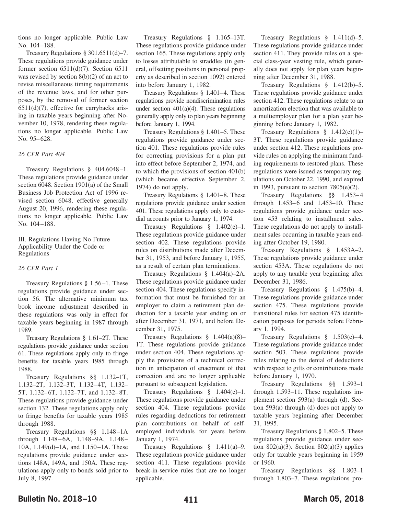tions no longer applicable. Public Law No. 104–188.

Treasury Regulations § 301.6511(d)–7. These regulations provide guidance under former section 6511(d)(7). Section 6511 was revised by section 8(b)(2) of an act to revise miscellaneous timing requirements of the revenue laws, and for other purposes, by the removal of former section 6511(d)(7), effective for carrybacks arising in taxable years beginning after November 10, 1978, rendering these regulations no longer applicable. Public Law No. 95–628.

#### *26 CFR Part 404*

Treasury Regulations § 404.6048–1. These regulations provide guidance under section 6048. Section 1901(a) of the Small Business Job Protection Act of 1996 revised section 6048, effective generally August 20, 1996, rendering these regulations no longer applicable. Public Law No. 104–188.

III. Regulations Having No Future Applicability Under the Code or Regulations

#### *26 CFR Part 1*

Treasury Regulations § 1.56–1. These regulations provide guidance under section 56. The alternative minimum tax book income adjustment described in these regulations was only in effect for taxable years beginning in 1987 through 1989.

Treasury Regulations § 1.61–2T. These regulations provide guidance under section 61. These regulations apply only to fringe benefits for taxable years 1985 through 1988.

Treasury Regulations §§ 1.132–1T, 1.132–2T, 1.132–3T, 1.132–4T, 1.132– 5T, 1.132–6T, 1.132–7T, and 1.132–8T. These regulations provide guidance under section 132. These regulations apply only to fringe benefits for taxable years 1985 through 1988.

Treasury Regulations §§ 1.148–1A through 1.148–6A, 1.148–9A, 1.148– 10A, 1.149(d)–1A, and 1.150–1A. These regulations provide guidance under sections 148A, 149A, and 150A. These regulations apply only to bonds sold prior to July 8, 1997.

Treasury Regulations § 1.165–13T. These regulations provide guidance under section 165. These regulations apply only to losses attributable to straddles (in general, offsetting positions in personal property as described in section 1092) entered into before January 1, 1982.

Treasury Regulations § 1.401–4. These regulations provide nondiscrimination rules under section  $401(a)(4)$ . These regulations generally apply only to plan years beginning before January 1, 1994.

Treasury Regulations § 1.401–5. These regulations provide guidance under section 401. These regulations provide rules for correcting provisions for a plan put into effect before September 2, 1974, and to which the provisions of section 401(b) (which became effective September 2, 1974) do not apply.

Treasury Regulations § 1.401–8. These regulations provide guidance under section 401. These regulations apply only to custodial accounts prior to January 1, 1974.

Treasury Regulations § 1.402(e)–1. These regulations provide guidance under section 402. These regulations provide rules on distributions made after December 31, 1953, and before January 1, 1955, as a result of certain plan terminations.

Treasury Regulations § 1.404(a)–2A. These regulations provide guidance under section 404. These regulations specify information that must be furnished for an employer to claim a retirement plan deduction for a taxable year ending on or after December 31, 1971, and before December 31, 1975.

Treasury Regulations  $§$  1.404(a)(8)– 1T. These regulations provide guidance under section 404. These regulations apply the provisions of a technical correction in anticipation of enactment of that correction and are no longer applicable pursuant to subsequent legislation.

Treasury Regulations § 1.404(e)–1. These regulations provide guidance under section 404. These regulations provide rules regarding deductions for retirement plan contributions on behalf of selfemployed individuals for years before January 1, 1974.

Treasury Regulations § 1.411(a)–9. These regulations provide guidance under section 411. These regulations provide break-in-service rules that are no longer applicable.

Treasury Regulations § 1.411(d)–5. These regulations provide guidance under section 411. They provide rules on a special class-year vesting rule, which generally does not apply for plan years beginning after December 31, 1988.

Treasury Regulations § 1.412(b)–5. These regulations provide guidance under section 412. These regulations relate to an amortization election that was available to a multiemployer plan for a plan year beginning before January 1, 1982.

Treasury Regulations  $§$  1.412(c)(1)-3T. These regulations provide guidance under section 412. These regulations provide rules on applying the minimum funding requirements to restored plans. These regulations were issued as temporary regulations on October 22, 1990, and expired in 1993, pursuant to section  $7805(e)(2)$ .

Treasury Regulations §§ 1.453–4 through 1.453–6 and 1.453–10. These regulations provide guidance under section 453 relating to installment sales. These regulations do not apply to installment sales occurring in taxable years ending after October 19, 1980.

Treasury Regulations § 1.453A–2. These regulations provide guidance under section 453A. These regulations do not apply to any taxable year beginning after December 31, 1986.

Treasury Regulations § 1.475(b)–4. These regulations provide guidance under section 475. These regulations provide transitional rules for section 475 identification purposes for periods before February 1, 1994.

Treasury Regulations § 1.503(e)–4. These regulations provide guidance under section 503. These regulations provide rules relating to the denial of deductions with respect to gifts or contributions made before January 1, 1970.

Treasury Regulations §§ 1.593–1 through 1.593–11. These regulations implement section 593(a) through (d). Section 593(a) through (d) does not apply to taxable years beginning after December 31, 1995.

Treasury Regulations § 1.802–5. These regulations provide guidance under section 802(a)(3). Section 802(a)(3) applies only for taxable years beginning in 1959 or 1960.

Treasury Regulations §§ 1.803–1 through 1.803–7. These regulations pro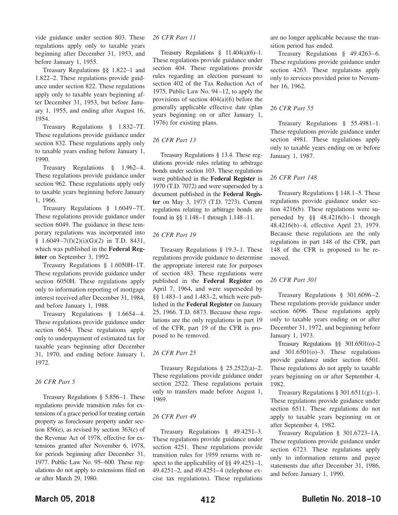vide guidance under section 803. These regulations apply only to taxable years beginning after December 31, 1953, and before January 1, 1955.

Treasury Regulations §§ 1.822–1 and 1.822–2. These regulations provide guidance under section 822. These regulations apply only to taxable years beginning after December 31, 1953, but before January 1, 1955, and ending after August 16, 1954.

Treasury Regulations § 1.832–7T. These regulations provide guidance under section 832. These regulations apply only to taxable years ending before January 1, 1990.

Treasury Regulations § 1.962–4. These regulations provide guidance under section 962. These regulations apply only to taxable years beginning before January 1, 1966.

Treasury Regulations § 1.6049–7T. These regulations provide guidance under section 6049. The guidance in these temporary regulations was incorporated into § 1.6049–7(f)(2)(i)(G)(*2*) in T.D. 8431, which was published in the **Federal Register** on September 3, 1992.

Treasury Regulations § 1.6050H–1T. These regulations provide guidance under section 6050H. These regulations apply only to information reporting of mortgage interest received after December 31, 1984, and before January 1, 1988.

Treasury Regulations § 1.6654–4. These regulations provide guidance under section 6654. These regulations apply only to underpayment of estimated tax for taxable years beginning after December 31, 1970, and ending before January 1, 1972.

#### *26 CFR Part 5*

Treasury Regulations § 5.856–1. These regulations provide transition rules for extensions of a grace period for treating certain property as foreclosure property under section 856(e), as revised by section 363(c) of the Revenue Act of 1978, effective for extensions granted after November 6, 1978, for periods beginning after December 31, 1977. Public Law No. 95–600. These regulations do not apply to extensions filed on or after March 29, 1980.

#### *26 CFR Part 11*

Treasury Regulations  $§$  11.404(a)(6)-1. These regulations provide guidance under section 404. These regulations provide rules regarding an election pursuant to section 402 of the Tax Reduction Act of 1975, Public Law No. 94–12, to apply the provisions of section 404(a)(6) before the generally applicable effective date (plan years beginning on or after January 1, 1976) for existing plans.

#### *26 CFR Part 13*

Treasury Regulations § 13.4. These regulations provide rules relating to arbitrage bonds under section 103. These regulations were published in the **Federal Register** in 1970 (T.D. 7072) and were superseded by a document published in the **Federal Register** on May 3, 1973 (T.D. 7273). Current regulations relating to arbitrage bonds are found in §§ 1.148–1 through 1.148–11.

#### *26 CFR Part 19*

Treasury Regulations § 19.3–1. These regulations provide guidance to determine the appropriate interest rate for purposes of section 483. These regulations were published in the **Federal Register** on April 7, 1964, and were superseded by §§ 1.483–1 and 1.483–2, which were published in the **Federal Register** on January 25, 1966. T.D. 6873. Because these regulations are the only regulations in part 19 of the CFR, part 19 of the CFR is proposed to be removed.

#### *26 CFR Part 25*

Treasury Regulations § 25.2522(a)–2. These regulations provide guidance under section 2522. These regulations pertain only to transfers made before August 1, 1969.

#### *26 CFR Part 49*

Treasury Regulations § 49.4251–3. These regulations provide guidance under section 4251. These regulations provide transition rules for 1959 returns with respect to the applicability of §§ 49.4251–1, 49.4251–2, and 49.4251–4 (telephone excise tax regulations). These regulations

are no longer applicable because the transition period has ended.

Treasury Regulations § 49.4263–6. These regulations provide guidance under section 4263. These regulations apply only to services provided prior to November 16, 1962.

#### *26 CFR Part 55*

Treasury Regulations § 55.4981–1. These regulations provide guidance under section 4981. These regulations apply only to taxable years ending on or before January 1, 1987.

#### *26 CFR Part 148*

Treasury Regulations § 148.1–5. These regulations provide guidance under section 4216(b). These regulations were superseded by §§ 48.4216(b)–1 through 48.4216(b)–4, effective April 23, 1979. Because these regulations are the only regulations in part 148 of the CFR, part 148 of the CFR is proposed to be removed.

#### *26 CFR Part 301*

Treasury Regulations § 301.6096–2. These regulations provide guidance under section 6096. These regulations apply only to taxable years ending on or after December 31, 1972, and beginning before January 1, 1973.

Treasury Regulations §§ 301.6501(o)–2 and 301.6501(o)–3. These regulations provide guidance under section 6501. These regulations do not apply to taxable years beginning on or after September 4, 1982.

Treasury Regulations  $§ 301.6511(g) - 1$ . These regulations provide guidance under section 6511. These regulations do not apply to taxable years beginning on or after September 4, 1982.

Treasury Regulation § 301.6723–1A. These regulations provide guidance under section 6723. These regulations apply only to information returns and payee statements due after December 31, 1986, and before January 1, 1990.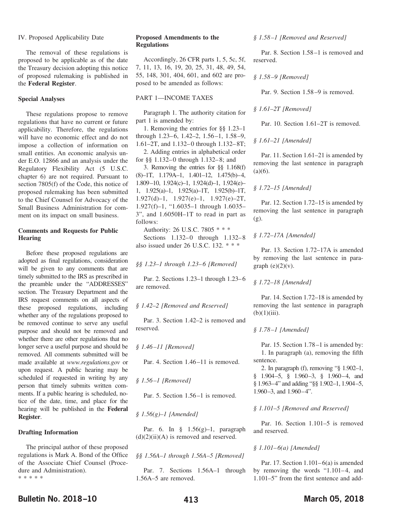#### IV. Proposed Applicability Date

The removal of these regulations is proposed to be applicable as of the date the Treasury decision adopting this notice of proposed rulemaking is published in the **Federal Register**.

#### **Special Analyses**

These regulations propose to remove regulations that have no current or future applicability. Therefore, the regulations will have no economic effect and do not impose a collection of information on small entities. An economic analysis under E.O. 12866 and an analysis under the Regulatory Flexibility Act (5 U.S.C. chapter 6) are not required. Pursuant to section 7805(f) of the Code, this notice of proposed rulemaking has been submitted to the Chief Counsel for Advocacy of the Small Business Administration for comment on its impact on small business.

#### **Comments and Requests for Public Hearing**

Before these proposed regulations are adopted as final regulations, consideration will be given to any comments that are timely submitted to the IRS as prescribed in the preamble under the "ADDRESSES" section. The Treasury Department and the IRS request comments on all aspects of these proposed regulations, including whether any of the regulations proposed to be removed continue to serve any useful purpose and should not be removed and whether there are other regulations that no longer serve a useful purpose and should be removed. All comments submitted will be made available at *www.regulations.gov* or upon request. A public hearing may be scheduled if requested in writing by any person that timely submits written comments. If a public hearing is scheduled, notice of the date, time, and place for the hearing will be published in the **Federal Register**.

#### **Drafting Information**

The principal author of these proposed regulations is Mark A. Bond of the Office of the Associate Chief Counsel (Procedure and Administration). \*\*\*\*\*

#### **Proposed Amendments to the Regulations**

Accordingly, 26 CFR parts 1, 5, 5c, 5f, 7, 11, 13, 16, 19, 20, 25, 31, 48, 49, 54, 55, 148, 301, 404, 601, and 602 are proposed to be amended as follows:

#### PART 1—INCOME TAXES

Paragraph 1. The authority citation for part 1 is amended by:

1. Removing the entries for §§ 1.23–1 through 1.23–6, 1.42–2, 1.56–1, 1.58–9, 1.61–2T, and 1.132–0 through 1.132–8T;

2. Adding entries in alphabetical order for §§ 1.132–0 through 1.132–8; and

3. Removing the entries for §§ 1.168(f) (8)–1T, 1.179A–1, 1.401–12, 1.475(b)–4, 1.809–10, 1.924(c)–1, 1.924(d)–1, 1.924(e)– 1, 1.925(a)–1, 1.925(a)–1T, 1.925(b)–1T, 1.927(d)–1, 1.927(e)–1, 1.927(e)–2T, 1.927(f)–1, "1.6035–1 through 1.6035– 3", and 1.6050H–1T to read in part as follows:

Authority: 26 U.S.C. 7805 \* \* \* Sections 1.132–0 through 1.132–8 also issued under 26 U.S.C. 132.\*\*\*

*§§ 1.23–1 through 1.23–6 [Removed]*

Par. 2. Sections 1.23–1 through 1.23–6 are removed.

#### *§ 1.42–2 [Removed and Reserved]*

Par. 3. Section 1.42–2 is removed and reserved.

*§ 1.46–11 [Removed]*

Par. 4. Section 1.46–11 is removed.

*§ 1.56–1 [Removed]*

Par. 5. Section 1.56–1 is removed.

*§ 1.56(g)–1 [Amended]*

Par. 6. In  $\S$  1.56(g)-1, paragraph  $(d)(2)(ii)(A)$  is removed and reserved.

*§§ 1.56A–1 through 1.56A–5 [Removed]*

Par. 7. Sections 1.56A–1 through 1.56A–5 are removed.

*§ 1.58–1 [Removed and Reserved]*

Par. 8. Section 1.58–1 is removed and reserved.

*§ 1.58–9 [Removed]*

Par. 9. Section 1.58–9 is removed.

*§ 1.61–2T [Removed]*

Par. 10. Section 1.61–2T is removed.

*§ 1.61–21 [Amended]*

Par. 11. Section 1.61–21 is amended by removing the last sentence in paragraph  $(a)(6)$ .

#### *§ 1.72–15 [Amended]*

Par. 12. Section 1.72–15 is amended by removing the last sentence in paragraph (g).

#### *§ 1.72–17A [Amended]*

Par. 13. Section 1.72–17A is amended by removing the last sentence in paragraph  $(e)(2)(v)$ .

#### *§ 1.72–18 [Amended]*

Par. 14. Section 1.72–18 is amended by removing the last sentence in paragraph  $(b)(1)(iii)$ .

#### *§ 1.78–1 [Amended]*

Par. 15. Section 1.78–1 is amended by: 1. In paragraph (a), removing the fifth sentence.

2. In paragraph (f), removing "§ 1.902–1, § 1.904–5, § 1.960–3, § 1.960–4, and § 1.963–4" and adding "§§ 1.902–1, 1.904–5, 1.960–3, and 1.960–4".

#### *§ 1.101–5 [Removed and Reserved]*

Par. 16. Section 1.101–5 is removed and reserved.

#### *§ 1.101–6(a) [Amended]*

Par. 17. Section  $1.101-6(a)$  is amended by removing the words "1.101–4, and 1.101–5" from the first sentence and add-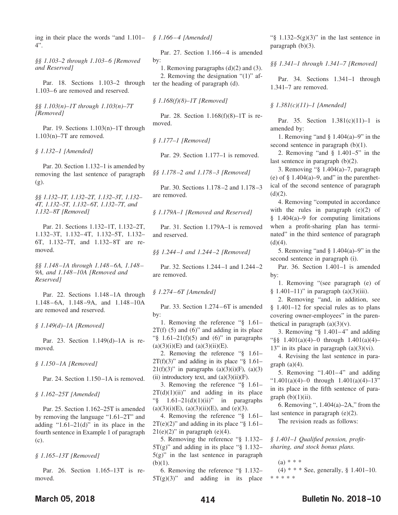ing in their place the words "and 1.101– *§ 1.166–4 [Amended]* 4".

*§§ 1.103–2 through 1.103–6 [Removed and Reserved]*

Par. 18. Sections 1.103–2 through 1.103–6 are removed and reserved.

*§§ 1.103(n)–1T through 1.103(n)–7T [Removed]*

Par. 19. Sections 1.103(n)–1T through 1.103(n)–7T are removed.

*§ 1.132–1 [Amended]*

Par. 20. Section 1.132–1 is amended by removing the last sentence of paragraph (g).

*§§ 1.132–1T, 1.132–2T, 1.132–3T, 1.132– 4T, 1.132–5T, 1.132–6T, 1.132–7T, and 1.132–8T [Removed]*

Par. 21. Sections 1.132–1T, 1.132–2T, 1.132–3T, 1.132–4T, 1.132–5T, 1.132– 6T, 1.132–7T, and 1.132–8T are removed.

*§§ 1.148–1A through 1.148–6A, 1.148– 9A, and 1.148–10A [Removed and Reserved]*

Par. 22. Sections 1.148–1A through 1.148–6A, 1.148–9A, and 1.148–10A are removed and reserved.

*§ 1.149(d)–1A [Removed]*

Par. 23. Section 1.149(d)–1A is removed.

*§ 1.150–1A [Removed]*

Par. 24. Section 1.150–1A is removed.

*§ 1.162–25T [Amended]*

Par. 25. Section 1.162–25T is amended by removing the language "1.61–2T" and adding " $1.61-21(d)$ " in its place in the fourth sentence in Example 1 of paragraph (c).

*§ 1.165–13T [Removed]*

Par. 26. Section 1.165–13T is removed.

Par. 27. Section 1.166–4 is amended by:

1. Removing paragraphs (d)(2) and (3). 2. Removing the designation "(1)" after the heading of paragraph (d).

*§ 1.168(f)(8)–1T [Removed]*

Par. 28. Section 1.168(f)(8)–1T is removed.

*§ 1.177–1 [Removed]*

Par. 29. Section 1.177–1 is removed.

*§§ 1.178–2 and 1.178–3 [Removed]*

Par. 30. Sections 1.178–2 and 1.178–3 are removed.

*§ 1.179A–1 [Removed and Reserved]*

Par. 31. Section 1.179A–1 is removed and reserved.

*§§ 1.244–1 and 1.244–2 [Removed]*

Par. 32. Sections 1.244–1 and 1.244–2 are removed.

*§ 1.274–6T [Amended]*

Par. 33. Section 1.274–6T is amended by:

1. Removing the reference "§ 1.61–  $2T(f)$  (5) and (6)" and adding in its place " $\frac{1.61-21(f)(5)}{2}$  and (6)" in paragraphs  $(a)(3)(i)(E)$  and  $(a)(3)(ii)(E)$ .

2. Removing the reference "§ 1.61–  $2T(f)(3)$ " and adding in its place "§ 1.61–  $21(f)(3)$ " in paragraphs  $(a)(3)(i)(F)$ ,  $(a)(3)$ (ii) introductory text, and  $(a)(3)(ii)(F)$ .

3. Removing the reference "§ 1.61–  $2T(d)(1)(ii)$ " and adding in its place " $\frac{1.61-21(d)(1)(ii)}{i}$  in paragraphs  $(a)(3)(i)(E)$ ,  $(a)(3)(ii)(E)$ , and  $(e)(3)$ .

4. Removing the reference "§ 1.61–  $2T(e)(2)$ " and adding in its place "§ 1.61–  $21(e)(2)$ " in paragraph (e)(4).

5. Removing the reference "§ 1.132–  $5T(g)$ " and adding in its place "§ 1.132–  $5(g)$ " in the last sentence in paragraph  $(b)(1)$ .

6. Removing the reference "§ 1.132–  $5T(g)(3)$ " and adding in its place

" $\frac{1.132-5(g)(3)}{h}$  in the last sentence in paragraph (b)(3).

*§§ 1.341–1 through 1.341–7 [Removed]*

Par. 34. Sections 1.341–1 through 1.341–7 are removed.

#### *§ 1.381(c)(11)–1 [Amended]*

Par. 35. Section 1.381(c)(11)–1 is amended by:

1. Removing "and § 1.404(a)–9" in the second sentence in paragraph (b)(1).

2. Removing "and § 1.401–5" in the last sentence in paragraph (b)(2).

3. Removing "§ 1.404(a)–7, paragraph (e) of  $\S$  1.404(a)–9, and" in the parenthetical of the second sentence of paragraph  $(d)(2)$ .

4. Removing "computed in accordance with the rules in paragraph  $(e)(2)$  of § 1.404(a)–9 for computing limitations when a profit-sharing plan has terminated" in the third sentence of paragraph  $(d)(4)$ .

5. Removing "and § 1.404(a)–9" in the second sentence in paragraph (i).

Par. 36. Section 1.401–1 is amended by:

1. Removing "(see paragraph (e) of § 1.401–11)" in paragraph  $(a)(3)(iii)$ .

2. Removing "and, in addition, see § 1.401–12 for special rules as to plans covering owner-employees" in the parenthetical in paragraph  $(a)(3)(v)$ .

3. Removing "§ 1.401–4" and adding "§§ 1.401(a)(4)–0 through 1.401(a)(4)– 13" in its place in paragraph  $(a)(3)(vi)$ .

4. Revising the last sentence in paragraph  $(a)(4)$ .

5. Removing "1.401–4" and adding "1.401(a)(4)–0 through  $1.401(a)(4)$ –13" in its place in the fifth sentence of para $graph (b)(1)(ii)$ .

6. Removing ", 1.404(a)–2A," from the last sentence in paragraph (e)(2).

The revision reads as follows:

*§ 1.401–1 Qualified pension, profitsharing, and stock bonus plans.*

(a) \* \* \* (4) \* \* \* See, generally, § 1.401–10. \*\*\*\*\*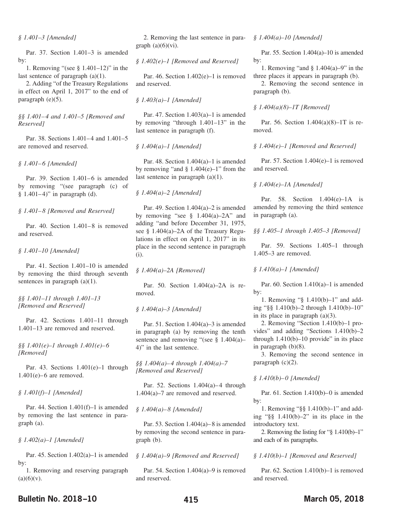#### *§ 1.401–3 [Amended]*

Par. 37. Section 1.401–3 is amended by:

1. Removing "(see § 1.401–12)" in the last sentence of paragraph (a)(1).

2. Adding "of the Treasury Regulations in effect on April 1, 2017" to the end of paragraph (e)(5).

*§§ 1.401–4 and 1.401–5 [Removed and Reserved]*

Par. 38. Sections 1.401–4 and 1.401–5 are removed and reserved.

*§ 1.401–6 [Amended]*

Par. 39. Section 1.401–6 is amended by removing "(see paragraph (c) of  $§ 1.401-4$ " in paragraph (d).

#### *§ 1.401–8 [Removed and Reserved]*

Par. 40. Section 1.401–8 is removed and reserved.

*§ 1.401–10 [Amended]*

Par. 41. Section 1.401–10 is amended by removing the third through seventh sentences in paragraph (a)(1).

*§§ 1.401–11 through 1.401–13 [Removed and Reserved]*

Par. 42. Sections 1.401–11 through 1.401–13 are removed and reserved.

*§§ 1.401(e)–1 through 1.401(e)–6 [Removed]*

Par. 43. Sections 1.401(e)–1 through 1.401(e)–6 are removed.

#### *§ 1.401(f)–1 [Amended]*

Par. 44. Section 1.401(f)–1 is amended by removing the last sentence in paragraph (a).

#### *§ 1.402(a)–1 [Amended]*

Par. 45. Section 1.402(a)–1 is amended by:

1. Removing and reserving paragraph  $(a)(6)(v).$ 

2. Removing the last sentence in paragraph  $(a)(6)(vi)$ .

*§ 1.402(e)–1 [Removed and Reserved]*

Par. 46. Section  $1.402(e)-1$  is removed and reserved.

*§ 1.403(a)–1 [Amended]*

Par. 47. Section 1.403(a)–1 is amended by removing "through 1.401–13" in the last sentence in paragraph (f).

*§ 1.404(a)–1 [Amended]*

Par. 48. Section 1.404(a)–1 is amended by removing "and  $\S$  1.404(e)–1" from the last sentence in paragraph (a)(1).

*§ 1.404(a)–2 [Amended]*

Par. 49. Section 1.404(a)–2 is amended by removing "see  $§$  1.404(a)–2A" and adding "and before December 31, 1975, see § 1.404(a)–2A of the Treasury Regulations in effect on April 1, 2017" in its place in the second sentence in paragraph (i).

*§ 1.404(a)–2A [Removed]*

Par. 50. Section 1.404(a)–2A is removed.

#### *§ 1.404(a)–3 [Amended]*

Par. 51. Section 1.404(a)–3 is amended in paragraph (a) by removing the tenth sentence and removing "(see § 1.404(a)-4)" in the last sentence.

*§§ 1.404(a)–4 through 1.404(a)–7 [Removed and Reserved]*

Par. 52. Sections 1.404(a)–4 through 1.404(a)–7 are removed and reserved.

*§ 1.404(a)–8 [Amended]*

Par. 53. Section 1.404(a)–8 is amended by removing the second sentence in paragraph (b).

*§ 1.404(a)–9 [Removed and Reserved]*

Par. 54. Section 1.404(a)–9 is removed and reserved.

Par. 55. Section 1.404(a)–10 is amended by:

1. Removing "and § 1.404(a)–9" in the three places it appears in paragraph (b).

2. Removing the second sentence in paragraph (b).

#### *§ 1.404(a)(8)–1T [Removed]*

Par. 56. Section 1.404(a)(8)–1T is removed.

*§ 1.404(e)–1 [Removed and Reserved]*

Par. 57. Section 1.404(e)–1 is removed and reserved.

#### *§ 1.404(e)–1A [Amended]*

Par. 58. Section 1.404(e)–1A is amended by removing the third sentence in paragraph (a).

*§§ 1.405–1 through 1.405–3 [Removed]*

Par. 59. Sections 1.405–1 through 1.405–3 are removed.

#### *§ 1.410(a)–1 [Amended]*

Par. 60. Section 1.410(a)–1 is amended by:

1. Removing "§ 1.410(b)–1" and adding "§§ 1.410(b)–2 through 1.410(b)–10" in its place in paragraph (a)(3).

2. Removing "Section 1.410(b)–1 provides" and adding "Sections 1.410(b)–2 through  $1.410(b) - 10$  provide" in its place in paragraph (b)(8).

3. Removing the second sentence in paragraph  $(c)(2)$ .

#### *§ 1.410(b)–0 [Amended]*

Par. 61. Section 1.410(b)–0 is amended by:

1. Removing "§§ 1.410(b)–1" and adding "§§ 1.410(b)–2" in its place in the introductory text.

2. Removing the listing for "§ 1.410(b)–1" and each of its paragraphs.

#### *§ 1.410(b)–1 [Removed and Reserved]*

Par. 62. Section 1.410(b)–1 is removed and reserved.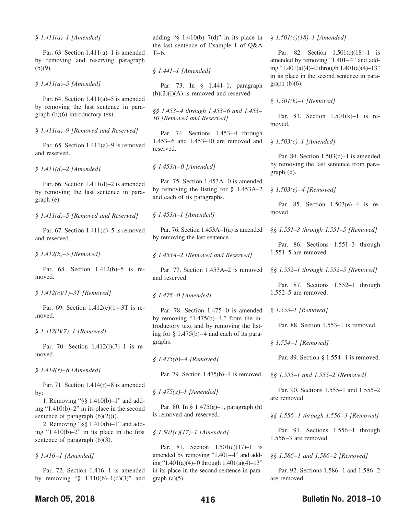Par. 63. Section 1.411(a)–1 is amended by removing and reserving paragraph  $(b)(9)$ .

*§ 1.411(a)–5 [Amended]*

Par. 64. Section  $1.411(a)$ –5 is amended by removing the last sentence in paragraph (b)(6) introductory text.

*§ 1.411(a)–9 [Removed and Reserved]*

Par. 65. Section  $1.411(a)$ –9 is removed and reserved.

*§ 1.411(d)–2 [Amended]*

Par. 66. Section 1.411(d)–2 is amended by removing the last sentence in paragraph (e).

*§ 1.411(d)–5 [Removed and Reserved]*

Par. 67. Section 1.411(d)–5 is removed and reserved.

*§ 1.412(b)–5 [Removed]*

Par. 68. Section 1.412(b)–5 is removed.

*§ 1.412(c)(1)–3T [Removed]*

Par. 69. Section 1.412(c)(1)–3T is removed.

*§ 1.412(l)(7)–1 [Removed]*

Par. 70. Section 1.412(l)(7)–1 is removed.

*§ 1.414(r)–8 [Amended]*

Par. 71. Section  $1.414(r) - 8$  is amended by:

1. Removing "§§ 1.410(b)–1" and adding "1.410(b)–2" in its place in the second sentence of paragraph  $(b)(2)(i)$ .

2. Removing "§§ 1.410(b)–1" and adding "1.410(b)–2" in its place in the first sentence of paragraph (b)(3).

*§ 1.416–1 [Amended]*

Par. 72. Section 1.416–1 is amended by removing " $§$  1.410(b)-1(d)(3)" and

adding " $§$  1.410(b)–7(d)" in its place in the last sentence of Example 1 of Q&A  $T-6$ .

*§ 1.441–1 [Amended]*

Par. 73. In § 1.441–1, paragraph  $(b)(2)(i)(A)$  is removed and reserved.

*§§ 1.453–4 through 1.453–6 and 1.453– 10 [Removed and Reserved]*

Par. 74. Sections 1.453–4 through 1.453–6 and 1.453–10 are removed and reserved.

*§ 1.453A–0 [Amended]*

Par. 75. Section 1.453A–0 is amended by removing the listing for § 1.453A–2 and each of its paragraphs.

*§ 1.453A–1 [Amended]*

Par. 76. Section 1.453A–1(a) is amended by removing the last sentence.

*§ 1.453A–2 [Removed and Reserved]*

Par. 77. Section 1.453A–2 is removed and reserved.

*§ 1.475–0 [Amended]*

Par. 78. Section 1.475–0 is amended by removing "1.475(b) $-4$ ," from the introductory text and by removing the listing for § 1.475(b)–4 and each of its paragraphs.

*§ 1.475(b)–4 [Removed]*

Par. 79. Section 1.475(b)–4 is removed.

*§ 1.475(g)–1 [Amended]*

Par. 80. In § 1.475(g)–1, paragraph (h) is removed and reserved.

*§ 1.501(c)(17)–1 [Amended]*

Par. 81. Section 1.501(c)(17)–1 is amended by removing "1.401–4" and adding "1.401(a)(4)–0 through 1.401(a)(4)–13" in its place in the second sentence in paragraph  $(a)(5)$ .

#### *§ 1.501(c)(18)–1 [Amended]*

Par. 82. Section 1.501(c)(18)–1 is amended by removing "1.401–4" and adding "1.401(a)(4)–0 through 1.401(a)(4)–13" in its place in the second sentence in paragraph  $(b)(6)$ .

#### *§ 1.501(k)–1 [Removed]*

Par. 83. Section 1.501(k)–1 is removed.

*§ 1.503(c)–1 [Amended]*

Par. 84. Section 1.503(c)–1 is amended by removing the last sentence from paragraph (d).

#### *§ 1.503(e)–4 [Removed]*

Par. 85. Section 1.503(e)–4 is removed.

*§§ 1.551–3 through 1.551–5 [Removed]*

Par. 86. Sections 1.551–3 through 1.551–5 are removed.

*§§ 1.552–1 through 1.552–5 [Removed]*

Par. 87. Sections 1.552–1 through 1.552–5 are removed.

*§ 1.553–1 [Removed]*

Par. 88. Section 1.553–1 is removed.

*§ 1.554–1 [Removed]*

Par. 89. Section § 1.554–1 is removed.

*§§ 1.555–1 and 1.555–2 [Removed]*

Par. 90. Sections 1.555–1 and 1.555–2 are removed.

*§§ 1.556–1 through 1.556–3 [Removed]*

Par. 91. Sections 1.556–1 through 1.556–3 are removed.

*§§ 1.586–1 and 1.586–2 [Removed]*

Par. 92. Sections 1.586–1 and 1.586–2 are removed.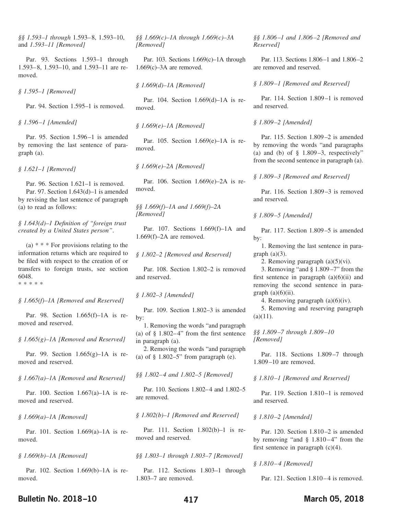*§§ 1.593–1 through* 1.593–8, 1.593–10, and *1.593–11 [Removed]*

Par. 93. Sections 1.593–1 through 1.593–8, 1.593–10, and 1.593–11 are removed.

*§ 1.595–1 [Removed]*

Par. 94. Section 1.595–1 is removed.

*§ 1.596–1 [Amended]*

Par. 95. Section 1.596–1 is amended by removing the last sentence of paragraph (a).

*§ 1.621–1 [Removed]*

Par. 96. Section 1.621–1 is removed. Par. 97. Section 1.643(d)–1 is amended by revising the last sentence of paragraph (a) to read as follows:

*§ 1.643(d)–1 Definition of "foreign trust created by a United States person"*.

(a)  $* * *$  For provisions relating to the information returns which are required to be filed with respect to the creation of or transfers to foreign trusts, see section 6048. \*\*\*\*\*

*§ 1.665(f)–1A [Removed and Reserved]*

Par. 98. Section 1.665(f)–1A is removed and reserved.

*§ 1.665(g)–1A [Removed and Reserved]*

Par. 99. Section 1.665(g)–1A is removed and reserved.

*§ 1.667(a)–1A [Removed and Reserved]*

Par. 100. Section 1.667(a)–1A is removed and reserved.

*§ 1.669(a)–1A [Removed]*

Par. 101. Section 1.669(a)–1A is removed.

*§ 1.669(b)–1A [Removed]*

Par. 102. Section 1.669(b)–1A is removed.

*§§ 1.669(c)–1A through 1.669(c)–3A [Removed]*

Par. 103. Sections 1.669(c)–1A through  $1.669(c) - 3A$  are removed.

*§ 1.669(d)–1A [Removed]*

Par. 104. Section 1.669(d)–1A is removed.

*§ 1.669(e)–1A [Removed]*

Par. 105. Section 1.669(e)–1A is removed.

*§ 1.669(e)–2A [Removed]*

Par. 106. Section 1.669(e)–2A is removed.

*§§ 1.669(f)–1A and 1.669(f)–2A [Removed]*

Par. 107. Sections 1.669(f)–1A and 1.669(f)–2A are removed.

*§ 1.802–2 [Removed and Reserved]*

Par. 108. Section 1.802–2 is removed and reserved.

*§ 1.802–3 [Amended]*

Par. 109. Section 1.802–3 is amended by:

1. Removing the words "and paragraph (a) of § 1.802–4" from the first sentence in paragraph (a).

2. Removing the words "and paragraph (a) of  $\S$  1.802–5" from paragraph (e).

*§§ 1.802–4 and 1.802–5 [Removed]*

Par. 110. Sections 1.802–4 and 1.802–5 are removed.

*§ 1.802(b)–1 [Removed and Reserved]*

Par. 111. Section 1.802(b)–1 is removed and reserved.

*§§ 1.803–1 through 1.803–7 [Removed]*

Par. 112. Sections 1.803–1 through 1.803–7 are removed.

*§§ 1.806–1 and 1.806–2 [Removed and Reserved]*

Par. 113. Sections 1.806–1 and 1.806–2 are removed and reserved.

*§ 1.809–1 [Removed and Reserved]*

Par. 114. Section 1.809–1 is removed and reserved.

*§ 1.809–2 [Amended]*

Par. 115. Section 1.809–2 is amended by removing the words "and paragraphs (a) and (b) of  $\S$  1.809–3, respectively" from the second sentence in paragraph (a).

*§ 1.809–3 [Removed and Reserved]*

Par. 116. Section 1.809–3 is removed and reserved.

*§ 1.809–5 [Amended]*

Par. 117. Section 1.809–5 is amended by:

1. Removing the last sentence in paragraph  $(a)(3)$ .

2. Removing paragraph (a)(5)(vi).

3. Removing "and § 1.809–7" from the first sentence in paragraph  $(a)(6)(ii)$  and removing the second sentence in paragraph  $(a)(6)(ii)$ .

4. Removing paragraph (a)(6)(iv).

5. Removing and reserving paragraph  $(a)(11)$ .

*§§ 1.809–7 through 1.809–10 [Removed]*

Par. 118. Sections 1.809–7 through 1.809–10 are removed.

*§ 1.810–1 [Removed and Reserved]*

Par. 119. Section 1.810–1 is removed and reserved.

*§ 1.810–2 [Amended]*

Par. 120. Section 1.810–2 is amended by removing "and § 1.810–4" from the first sentence in paragraph  $(c)(4)$ .

*§ 1.810–4 [Removed]*

Par. 121. Section 1.810–4 is removed.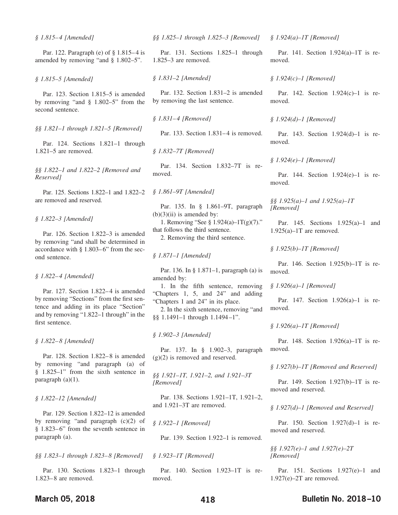*§ 1.815–4 [Amended]*

Par. 122. Paragraph (e) of § 1.815–4 is amended by removing "and § 1.802–5".

*§ 1.815–5 [Amended]*

Par. 123. Section 1.815–5 is amended by removing "and § 1.802–5" from the second sentence.

*§§ 1.821–1 through 1.821–5 [Removed]*

Par. 124. Sections 1.821–1 through 1.821–5 are removed.

*§§ 1.822–1 and 1.822–2 [Removed and Reserved]*

Par. 125. Sections 1.822–1 and 1.822–2 are removed and reserved.

*§ 1.822–3 [Amended]*

Par. 126. Section 1.822–3 is amended by removing "and shall be determined in accordance with § 1.803–6" from the second sentence.

*§ 1.822–4 [Amended]*

Par. 127. Section 1.822–4 is amended by removing "Sections" from the first sentence and adding in its place "Section" and by removing "1.822–1 through" in the first sentence.

*§ 1.822–8 [Amended]*

Par. 128. Section 1.822–8 is amended by removing "and paragraph (a) of § 1.825–1" from the sixth sentence in paragraph (a)(1).

*§ 1.822–12 [Amended]*

Par. 129. Section 1.822–12 is amended by removing "and paragraph (c)(2) of § 1.823–6" from the seventh sentence in paragraph (a).

*§§ 1.823–1 through 1.823–8 [Removed]*

Par. 130. Sections 1.823–1 through 1.823–8 are removed.

*§§ 1.825–1 through 1.825–3 [Removed]*

Par. 131. Sections 1.825–1 through 1.825–3 are removed.

*§ 1.831–2 [Amended]*

Par. 132. Section 1.831–2 is amended by removing the last sentence.

*§ 1.831–4 [Removed]*

Par. 133. Section 1.831–4 is removed.

*§ 1.832–7T [Removed]*

Par. 134. Section 1.832–7T is removed.

*§ 1.861–9T [Amended]*

Par. 135. In § 1.861–9T, paragraph  $(b)(3)(ii)$  is amended by:

1. Removing "See § 1.924(a)–1T(g)(7)." that follows the third sentence.

2. Removing the third sentence.

*§ 1.871–1 [Amended]*

Par. 136. In § 1.871–1, paragraph (a) is amended by:

1. In the fifth sentence, removing "Chapters 1, 5, and 24" and adding "Chapters 1 and 24" in its place.

2. In the sixth sentence, removing "and §§ 1.1491–1 through 1.1494–1".

*§ 1.902–3 [Amended]*

Par. 137. In § 1.902–3, paragraph  $(g)(2)$  is removed and reserved.

*§§ 1.921–1T, 1.921–2, and 1.921–3T [Removed]*

Par. 138. Sections 1.921–1T, 1.921–2, and 1.921–3T are removed.

*§ 1.922–1 [Removed]*

Par. 139. Section 1.922–1 is removed.

*§ 1.923–1T [Removed]*

Par. 140. Section 1.923–1T is removed.

*§ 1.924(a)–1T [Removed]*

Par. 141. Section 1.924(a)–1T is removed.

#### *§ 1.924(c)–1 [Removed]*

Par. 142. Section 1.924(c)–1 is removed.

*§ 1.924(d)–1 [Removed]*

Par. 143. Section 1.924(d)–1 is removed.

*§ 1.924(e)–1 [Removed]*

Par. 144. Section 1.924(e)–1 is removed.

*§§ 1.925(a)–1 and 1.925(a)–1T [Removed]*

Par. 145. Sections 1.925(a)–1 and  $1.925(a) - 1T$  are removed.

*§ 1.925(b)–1T [Removed]*

Par. 146. Section 1.925(b)–1T is removed.

*§ 1.926(a)–1 [Removed]*

Par. 147. Section 1.926(a)–1 is removed.

*§ 1.926(a)–1T [Removed]*

Par. 148. Section 1.926(a)–1T is removed.

#### *§ 1.927(b)–1T [Removed and Reserved]*

Par. 149. Section 1.927(b)–1T is removed and reserved.

*§ 1.927(d)–1 [Removed and Reserved]*

Par. 150. Section 1.927(d)–1 is removed and reserved.

*§§ 1.927(e)–1 and 1.927(e)–2T [Removed]*

Par. 151. Sections 1.927(e)–1 and 1.927(e)–2T are removed.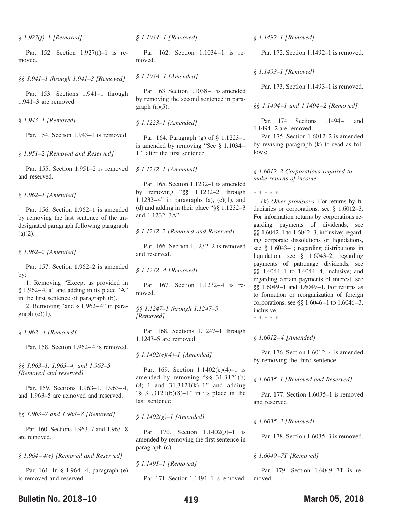*§ 1.927(f)–1 [Removed]*

Par. 152. Section 1.927(f)–1 is removed.

*§§ 1.941–1 through 1.941–3 [Removed]*

Par. 153. Sections 1.941–1 through 1.941–3 are removed.

*§ 1.943–1 [Removed]*

Par. 154. Section 1.943–1 is removed.

*§ 1.951–2 [Removed and Reserved]*

Par. 155. Section 1.951–2 is removed and reserved.

*§ 1.962–1 [Amended]*

Par. 156. Section 1.962–1 is amended by removing the last sentence of the undesignated paragraph following paragraph  $(a)(2)$ .

*§ 1.962–2 [Amended]*

Par. 157. Section 1.962–2 is amended by:

1. Removing "Except as provided in  $§ 1.962-4$ , a" and adding in its place "A" in the first sentence of paragraph (b).

2. Removing "and § 1.962–4" in paragraph  $(c)(1)$ .

*§ 1.962–4 [Removed]*

Par. 158. Section 1.962–4 is removed.

*§§ 1.963–1, 1.963–4, and 1.963–5 [Removed and reserved]*

Par. 159. Sections 1.963–1, 1.963–4, and 1.963–5 are removed and reserved.

*§§ 1.963–7 and 1.963–8 [Removed]*

Par. 160. Sections 1.963–7 and 1.963–8 are removed.

*§ 1.964–4(e) [Removed and Reserved]*

Par. 161. In § 1.964–4, paragraph (e) is removed and reserved.

*§ 1.1034–1 [Removed]*

Par. 162. Section 1.1034–1 is removed.

*§ 1.1038–1 [Amended]*

Par. 163. Section 1.1038–1 is amended by removing the second sentence in paragraph  $(a)(5)$ .

*§ 1.1223–1 [Amended]*

Par. 164. Paragraph (g) of § 1.1223–1 is amended by removing "See § 1.1034– 1." after the first sentence.

*§ 1.1232–1 [Amended]*

Par. 165. Section 1.1232–1 is amended by removing "§§ 1.1232–2 through 1.1232–4" in paragraphs (a),  $(c)(1)$ , and (d) and adding in their place "§§ 1.1232–3 and 1.1232–3A".

*§ 1.1232–2 [Removed and Reserved]*

Par. 166. Section 1.1232–2 is removed and reserved.

*§ 1.1232–4 [Removed]*

Par. 167. Section 1.1232–4 is removed.

*§§ 1.1247–1 through 1.1247–5 [Removed]*

Par. 168. Sections 1.1247–1 through 1.1247–5 are removed.

*§ 1.1402(e)(4)–1 [Amended]*

Par. 169. Section 1.1402(e)(4)–1 is amended by removing "§§ 31.3121(b) (8)–1 and 31.3121(k)–1" and adding "§ 31.3121(b)(8)–1" in its place in the last sentence.

*§ 1.1402(g)–1 [Amended]*

Par. 170. Section 1.1402(g)–1 is amended by removing the first sentence in paragraph (c).

*§ 1.1491–1 [Removed]*

Par. 171. Section 1.1491–1 is removed.

*§ 1.1492–1 [Removed]*

Par. 172. Section 1.1492–1 is removed.

#### *§ 1.1493–1 [Removed]*

Par. 173. Section 1.1493–1 is removed.

#### *§§ 1.1494–1 and 1.1494–2 [Removed]*

Par. 174. Sections 1.1494–1 and 1.1494–2 are removed.

Par. 175. Section 1.6012–2 is amended by revising paragraph (k) to read as follows:

*§ 1.6012–2 Corporations required to make returns of income*.

\*\*\*\*\*

(k) *Other provisions*. For returns by fiduciaries or corporations, see § 1.6012–3. For information returns by corporations regarding payments of dividends, see §§ 1.6042–1 to 1.6042–3, inclusive; regarding corporate dissolutions or liquidations, see § 1.6043–1; regarding distributions in liquidation, see § 1.6043–2; regarding payments of patronage dividends, see §§ 1.6044–1 to 1.6044–4, inclusive; and regarding certain payments of interest, see §§ 1.6049–1 and 1.6049–1. For returns as to formation or reorganization of foreign corporations, see §§ 1.6046–1 to 1.6046–3, inclusive.

\*\*\*\*\*

#### *§ 1.6012–4 [Amended]*

Par. 176. Section 1.6012–4 is amended by removing the third sentence.

#### *§ 1.6035–1 [Removed and Reserved]*

Par. 177. Section 1.6035–1 is removed and reserved.

*§ 1.6035–3 [Removed]*

Par. 178. Section 1.6035–3 is removed.

#### *§ 1.6049–7T [Removed]*

Par. 179. Section 1.6049–7T is removed.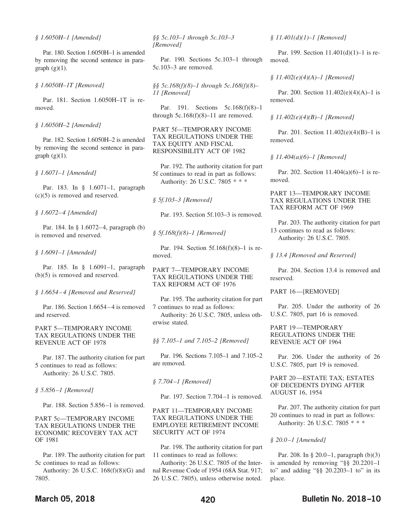Par. 180. Section 1.6050H–1 is amended by removing the second sentence in paragraph  $(g)(1)$ .

*§ 1.6050H–1T [Removed]*

Par. 181. Section 1.6050H–1T is removed.

*§ 1.6050H–2 [Amended]*

Par. 182. Section 1.6050H–2 is amended by removing the second sentence in paragraph  $(g)(1)$ .

*§ 1.6071–1 [Amended]*

Par. 183. In § 1.6071–1, paragraph (c)(5) is removed and reserved.

*§ 1.6072–4 [Amended]*

Par. 184. In § 1.6072–4, paragraph (b) is removed and reserved.

*§ 1.6091–1 [Amended]*

Par. 185. In § 1.6091–1, paragraph (b)(5) is removed and reserved.

*§ 1.6654–4 [Removed and Reserved]*

Par. 186. Section 1.6654–4 is removed and reserved.

PART 5—TEMPORARY INCOME TAX REGULATIONS UNDER THE REVENUE ACT OF 1978

Par. 187. The authority citation for part 5 continues to read as follows: Authority: 26 U.S.C. 7805.

*§ 5.856–1 [Removed]*

Par. 188. Section 5.856–1 is removed.

PART 5c—TEMPORARY INCOME TAX REGULATIONS UNDER THE ECONOMIC RECOVERY TAX ACT OF 1981

Par. 189. The authority citation for part 5c continues to read as follows:

Authority: 26 U.S.C. 168(f)(8)(G) and 7805.

*§§ 5c.103–1 through 5c.103–3 [Removed]*

Par. 190. Sections 5c.103–1 through 5c.103–3 are removed.

*§§ 5c.168(f)(8)–1 through 5c.168(f)(8)– 11 [Removed]*

Par. 191. Sections 5c.168(f)(8)–1 through  $5c.168(f)(8)-11$  are removed.

PART 5f—TEMPORARY INCOME TAX REGULATIONS UNDER THE TAX EQUITY AND FISCAL RESPONSIBILITY ACT OF 1982

Par. 192. The authority citation for part 5f continues to read in part as follows: Authority: 26 U.S.C. 7805 \* \* \*

*§ 5f.103–3 [Removed]*

Par. 193. Section 5f.103–3 is removed.

*§ 5f.168(f)(8)–1 [Removed]*

Par. 194. Section 5f.168(f)(8)–1 is removed.

PART 7—TEMPORARY INCOME TAX REGULATIONS UNDER THE TAX REFORM ACT OF 1976

Par. 195. The authority citation for part 7 continues to read as follows: Authority: 26 U.S.C. 7805, unless otherwise stated.

*§§ 7.105–1 and 7.105–2 [Removed]*

Par. 196. Sections 7.105–1 and 7.105–2 are removed.

*§ 7.704–1 [Removed]*

Par. 197. Section 7.704–1 is removed.

PART 11—TEMPORARY INCOME TAX REGULATIONS UNDER THE EMPLOYEE RETIREMENT INCOME SECURITY ACT OF 1974

Par. 198. The authority citation for part 11 continues to read as follows:

Authority: 26 U.S.C. 7805 of the Internal Revenue Code of 1954 (68A Stat. 917; 26 U.S.C. 7805), unless otherwise noted.

*§ 11.401(d)(1)–1 [Removed]*

Par. 199. Section 11.401(d)(1)–1 is removed.

#### *§ 11.402(e)(4)(A)–1 [Removed]*

Par. 200. Section 11.402(e)(4)(A)–1 is removed.

*§ 11.402(e)(4)(B)–1 [Removed]*

Par. 201. Section 11.402(e)(4)(B)–1 is removed.

*§ 11.404(a)(6)–1 [Removed]*

Par. 202. Section 11.404(a)(6)–1 is removed.

PART 13—TEMPORARY INCOME TAX REGULATIONS UNDER THE TAX REFORM ACT OF 1969

Par. 203. The authority citation for part 13 continues to read as follows: Authority: 26 U.S.C. 7805.

*§ 13.4 [Removed and Reserved]*

Par. 204. Section 13.4 is removed and reserved.

PART 16—[REMOVED]

Par. 205. Under the authority of 26 U.S.C. 7805, part 16 is removed.

PART 19—TEMPORARY REGULATIONS UNDER THE REVENUE ACT OF 1964

Par. 206. Under the authority of 26 U.S.C. 7805, part 19 is removed.

PART 20—ESTATE TAX; ESTATES OF DECEDENTS DYING AFTER AUGUST 16, 1954

Par. 207. The authority citation for part 20 continues to read in part as follows: Authority: 26 U.S.C. 7805 \* \* \*

*§ 20.0–1 [Amended]*

Par. 208. In § 20.0–1, paragraph (b)(3) is amended by removing "§§ 20.2201–1 to" and adding "§§ 20.2203–1 to" in its place.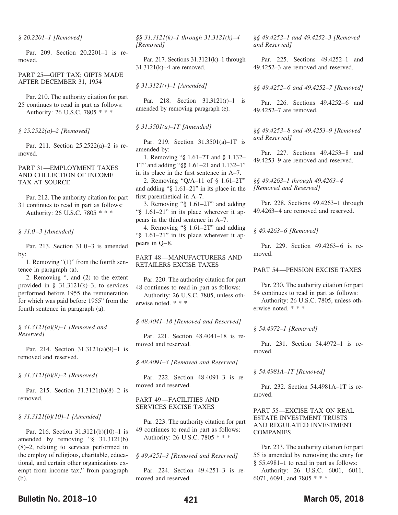#### *§ 20.2201–1 [Removed]*

Par. 209. Section 20.2201–1 is removed.

#### PART 25—GIFT TAX; GIFTS MADE AFTER DECEMBER 31, 1954

Par. 210. The authority citation for part 25 continues to read in part as follows: Authority: 26 U.S.C. 7805 \* \* \*

#### *§ 25.2522(a)–2 [Removed]*

Par. 211. Section 25.2522(a)–2 is removed.

#### PART 31—EMPLOYMENT TAXES AND COLLECTION OF INCOME TAX AT SOURCE

Par. 212. The authority citation for part 31 continues to read in part as follows: Authority: 26 U.S.C. 7805 \* \* \*

#### *§ 31.0–3 [Amended]*

Par. 213. Section 31.0–3 is amended by:

1. Removing "(1)" from the fourth sentence in paragraph (a).

2. Removing ", and (2) to the extent provided in §  $31.3121(k)-3$ , to services performed before 1955 the remuneration for which was paid before 1955" from the fourth sentence in paragraph (a).

#### *§ 31.3121(a)(9)–1 [Removed and Reserved]*

Par. 214. Section 31.3121(a)(9)–1 is removed and reserved.

#### *§ 31.3121(b)(8)–2 [Removed]*

Par. 215. Section 31.3121(b)(8)–2 is removed.

#### *§ 31.3121(b)(10)–1 [Amended]*

Par. 216. Section 31.3121(b)(10)–1 is amended by removing "§ 31.3121(b) (8)–2, relating to services performed in the employ of religious, charitable, educational, and certain other organizations exempt from income tax;" from paragraph (b).

*§§ 31.3121(k)–1 through 31.3121(k)–4 [Removed]*

Par. 217. Sections 31.3121(k)–1 through 31.3121(k)–4 are removed.

*§ 31.3121(r)–1 [Amended]*

Par. 218. Section 31.3121(r)–1 is amended by removing paragraph (e).

#### *§ 31.3501(a)–1T [Amended]*

Par. 219. Section 31.3501(a)–1T is amended by:

1. Removing "§ 1.61–2T and § 1.132– 1T" and adding "§§ 1.61–21 and 1.132–1" in its place in the first sentence in A–7.

2. Removing "Q/A–11 of § 1.61–2T" and adding "§ 1.61–21" in its place in the first parenthetical in A–7.

3. Removing "§ 1.61–2T" and adding "§ 1.61–21" in its place wherever it appears in the third sentence in A–7.

4. Removing "§ 1.61–2T" and adding "§ 1.61–21" in its place wherever it appears in Q–8.

PART 48—MANUFACTURERS AND RETAILERS EXCISE TAXES

Par. 220. The authority citation for part 48 continues to read in part as follows: Authority: 26 U.S.C. 7805, unless oth-

erwise noted. \* \* \*

#### *§ 48.4041–18 [Removed and Reserved]*

Par. 221. Section 48.4041–18 is removed and reserved.

*§ 48.4091–3 [Removed and Reserved]*

Par. 222. Section 48.4091–3 is removed and reserved.

#### PART 49—FACILITIES AND SERVICES EXCISE TAXES

Par. 223. The authority citation for part 49 continues to read in part as follows: Authority: 26 U.S.C. 7805 \* \* \*

#### *§ 49.4251–3 [Removed and Reserved]*

Par. 224. Section 49.4251–3 is removed and reserved.

*§§ 49.4252–1 and 49.4252–3 [Removed and Reserved]*

Par. 225. Sections 49.4252–1 and 49.4252–3 are removed and reserved.

#### *§§ 49.4252–6 and 49.4252–7 [Removed]*

Par. 226. Sections 49.4252–6 and 49.4252–7 are removed.

*§§ 49.4253–8 and 49.4253–9 [Removed and Reserved]*

Par. 227. Sections 49.4253–8 and 49.4253–9 are removed and reserved.

*§§ 49.4263–1 through 49.4263–4 [Removed and Reserved]*

Par. 228. Sections 49.4263–1 through 49.4263–4 are removed and reserved.

*§ 49.4263–6 [Removed]*

Par. 229. Section 49.4263–6 is removed.

#### PART 54—PENSION EXCISE TAXES

Par. 230. The authority citation for part 54 continues to read in part as follows:

Authority: 26 U.S.C. 7805, unless otherwise noted. \* \* \*

#### *§ 54.4972–1 [Removed]*

Par. 231. Section 54.4972–1 is removed.

#### *§ 54.4981A–1T [Removed]*

Par. 232. Section 54.4981A–1T is removed.

#### PART 55—EXCISE TAX ON REAL ESTATE INVESTMENT TRUSTS AND REGULATED INVESTMENT COMPANIES

Par. 233. The authority citation for part 55 is amended by removing the entry for § 55.4981–1 to read in part as follows: Authority: 26 U.S.C. 6001, 6011, 6071, 6091, and 7805 \* \* \*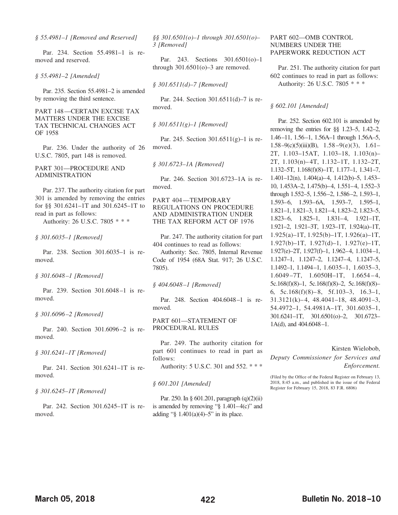*§ 55.4981–1 [Removed and Reserved]*

Par. 234. Section 55.4981–1 is removed and reserved.

*§ 55.4981–2 [Amended]*

Par. 235. Section 55.4981–2 is amended by removing the third sentence.

PART 148—CERTAIN EXCISE TAX MATTERS UNDER THE EXCISE TAX TECHNICAL CHANGES ACT OF 1958

Par. 236. Under the authority of 26 U.S.C. 7805, part 148 is removed.

PART 301—PROCEDURE AND ADMINISTRATION

Par. 237. The authority citation for part 301 is amended by removing the entries for §§ 301.6241–1T and 301.6245–1T to read in part as follows:

Authority: 26 U.S.C. 7805 \* \* \*

*§ 301.6035–1 [Removed]*

Par. 238. Section 301.6035–1 is removed.

*§ 301.6048–1 [Removed]*

Par. 239. Section 301.6048–1 is removed.

*§ 301.6096–2 [Removed]*

Par. 240. Section 301.6096–2 is removed.

*§ 301.6241–1T [Removed]*

Par. 241. Section 301.6241–1T is removed.

*§ 301.6245–1T [Removed]*

Par. 242. Section 301.6245–1T is removed.

*§§ 301.6501(o)–1 through 301.6501(o)– 3 [Removed]*

Par. 243. Sections 301.6501(o)–1 through  $301.6501$ (o) $-3$  are removed.

*§ 301.6511(d)–7 [Removed]*

Par. 244. Section 301.6511(d)–7 is removed.

*§ 301.6511(g)–1 [Removed]*

Par. 245. Section 301.6511(g)–1 is removed.

*§ 301.6723–1A [Removed]*

Par. 246. Section 301.6723–1A is removed.

PART 404—TEMPORARY REGULATIONS ON PROCEDURE AND ADMINISTRATION UNDER THE TAX REFORM ACT OF 1976

Par. 247. The authority citation for part 404 continues to read as follows:

Authority: Sec. 7805, Internal Revenue Code of 1954 (68A Stat. 917; 26 U.S.C. 7805).

*§ 404.6048–1 [Removed]*

Par. 248. Section 404.6048–1 is removed.

PART 601—STATEMENT OF PROCEDURAL RULES

Par. 249. The authority citation for part 601 continues to read in part as follows: Authority: 5 U.S.C. 301 and 552.\*\*\*

*§ 601.201 [Amended]*

Par. 250. In § 601.201, paragraph (q)(2)(ii) is amended by removing " $\S$  1.401–4(c)" and adding " $§$  1.401(a)(4)–5" in its place.

PART 602—OMB CONTROL NUMBERS UNDER THE PAPERWORK REDUCTION ACT

Par. 251. The authority citation for part 602 continues to read in part as follows: Authority: 26 U.S.C. 7805 \* \* \*

#### *§ 602.101 [Amended]*

Par. 252. Section 602.101 is amended by removing the entries for §§ 1.23–5, 1.42–2, 1.46–11, 1.56–1, 1.56A–1 through 1.56A–5, 1.58–9(c)(5)(iii)(B),  $1.58-9(e)(3)$ ,  $1.61-$ 2T, 1.103–15AT, 1.103–18, 1.103(n)– 2T, 1.103(n)–4T, 1.132–1T, 1.132–2T, 1.132–5T, 1.168(f)(8)–1T, 1.177–1, 1.341–7, 1.401–12(n), 1.404(a)–4, 1.412(b)–5, 1.453– 10, 1.453A–2, 1.475(b)–4, 1.551–4, 1.552–3 through 1.552–5, 1.556–2, 1.586–2, 1.593–1, 1.593–6, 1.593–6A, 1.593–7, 1.595–1, 1.821–1, 1.821–3, 1.821–4, 1.823–2, 1.823–5, 1.823–6, 1.825–1, 1.831–4, 1.921–1T, 1.921–2, 1.921–3T, 1.923–1T, 1.924(a)–1T, 1.925(a)–1T, 1.925(b)–1T, 1.926(a)–1T, 1.927(b)–1T, 1.927(d)–1, 1.927(e)–1T, 1.927(e)–2T, 1.927(f)–1, 1.962–4, 1.1034–1, 1.1247–1, 1.1247–2, 1.1247–4, 1.1247–5, 1.1492–1, 1.1494–1, 1.6035–1, 1.6035–3, 1.6049–7T, 1.6050H–1T, 1.6654–4, 5c.168(f)(8)–1, 5c.168(f)(8)–2, 5c.168(f)(8)– 6, 5c.168(f)(8)– 8, 5f.103–3, 16.3–1, 31.3121(k)–4, 48.4041–18, 48.4091–3, 54.4972–1, 54.4981A–1T, 301.6035–1, 301.6241–1T, 301.6501(o)–2, 301.6723– 1A(d), and 404.6048–1.

#### Kirsten Wielobob,

*Deputy Commissioner for Services and Enforcement.*

(Filed by the Office of the Federal Register on February 13, 2018, 8:45 a.m., and published in the issue of the Federal Register for February 15, 2018, 83 F.R. 6806)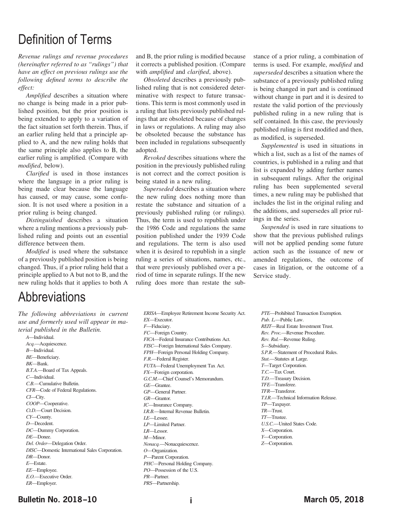# Definition of Terms

*Revenue rulings and revenue procedures (hereinafter referred to as "rulings") that have an effect on previous rulings use the following defined terms to describe the effect:*

*Amplified* describes a situation where no change is being made in a prior published position, but the prior position is being extended to apply to a variation of the fact situation set forth therein. Thus, if an earlier ruling held that a principle applied to A, and the new ruling holds that the same principle also applies to B, the earlier ruling is amplified. (Compare with *modified*, below).

*Clarified* is used in those instances where the language in a prior ruling is being made clear because the language has caused, or may cause, some confusion. It is not used where a position in a prior ruling is being changed.

*Distinguished* describes a situation where a ruling mentions a previously published ruling and points out an essential difference between them.

*Modified* is used where the substance of a previously published position is being changed. Thus, if a prior ruling held that a principle applied to A but not to B, and the new ruling holds that it applies to both A

# **Abbreviations**

*The following abbreviations in current use and formerly used will appear in material published in the Bulletin.*

*A*—Individual. *Acq.*—Acquiescence. *B*—Individual. *BE*—Beneficiary. *BK*—Bank. *B.T.A.*—Board of Tax Appeals. *C*—Individual. *C.B.*—Cumulative Bulletin. *CFR*—Code of Federal Regulations. *CI*—City. *COOP*—Cooperative. *Ct.D.*—Court Decision. *CY*—County. *D*—Decedent. *DC*—Dummy Corporation. *DE*—Donee. *Del. Order*—Delegation Order. *DISC*—Domestic International Sales Corporation. *DR*—Donor. *E*—Estate. *EE*—Employee. *E.O.*—Executive Order. *ER*—Employer.

and B, the prior ruling is modified because it corrects a published position. (Compare with *amplified* and *clarified*, above).

*Obsoleted* describes a previously published ruling that is not considered determinative with respect to future transactions. This term is most commonly used in a ruling that lists previously published rulings that are obsoleted because of changes in laws or regulations. A ruling may also be obsoleted because the substance has been included in regulations subsequently adopted.

*Revoked* describes situations where the position in the previously published ruling is not correct and the correct position is being stated in a new ruling.

*Superseded* describes a situation where the new ruling does nothing more than restate the substance and situation of a previously published ruling (or rulings). Thus, the term is used to republish under the 1986 Code and regulations the same position published under the 1939 Code and regulations. The term is also used when it is desired to republish in a single ruling a series of situations, names, etc., that were previously published over a period of time in separate rulings. If the new ruling does more than restate the sub-

*ERISA*—Employee Retirement Income Security Act. *EX*—Executor. *F*—Fiduciary. *FC*—Foreign Country. *FICA*—Federal Insurance Contributions Act. *FISC*—Foreign International Sales Company. *FPH*—Foreign Personal Holding Company. *F.R.*—Federal Register. *FUTA*—Federal Unemployment Tax Act. *FX*—Foreign corporation. *G.C.M.*—Chief Counsel's Memorandum. *GE*—Grantee. *GP*—General Partner. *GR*—Grantor. *IC*—Insurance Company. *I.R.B.*—Internal Revenue Bulletin. *LE*—Lessee. *LP*—Limited Partner. *LR*—Lessor. *M*—Minor. *Nonacq.*—Nonacquiescence. *O*—Organization. *P*—Parent Corporation. *PHC*—Personal Holding Company. *PO*—Possession of the U.S. *PR*—Partner.

stance of a prior ruling, a combination of terms is used. For example, *modified* and *superseded* describes a situation where the substance of a previously published ruling is being changed in part and is continued without change in part and it is desired to restate the valid portion of the previously published ruling in a new ruling that is self contained. In this case, the previously published ruling is first modified and then, as modified, is superseded.

*Supplemented* is used in situations in which a list, such as a list of the names of countries, is published in a ruling and that list is expanded by adding further names in subsequent rulings. After the original ruling has been supplemented several times, a new ruling may be published that includes the list in the original ruling and the additions, and supersedes all prior rulings in the series.

*Suspended* is used in rare situations to show that the previous published rulings will not be applied pending some future action such as the issuance of new or amended regulations, the outcome of cases in litigation, or the outcome of a Service study.

*PTE*—Prohibited Transaction Exemption. *Pub. L.*—Public Law. *REIT*—Real Estate Investment Trust. *Rev. Proc.*—Revenue Procedure. *Rev. Rul.*—Revenue Ruling. *S*—Subsidiary. *S.P.R.*—Statement of Procedural Rules. *Stat.*—Statutes at Large. *T*—Target Corporation. *T.C.*—Tax Court. *T.D.*—Treasury Decision. *TFE*—Transferee. *TFR*—Transferor. *T.I.R.*—Technical Information Release. *TP*—Taxpayer. *TR*—Trust. *TT*—Trustee. *U.S.C.*—United States Code. *X*—Corporation. *Y*—Corporation. *Z*—Corporation.

## **Bulletin No. 2018–10 March 05, 2018 i**

*PRS*—Partnership.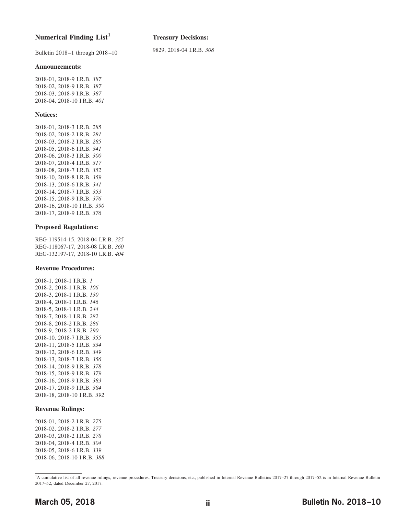#### **Numerical Finding List<sup>1</sup>**

Bulletin 2018–1 through 2018–10

**Treasury Decisions:**

9829, 2018-04 I.R.B. *308*

#### **Announcements:**

2018-01, 2018-9 I.R.B. *387* 2018-02, 2018-9 I.R.B. *387* 2018-03, 2018-9 I.R.B. *387* 2018-04, 2018-10 I.R.B. *[401](#page-17-0)*

#### **Notices:**

2018-01, 2018-3 I.R.B. *285* 2018-02, 2018-2 I.R.B. *281* 2018-03, 2018-2 I.R.B. *285* 2018-05, 2018-6 I.R.B. *341* 2018-06, 2018-3 I.R.B. *300* 2018-07, 2018-4 I.R.B. *317* 2018-08, 2018-7 I.R.B. *352* 2018-10, 2018-8 I.R.B. *359* 2018-13, 2018-6 I.R.B. *341* 2018-14, 2018-7 I.R.B. *353* 2018-15, 2018-9 I.R.B. *376* 2018-16, 2018-10 I.R.B. *[390](#page-6-0)* 2018-17, 2018-9 I.R.B. *376*

#### **Proposed Regulations:**

REG-119514-15, 2018-04 I.R.B. *325* REG-118067-17, 2018-08 I.R.B. *360* REG-132197-17, 2018-10 I.R.B. *[404](#page-20-0)*

#### **Revenue Procedures:**

2018-1, 2018-1 I.R.B. *1* 2018-2, 2018-1 I.R.B. *106* 2018-3, 2018-1 I.R.B. *130* 2018-4, 2018-1 I.R.B. *146* 2018-5, 2018-1 I.R.B. *244* 2018-7, 2018-1 I.R.B. *282* 2018-8, 2018-2 I.R.B. *286* 2018-9, 2018-2 I.R.B. *290* 2018-10, 2018-7 I.R.B. *355* 2018-11, 2018-5 I.R.B. *334* 2018-12, 2018-6 I.R.B. *349* 2018-13, 2018-7 I.R.B. *356* 2018-14, 2018-9 I.R.B. *378* 2018-15, 2018-9 I.R.B. *379* 2018-16, 2018-9 I.R.B. *383* 2018-17, 2018-9 I.R.B. *384* 2018-18, 2018-10 I.R.B. *[392](#page-8-0)*

#### **Revenue Rulings:**

2018-01, 2018-2 I.R.B. *275* 2018-02, 2018-2 I.R.B. *277* 2018-03, 2018-2 I.R.B. *278* 2018-04, 2018-4 I.R.B. *304* 2018-05, 2018-6 I.R.B. *339* 2018-06, 2018-10 I.R.B. *[388](#page-4-0)*

## **March 05, 2018 ii ii Bulletin No. 2018–10 ii**

<sup>&</sup>lt;sup>1</sup>A cumulative list of all revenue rulings, revenue procedures, Treasury decisions, etc., published in Internal Revenue Bulletins 2017-27 through 2017-52 is in Internal Revenue Bulletin 2017–52, dated December 27, 2017.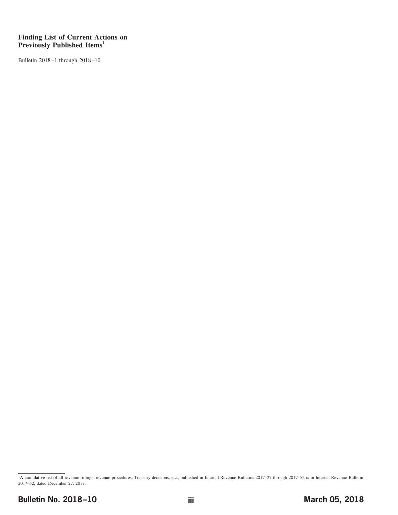#### **Finding List of Current Actions on Previously Published Items1**

Bulletin 2018–1 through 2018–10

<sup>&</sup>lt;sup>1</sup>A cumulative list of all revenue rulings, revenue procedures, Treasury decisions, etc., published in Internal Revenue Bulletins 2017-27 through 2017-52 is in Internal Revenue Bulletin 2017–52, dated December 27, 2017.